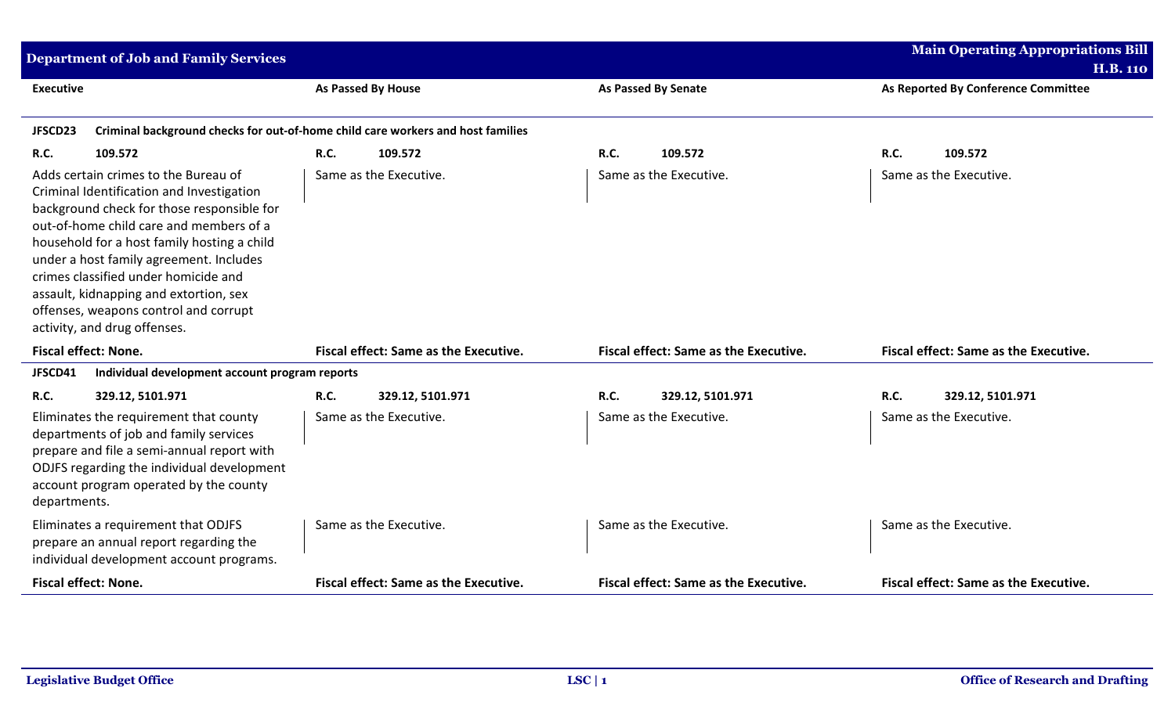| <b>Department of Job and Family Services</b>                                                                                                                                                                                                                                                                                                                                                                                    |                                                                                 |                                       | <b>Main Operating Appropriations Bill</b><br><b>H.B. 110</b> |
|---------------------------------------------------------------------------------------------------------------------------------------------------------------------------------------------------------------------------------------------------------------------------------------------------------------------------------------------------------------------------------------------------------------------------------|---------------------------------------------------------------------------------|---------------------------------------|--------------------------------------------------------------|
| <b>Executive</b>                                                                                                                                                                                                                                                                                                                                                                                                                | <b>As Passed By House</b>                                                       | <b>As Passed By Senate</b>            | As Reported By Conference Committee                          |
| JFSCD23                                                                                                                                                                                                                                                                                                                                                                                                                         | Criminal background checks for out-of-home child care workers and host families |                                       |                                                              |
| R.C.<br>109.572                                                                                                                                                                                                                                                                                                                                                                                                                 | <b>R.C.</b><br>109.572                                                          | <b>R.C.</b><br>109.572                | R.C.<br>109.572                                              |
| Adds certain crimes to the Bureau of<br>Criminal Identification and Investigation<br>background check for those responsible for<br>out-of-home child care and members of a<br>household for a host family hosting a child<br>under a host family agreement. Includes<br>crimes classified under homicide and<br>assault, kidnapping and extortion, sex<br>offenses, weapons control and corrupt<br>activity, and drug offenses. | Same as the Executive.                                                          | Same as the Executive.                | Same as the Executive.                                       |
| <b>Fiscal effect: None.</b>                                                                                                                                                                                                                                                                                                                                                                                                     | Fiscal effect: Same as the Executive.                                           | Fiscal effect: Same as the Executive. | Fiscal effect: Same as the Executive.                        |
| JFSCD41<br>Individual development account program reports                                                                                                                                                                                                                                                                                                                                                                       |                                                                                 |                                       |                                                              |
| <b>R.C.</b><br>329.12, 5101.971                                                                                                                                                                                                                                                                                                                                                                                                 | <b>R.C.</b><br>329.12, 5101.971                                                 | <b>R.C.</b><br>329.12, 5101.971       | <b>R.C.</b><br>329.12, 5101.971                              |
| Eliminates the requirement that county<br>departments of job and family services<br>prepare and file a semi-annual report with<br>ODJFS regarding the individual development<br>account program operated by the county<br>departments.                                                                                                                                                                                          | Same as the Executive.                                                          | Same as the Executive.                | Same as the Executive.                                       |
| Eliminates a requirement that ODJFS<br>prepare an annual report regarding the<br>individual development account programs.                                                                                                                                                                                                                                                                                                       | Same as the Executive.                                                          | Same as the Executive.                | Same as the Executive.                                       |
| <b>Fiscal effect: None.</b>                                                                                                                                                                                                                                                                                                                                                                                                     | Fiscal effect: Same as the Executive.                                           | Fiscal effect: Same as the Executive. | Fiscal effect: Same as the Executive.                        |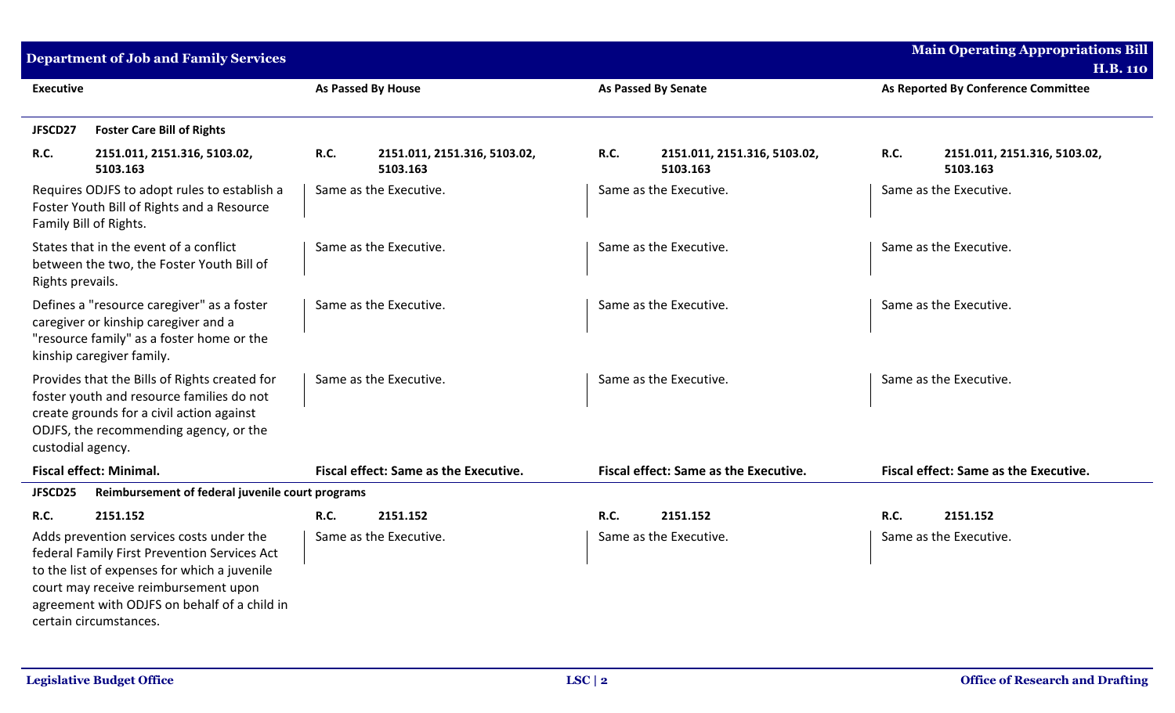| <b>Main Operating Appropriations Bill</b><br><b>Department of Job and Family Services</b>                                                                                                                                                                  |                                                         |                                                  |                                                        |
|------------------------------------------------------------------------------------------------------------------------------------------------------------------------------------------------------------------------------------------------------------|---------------------------------------------------------|--------------------------------------------------|--------------------------------------------------------|
| <b>Executive</b>                                                                                                                                                                                                                                           | <b>As Passed By House</b>                               | <b>As Passed By Senate</b>                       | <b>H.B. 110</b><br>As Reported By Conference Committee |
| <b>Foster Care Bill of Rights</b><br>JFSCD27                                                                                                                                                                                                               |                                                         |                                                  |                                                        |
| <b>R.C.</b><br>2151.011, 2151.316, 5103.02,<br>5103.163                                                                                                                                                                                                    | <b>R.C.</b><br>2151.011, 2151.316, 5103.02,<br>5103.163 | R.C.<br>2151.011, 2151.316, 5103.02,<br>5103.163 | R.C.<br>2151.011, 2151.316, 5103.02,<br>5103.163       |
| Requires ODJFS to adopt rules to establish a<br>Foster Youth Bill of Rights and a Resource<br>Family Bill of Rights.                                                                                                                                       | Same as the Executive.                                  | Same as the Executive.                           | Same as the Executive.                                 |
| States that in the event of a conflict<br>between the two, the Foster Youth Bill of<br>Rights prevails.                                                                                                                                                    | Same as the Executive.                                  | Same as the Executive.                           | Same as the Executive.                                 |
| Defines a "resource caregiver" as a foster<br>caregiver or kinship caregiver and a<br>"resource family" as a foster home or the<br>kinship caregiver family.                                                                                               | Same as the Executive.                                  | Same as the Executive.                           | Same as the Executive.                                 |
| Provides that the Bills of Rights created for<br>foster youth and resource families do not<br>create grounds for a civil action against<br>ODJFS, the recommending agency, or the<br>custodial agency.                                                     | Same as the Executive.                                  | Same as the Executive.                           | Same as the Executive.                                 |
| <b>Fiscal effect: Minimal.</b>                                                                                                                                                                                                                             | <b>Fiscal effect: Same as the Executive.</b>            | <b>Fiscal effect: Same as the Executive.</b>     | <b>Fiscal effect: Same as the Executive.</b>           |
| JFSCD25<br>Reimbursement of federal juvenile court programs                                                                                                                                                                                                |                                                         |                                                  |                                                        |
| <b>R.C.</b><br>2151.152                                                                                                                                                                                                                                    | R.C.<br>2151.152                                        | <b>R.C.</b><br>2151.152                          | R.C.<br>2151.152                                       |
| Adds prevention services costs under the<br>federal Family First Prevention Services Act<br>to the list of expenses for which a juvenile<br>court may receive reimbursement upon<br>agreement with ODJFS on behalf of a child in<br>certain circumstances. | Same as the Executive.                                  | Same as the Executive.                           | Same as the Executive.                                 |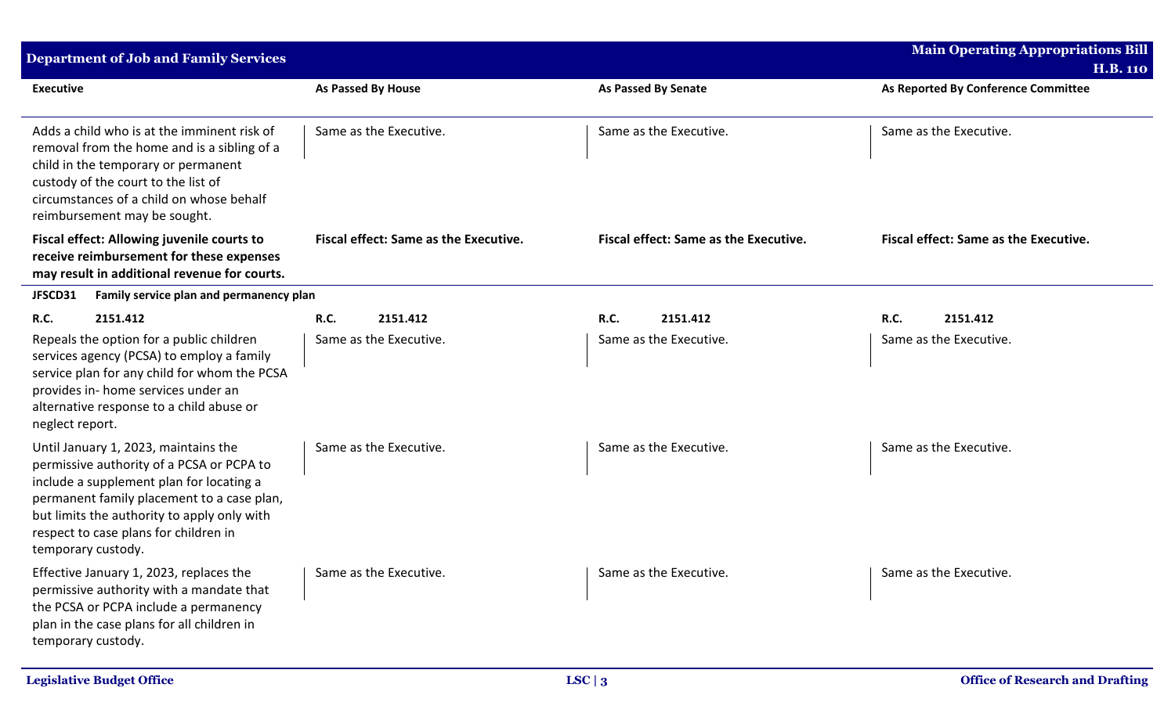| <b>Department of Job and Family Services</b>                                                                                                                                                                                                                                              |                                              |                                              | <b>Main Operating Appropriations Bill</b><br><b>H.B. 110</b> |
|-------------------------------------------------------------------------------------------------------------------------------------------------------------------------------------------------------------------------------------------------------------------------------------------|----------------------------------------------|----------------------------------------------|--------------------------------------------------------------|
| <b>Executive</b>                                                                                                                                                                                                                                                                          | <b>As Passed By House</b>                    | <b>As Passed By Senate</b>                   | As Reported By Conference Committee                          |
| Adds a child who is at the imminent risk of<br>removal from the home and is a sibling of a<br>child in the temporary or permanent<br>custody of the court to the list of<br>circumstances of a child on whose behalf<br>reimbursement may be sought.                                      | Same as the Executive.                       | Same as the Executive.                       | Same as the Executive.                                       |
| <b>Fiscal effect: Allowing juvenile courts to</b><br>receive reimbursement for these expenses<br>may result in additional revenue for courts.                                                                                                                                             | <b>Fiscal effect: Same as the Executive.</b> | <b>Fiscal effect: Same as the Executive.</b> | <b>Fiscal effect: Same as the Executive.</b>                 |
| JFSCD31<br>Family service plan and permanency plan                                                                                                                                                                                                                                        |                                              |                                              |                                                              |
| R.C.<br>2151.412                                                                                                                                                                                                                                                                          | R.C.<br>2151.412                             | <b>R.C.</b><br>2151.412                      | <b>R.C.</b><br>2151.412                                      |
| Repeals the option for a public children<br>services agency (PCSA) to employ a family<br>service plan for any child for whom the PCSA<br>provides in- home services under an<br>alternative response to a child abuse or<br>neglect report.                                               | Same as the Executive.                       | Same as the Executive.                       | Same as the Executive.                                       |
| Until January 1, 2023, maintains the<br>permissive authority of a PCSA or PCPA to<br>include a supplement plan for locating a<br>permanent family placement to a case plan,<br>but limits the authority to apply only with<br>respect to case plans for children in<br>temporary custody. | Same as the Executive.                       | Same as the Executive.                       | Same as the Executive.                                       |
| Effective January 1, 2023, replaces the<br>permissive authority with a mandate that<br>the PCSA or PCPA include a permanency<br>plan in the case plans for all children in<br>temporary custody.                                                                                          | Same as the Executive.                       | Same as the Executive.                       | Same as the Executive.                                       |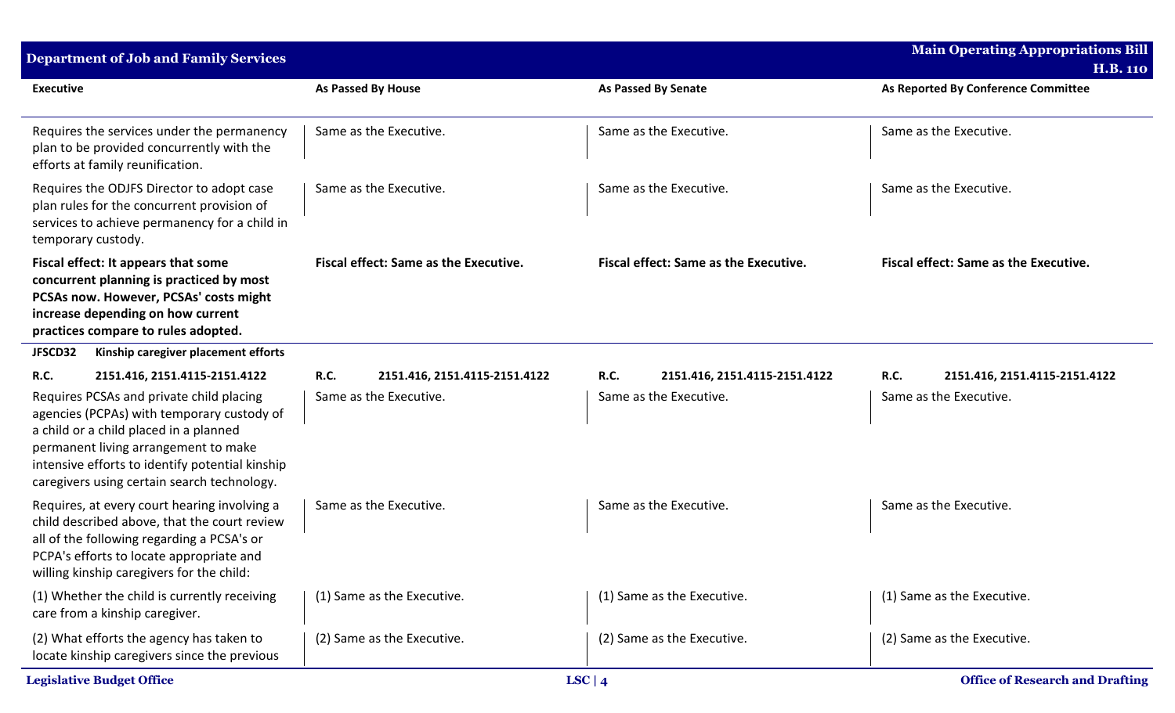| <b>Department of Job and Family Services</b>                                                                                                                                                                                                                               |                                              |                                              | <b>Main Operating Appropriations Bill</b>    |
|----------------------------------------------------------------------------------------------------------------------------------------------------------------------------------------------------------------------------------------------------------------------------|----------------------------------------------|----------------------------------------------|----------------------------------------------|
|                                                                                                                                                                                                                                                                            |                                              |                                              | <b>H.B. 110</b>                              |
| <b>Executive</b>                                                                                                                                                                                                                                                           | <b>As Passed By House</b>                    | <b>As Passed By Senate</b>                   | As Reported By Conference Committee          |
| Requires the services under the permanency<br>plan to be provided concurrently with the<br>efforts at family reunification.                                                                                                                                                | Same as the Executive.                       | Same as the Executive.                       | Same as the Executive.                       |
| Requires the ODJFS Director to adopt case<br>plan rules for the concurrent provision of<br>services to achieve permanency for a child in<br>temporary custody.                                                                                                             | Same as the Executive.                       | Same as the Executive.                       | Same as the Executive.                       |
| Fiscal effect: It appears that some<br>concurrent planning is practiced by most<br>PCSAs now. However, PCSAs' costs might<br>increase depending on how current<br>practices compare to rules adopted.                                                                      | <b>Fiscal effect: Same as the Executive.</b> | <b>Fiscal effect: Same as the Executive.</b> | <b>Fiscal effect: Same as the Executive.</b> |
| JFSCD32<br>Kinship caregiver placement efforts                                                                                                                                                                                                                             |                                              |                                              |                                              |
| <b>R.C.</b><br>2151.416, 2151.4115-2151.4122                                                                                                                                                                                                                               | <b>R.C.</b><br>2151.416, 2151.4115-2151.4122 | <b>R.C.</b><br>2151.416, 2151.4115-2151.4122 | <b>R.C.</b><br>2151.416, 2151.4115-2151.4122 |
| Requires PCSAs and private child placing<br>agencies (PCPAs) with temporary custody of<br>a child or a child placed in a planned<br>permanent living arrangement to make<br>intensive efforts to identify potential kinship<br>caregivers using certain search technology. | Same as the Executive.                       | Same as the Executive.                       | Same as the Executive.                       |
| Requires, at every court hearing involving a<br>child described above, that the court review<br>all of the following regarding a PCSA's or<br>PCPA's efforts to locate appropriate and<br>willing kinship caregivers for the child:                                        | Same as the Executive.                       | Same as the Executive.                       | Same as the Executive.                       |
| (1) Whether the child is currently receiving<br>care from a kinship caregiver.                                                                                                                                                                                             | (1) Same as the Executive.                   | (1) Same as the Executive.                   | (1) Same as the Executive.                   |
| (2) What efforts the agency has taken to<br>locate kinship caregivers since the previous                                                                                                                                                                                   | (2) Same as the Executive.                   | (2) Same as the Executive.                   | (2) Same as the Executive.                   |
| <b>Legislative Budget Office</b>                                                                                                                                                                                                                                           |                                              | LSC   $4$                                    | <b>Office of Research and Drafting</b>       |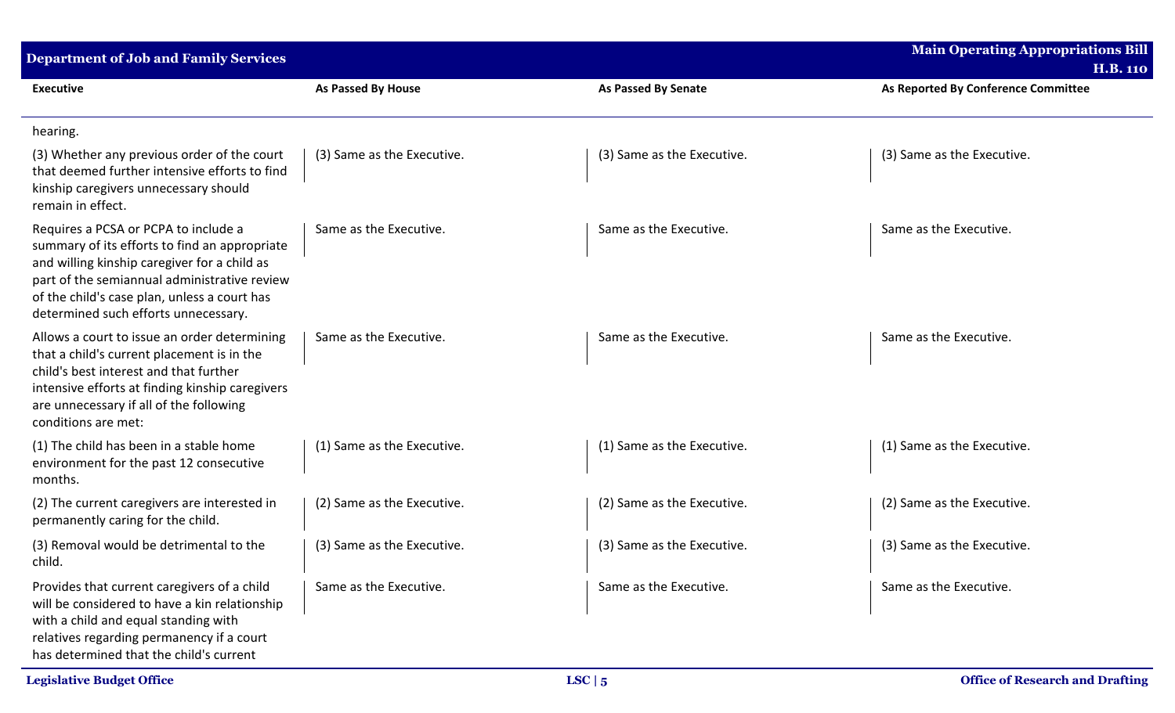| <b>Department of Job and Family Services</b>                                                                                                                                                                                                                                  |                            |                            | <b>Main Operating Appropriations Bill</b><br><b>H.B. 110</b> |
|-------------------------------------------------------------------------------------------------------------------------------------------------------------------------------------------------------------------------------------------------------------------------------|----------------------------|----------------------------|--------------------------------------------------------------|
| <b>Executive</b>                                                                                                                                                                                                                                                              | As Passed By House         | <b>As Passed By Senate</b> | As Reported By Conference Committee                          |
| hearing.                                                                                                                                                                                                                                                                      |                            |                            |                                                              |
| (3) Whether any previous order of the court<br>that deemed further intensive efforts to find<br>kinship caregivers unnecessary should<br>remain in effect.                                                                                                                    | (3) Same as the Executive. | (3) Same as the Executive. | (3) Same as the Executive.                                   |
| Requires a PCSA or PCPA to include a<br>summary of its efforts to find an appropriate<br>and willing kinship caregiver for a child as<br>part of the semiannual administrative review<br>of the child's case plan, unless a court has<br>determined such efforts unnecessary. | Same as the Executive.     | Same as the Executive.     | Same as the Executive.                                       |
| Allows a court to issue an order determining<br>that a child's current placement is in the<br>child's best interest and that further<br>intensive efforts at finding kinship caregivers<br>are unnecessary if all of the following<br>conditions are met:                     | Same as the Executive.     | Same as the Executive.     | Same as the Executive.                                       |
| (1) The child has been in a stable home<br>environment for the past 12 consecutive<br>months.                                                                                                                                                                                 | (1) Same as the Executive. | (1) Same as the Executive. | (1) Same as the Executive.                                   |
| (2) The current caregivers are interested in<br>permanently caring for the child.                                                                                                                                                                                             | (2) Same as the Executive. | (2) Same as the Executive. | (2) Same as the Executive.                                   |
| (3) Removal would be detrimental to the<br>child.                                                                                                                                                                                                                             | (3) Same as the Executive. | (3) Same as the Executive. | (3) Same as the Executive.                                   |
| Provides that current caregivers of a child<br>will be considered to have a kin relationship<br>with a child and equal standing with<br>relatives regarding permanency if a court<br>has determined that the child's current                                                  | Same as the Executive.     | Same as the Executive.     | Same as the Executive.                                       |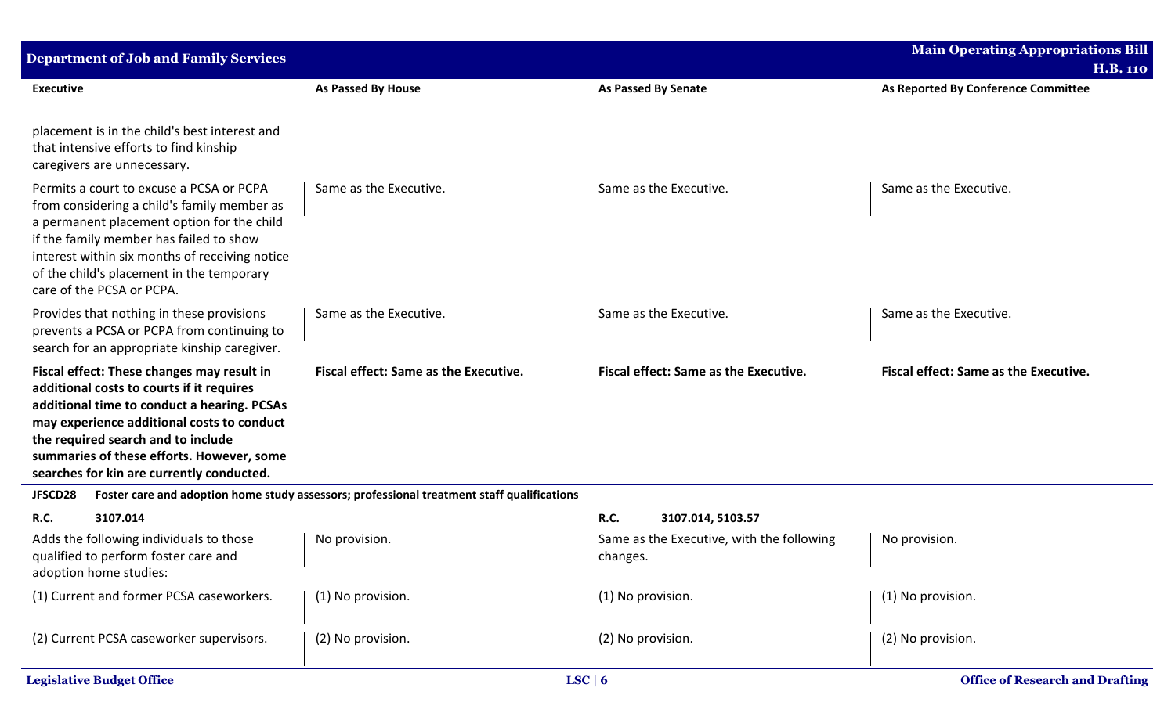| <b>Department of Job and Family Services</b>                                                                                                                                                                                                                                                                         |                                                                                            |                                                       | <b>Main Operating Appropriations Bill</b><br><b>H.B. 110</b> |  |
|----------------------------------------------------------------------------------------------------------------------------------------------------------------------------------------------------------------------------------------------------------------------------------------------------------------------|--------------------------------------------------------------------------------------------|-------------------------------------------------------|--------------------------------------------------------------|--|
| <b>Executive</b>                                                                                                                                                                                                                                                                                                     | <b>As Passed By House</b>                                                                  | <b>As Passed By Senate</b>                            | As Reported By Conference Committee                          |  |
| placement is in the child's best interest and<br>that intensive efforts to find kinship<br>caregivers are unnecessary.                                                                                                                                                                                               |                                                                                            |                                                       |                                                              |  |
| Permits a court to excuse a PCSA or PCPA<br>from considering a child's family member as<br>a permanent placement option for the child<br>if the family member has failed to show<br>interest within six months of receiving notice<br>of the child's placement in the temporary<br>care of the PCSA or PCPA.         | Same as the Executive.                                                                     | Same as the Executive.                                | Same as the Executive.                                       |  |
| Provides that nothing in these provisions<br>prevents a PCSA or PCPA from continuing to<br>search for an appropriate kinship caregiver.                                                                                                                                                                              | Same as the Executive.                                                                     | Same as the Executive.                                | Same as the Executive.                                       |  |
| Fiscal effect: These changes may result in<br>additional costs to courts if it requires<br>additional time to conduct a hearing. PCSAs<br>may experience additional costs to conduct<br>the required search and to include<br>summaries of these efforts. However, some<br>searches for kin are currently conducted. | <b>Fiscal effect: Same as the Executive.</b>                                               | <b>Fiscal effect: Same as the Executive.</b>          | <b>Fiscal effect: Same as the Executive.</b>                 |  |
| JFSCD28                                                                                                                                                                                                                                                                                                              | Foster care and adoption home study assessors; professional treatment staff qualifications |                                                       |                                                              |  |
| 3107.014<br><b>R.C.</b>                                                                                                                                                                                                                                                                                              |                                                                                            | <b>R.C.</b><br>3107.014, 5103.57                      |                                                              |  |
| Adds the following individuals to those<br>qualified to perform foster care and<br>adoption home studies:                                                                                                                                                                                                            | No provision.                                                                              | Same as the Executive, with the following<br>changes. | No provision.                                                |  |
| (1) Current and former PCSA caseworkers.                                                                                                                                                                                                                                                                             | (1) No provision.                                                                          | (1) No provision.                                     | (1) No provision.                                            |  |
| (2) Current PCSA caseworker supervisors.                                                                                                                                                                                                                                                                             | (2) No provision.                                                                          | (2) No provision.                                     | (2) No provision.                                            |  |
| <b>Legislative Budget Office</b>                                                                                                                                                                                                                                                                                     |                                                                                            | LSC   6                                               | <b>Office of Research and Drafting</b>                       |  |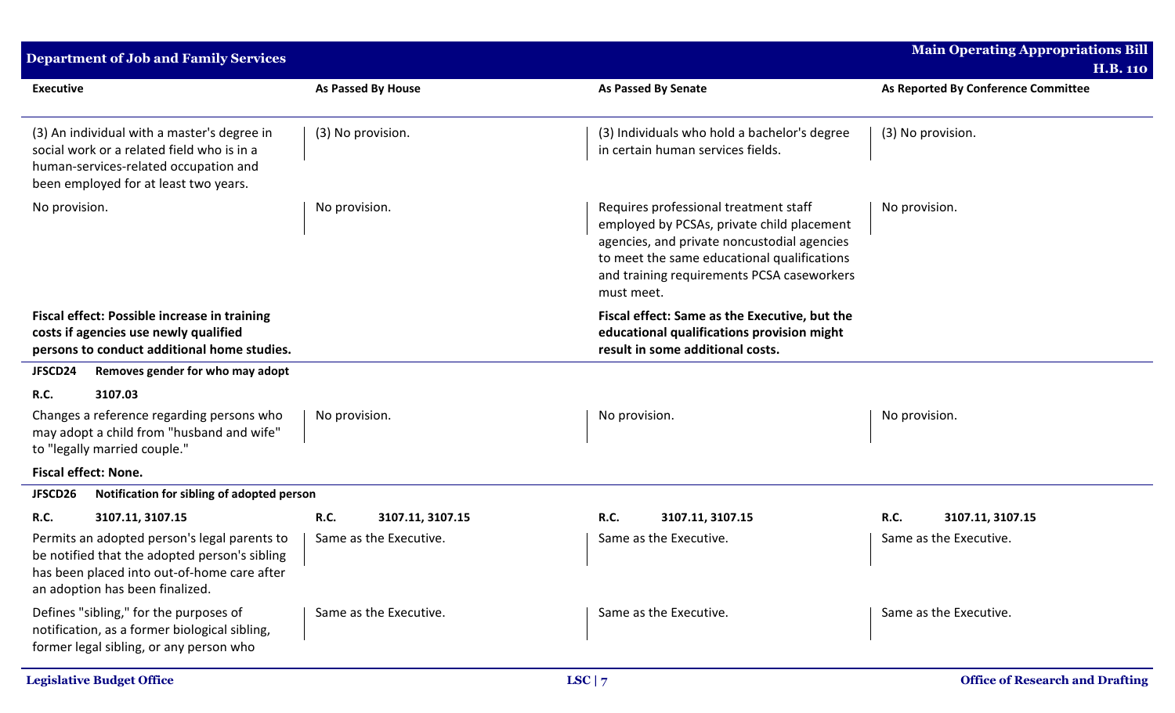| <b>Department of Job and Family Services</b>                                                                                                                                    |                          |                                                                                                                                                                                                                                               | <b>Main Operating Appropriations Bill</b><br><b>H.B. 110</b> |
|---------------------------------------------------------------------------------------------------------------------------------------------------------------------------------|--------------------------|-----------------------------------------------------------------------------------------------------------------------------------------------------------------------------------------------------------------------------------------------|--------------------------------------------------------------|
| <b>Executive</b>                                                                                                                                                                | As Passed By House       | <b>As Passed By Senate</b>                                                                                                                                                                                                                    | As Reported By Conference Committee                          |
| (3) An individual with a master's degree in<br>social work or a related field who is in a<br>human-services-related occupation and<br>been employed for at least two years.     | (3) No provision.        | (3) Individuals who hold a bachelor's degree<br>in certain human services fields.                                                                                                                                                             | (3) No provision.                                            |
| No provision.                                                                                                                                                                   | No provision.            | Requires professional treatment staff<br>employed by PCSAs, private child placement<br>agencies, and private noncustodial agencies<br>to meet the same educational qualifications<br>and training requirements PCSA caseworkers<br>must meet. | No provision.                                                |
| <b>Fiscal effect: Possible increase in training</b><br>costs if agencies use newly qualified<br>persons to conduct additional home studies.                                     |                          | Fiscal effect: Same as the Executive, but the<br>educational qualifications provision might<br>result in some additional costs.                                                                                                               |                                                              |
| Removes gender for who may adopt<br>JFSCD24                                                                                                                                     |                          |                                                                                                                                                                                                                                               |                                                              |
| R.C.<br>3107.03                                                                                                                                                                 |                          |                                                                                                                                                                                                                                               |                                                              |
| Changes a reference regarding persons who<br>No provision.<br>may adopt a child from "husband and wife"<br>to "legally married couple."                                         |                          | No provision.                                                                                                                                                                                                                                 | No provision.                                                |
| Fiscal effect: None.                                                                                                                                                            |                          |                                                                                                                                                                                                                                               |                                                              |
| Notification for sibling of adopted person<br>JFSCD26                                                                                                                           |                          |                                                                                                                                                                                                                                               |                                                              |
| R.C.<br>3107.11, 3107.15                                                                                                                                                        | R.C.<br>3107.11, 3107.15 | R.C.<br>3107.11, 3107.15                                                                                                                                                                                                                      | <b>R.C.</b><br>3107.11, 3107.15                              |
| Permits an adopted person's legal parents to<br>be notified that the adopted person's sibling<br>has been placed into out-of-home care after<br>an adoption has been finalized. | Same as the Executive.   | Same as the Executive.                                                                                                                                                                                                                        | Same as the Executive.                                       |
| Defines "sibling," for the purposes of<br>notification, as a former biological sibling,<br>former legal sibling, or any person who                                              | Same as the Executive.   | Same as the Executive.                                                                                                                                                                                                                        | Same as the Executive.                                       |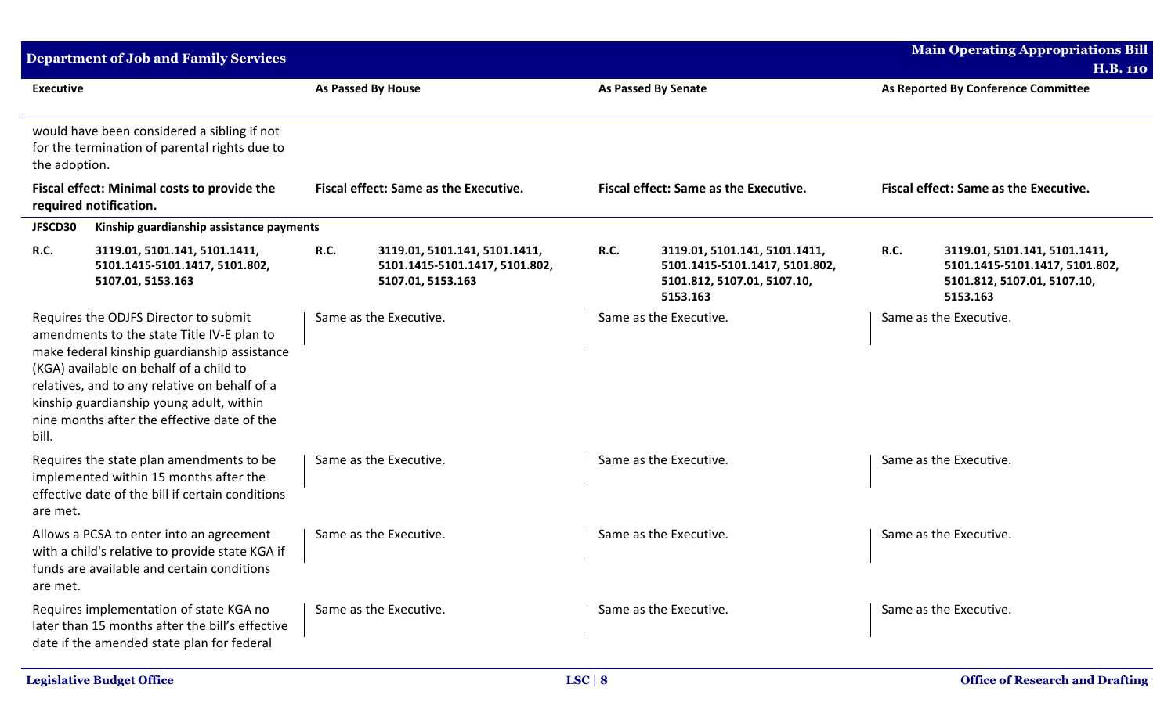|                  | <b>Department of Job and Family Services</b>                                                                                                                                                                                                                                                                               |             |                                                                                      |             |                                                                                                            |             | <b>Main Operating Appropriations Bill</b><br><b>H.B. 110</b>                                               |
|------------------|----------------------------------------------------------------------------------------------------------------------------------------------------------------------------------------------------------------------------------------------------------------------------------------------------------------------------|-------------|--------------------------------------------------------------------------------------|-------------|------------------------------------------------------------------------------------------------------------|-------------|------------------------------------------------------------------------------------------------------------|
| <b>Executive</b> |                                                                                                                                                                                                                                                                                                                            |             | <b>As Passed By House</b>                                                            |             | <b>As Passed By Senate</b>                                                                                 |             | As Reported By Conference Committee                                                                        |
| the adoption.    | would have been considered a sibling if not<br>for the termination of parental rights due to                                                                                                                                                                                                                               |             |                                                                                      |             |                                                                                                            |             |                                                                                                            |
|                  | Fiscal effect: Minimal costs to provide the<br>required notification.                                                                                                                                                                                                                                                      |             | <b>Fiscal effect: Same as the Executive.</b>                                         |             | <b>Fiscal effect: Same as the Executive.</b>                                                               |             | <b>Fiscal effect: Same as the Executive.</b>                                                               |
| JFSCD30          | Kinship guardianship assistance payments                                                                                                                                                                                                                                                                                   |             |                                                                                      |             |                                                                                                            |             |                                                                                                            |
| R.C.             | 3119.01, 5101.141, 5101.1411,<br>5101.1415-5101.1417, 5101.802,<br>5107.01, 5153.163                                                                                                                                                                                                                                       | <b>R.C.</b> | 3119.01, 5101.141, 5101.1411,<br>5101.1415-5101.1417, 5101.802,<br>5107.01, 5153.163 | <b>R.C.</b> | 3119.01, 5101.141, 5101.1411,<br>5101.1415-5101.1417, 5101.802,<br>5101.812, 5107.01, 5107.10,<br>5153.163 | <b>R.C.</b> | 3119.01, 5101.141, 5101.1411,<br>5101.1415-5101.1417, 5101.802,<br>5101.812, 5107.01, 5107.10,<br>5153.163 |
| bill.            | Requires the ODJFS Director to submit<br>amendments to the state Title IV-E plan to<br>make federal kinship guardianship assistance<br>(KGA) available on behalf of a child to<br>relatives, and to any relative on behalf of a<br>kinship guardianship young adult, within<br>nine months after the effective date of the |             | Same as the Executive.                                                               |             | Same as the Executive.                                                                                     |             | Same as the Executive.                                                                                     |
| are met.         | Requires the state plan amendments to be<br>implemented within 15 months after the<br>effective date of the bill if certain conditions                                                                                                                                                                                     |             | Same as the Executive.                                                               |             | Same as the Executive.                                                                                     |             | Same as the Executive.                                                                                     |
| are met.         | Allows a PCSA to enter into an agreement<br>with a child's relative to provide state KGA if<br>funds are available and certain conditions                                                                                                                                                                                  |             | Same as the Executive.                                                               |             | Same as the Executive.                                                                                     |             | Same as the Executive.                                                                                     |
|                  | Requires implementation of state KGA no<br>later than 15 months after the bill's effective<br>date if the amended state plan for federal                                                                                                                                                                                   |             | Same as the Executive.                                                               |             | Same as the Executive.                                                                                     |             | Same as the Executive.                                                                                     |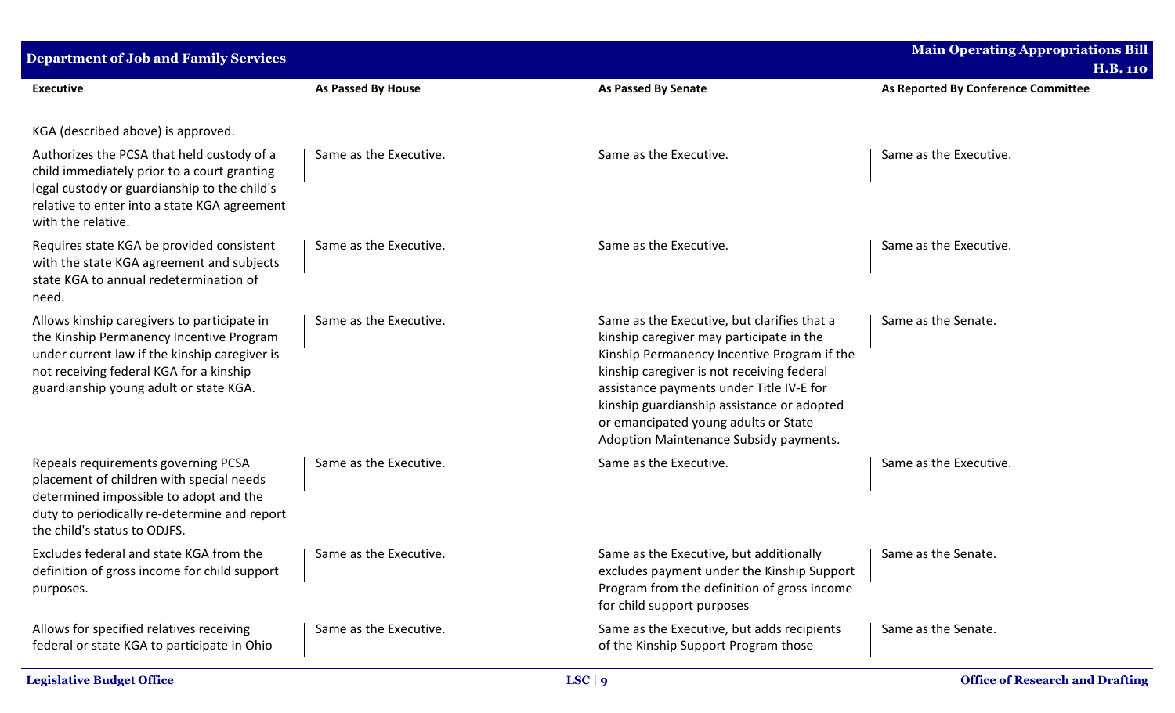| Department of Job and Family Services                                                                                                                                                                                         |                        |                                                                                                                                                                                                                                                                                                                                                                  | <b>Main Operating Appropriations Bill</b>              |
|-------------------------------------------------------------------------------------------------------------------------------------------------------------------------------------------------------------------------------|------------------------|------------------------------------------------------------------------------------------------------------------------------------------------------------------------------------------------------------------------------------------------------------------------------------------------------------------------------------------------------------------|--------------------------------------------------------|
| <b>Executive</b>                                                                                                                                                                                                              | As Passed By House     | <b>As Passed By Senate</b>                                                                                                                                                                                                                                                                                                                                       | <b>H.B. 110</b><br>As Reported By Conference Committee |
| KGA (described above) is approved.                                                                                                                                                                                            |                        |                                                                                                                                                                                                                                                                                                                                                                  |                                                        |
| Authorizes the PCSA that held custody of a<br>child immediately prior to a court granting<br>legal custody or guardianship to the child's<br>relative to enter into a state KGA agreement<br>with the relative.               | Same as the Executive. | Same as the Executive.                                                                                                                                                                                                                                                                                                                                           | Same as the Executive.                                 |
| Requires state KGA be provided consistent<br>with the state KGA agreement and subjects<br>state KGA to annual redetermination of<br>need.                                                                                     | Same as the Executive. | Same as the Executive.                                                                                                                                                                                                                                                                                                                                           | Same as the Executive.                                 |
| Allows kinship caregivers to participate in<br>the Kinship Permanency Incentive Program<br>under current law if the kinship caregiver is<br>not receiving federal KGA for a kinship<br>guardianship young adult or state KGA. | Same as the Executive. | Same as the Executive, but clarifies that a<br>kinship caregiver may participate in the<br>Kinship Permanency Incentive Program if the<br>kinship caregiver is not receiving federal<br>assistance payments under Title IV-E for<br>kinship guardianship assistance or adopted<br>or emancipated young adults or State<br>Adoption Maintenance Subsidy payments. | Same as the Senate.                                    |
| Repeals requirements governing PCSA<br>placement of children with special needs<br>determined impossible to adopt and the<br>duty to periodically re-determine and report<br>the child's status to ODJFS.                     | Same as the Executive. | Same as the Executive.                                                                                                                                                                                                                                                                                                                                           | Same as the Executive.                                 |
| Excludes federal and state KGA from the<br>definition of gross income for child support<br>purposes.                                                                                                                          | Same as the Executive. | Same as the Executive, but additionally<br>excludes payment under the Kinship Support<br>Program from the definition of gross income<br>for child support purposes                                                                                                                                                                                               | Same as the Senate.                                    |
| Allows for specified relatives receiving<br>federal or state KGA to participate in Ohio                                                                                                                                       | Same as the Executive. | Same as the Executive, but adds recipients<br>of the Kinship Support Program those                                                                                                                                                                                                                                                                               | Same as the Senate.                                    |
| <b>Legislative Budget Office</b>                                                                                                                                                                                              | LSC   9                |                                                                                                                                                                                                                                                                                                                                                                  | <b>Office of Research and Drafting</b>                 |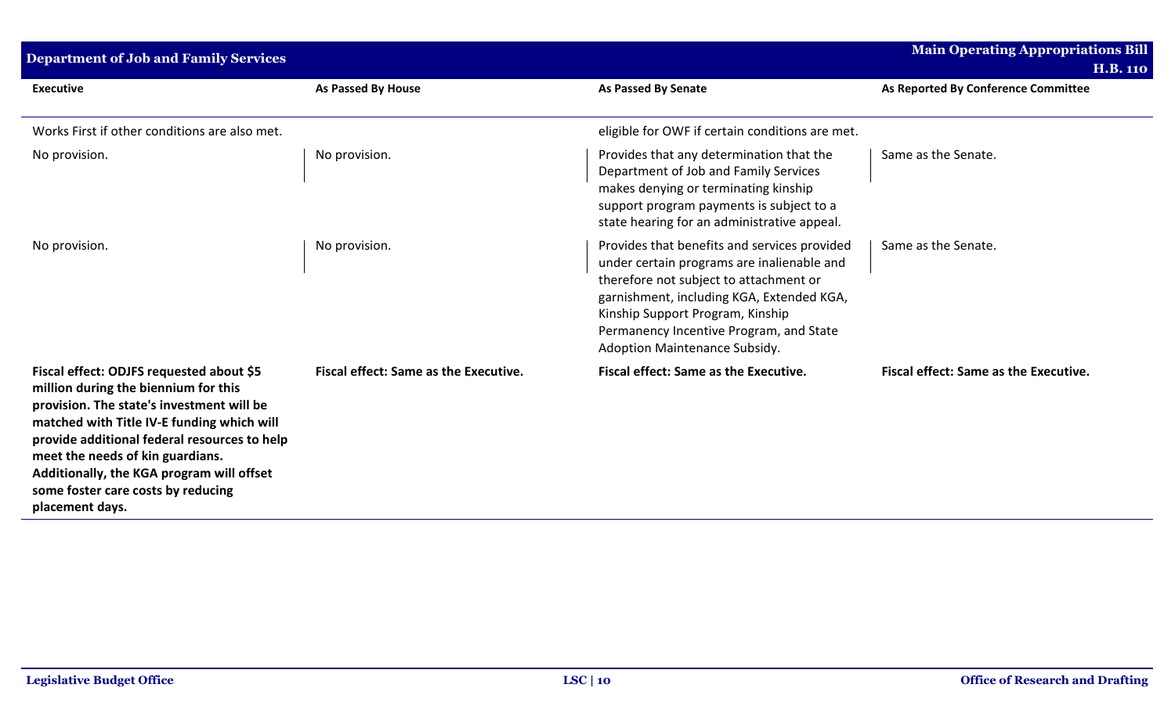| <b>Department of Job and Family Services</b>                                                                                                                                                                                                                                                                                                                          |                                              |                                                                                                                                                                                                                                                                                                   | <b>Main Operating Appropriations Bill</b><br><b>H.B. 110</b> |
|-----------------------------------------------------------------------------------------------------------------------------------------------------------------------------------------------------------------------------------------------------------------------------------------------------------------------------------------------------------------------|----------------------------------------------|---------------------------------------------------------------------------------------------------------------------------------------------------------------------------------------------------------------------------------------------------------------------------------------------------|--------------------------------------------------------------|
| <b>Executive</b>                                                                                                                                                                                                                                                                                                                                                      | As Passed By House                           | <b>As Passed By Senate</b>                                                                                                                                                                                                                                                                        | As Reported By Conference Committee                          |
| Works First if other conditions are also met.                                                                                                                                                                                                                                                                                                                         |                                              | eligible for OWF if certain conditions are met.                                                                                                                                                                                                                                                   |                                                              |
| No provision.                                                                                                                                                                                                                                                                                                                                                         | No provision.                                | Provides that any determination that the<br>Department of Job and Family Services<br>makes denying or terminating kinship<br>support program payments is subject to a<br>state hearing for an administrative appeal.                                                                              | Same as the Senate.                                          |
| No provision.                                                                                                                                                                                                                                                                                                                                                         | No provision.                                | Provides that benefits and services provided<br>under certain programs are inalienable and<br>therefore not subject to attachment or<br>garnishment, including KGA, Extended KGA,<br>Kinship Support Program, Kinship<br>Permanency Incentive Program, and State<br>Adoption Maintenance Subsidy. | Same as the Senate.                                          |
| Fiscal effect: ODJFS requested about \$5<br>million during the biennium for this<br>provision. The state's investment will be<br>matched with Title IV-E funding which will<br>provide additional federal resources to help<br>meet the needs of kin guardians.<br>Additionally, the KGA program will offset<br>some foster care costs by reducing<br>placement days. | <b>Fiscal effect: Same as the Executive.</b> | <b>Fiscal effect: Same as the Executive.</b>                                                                                                                                                                                                                                                      | <b>Fiscal effect: Same as the Executive.</b>                 |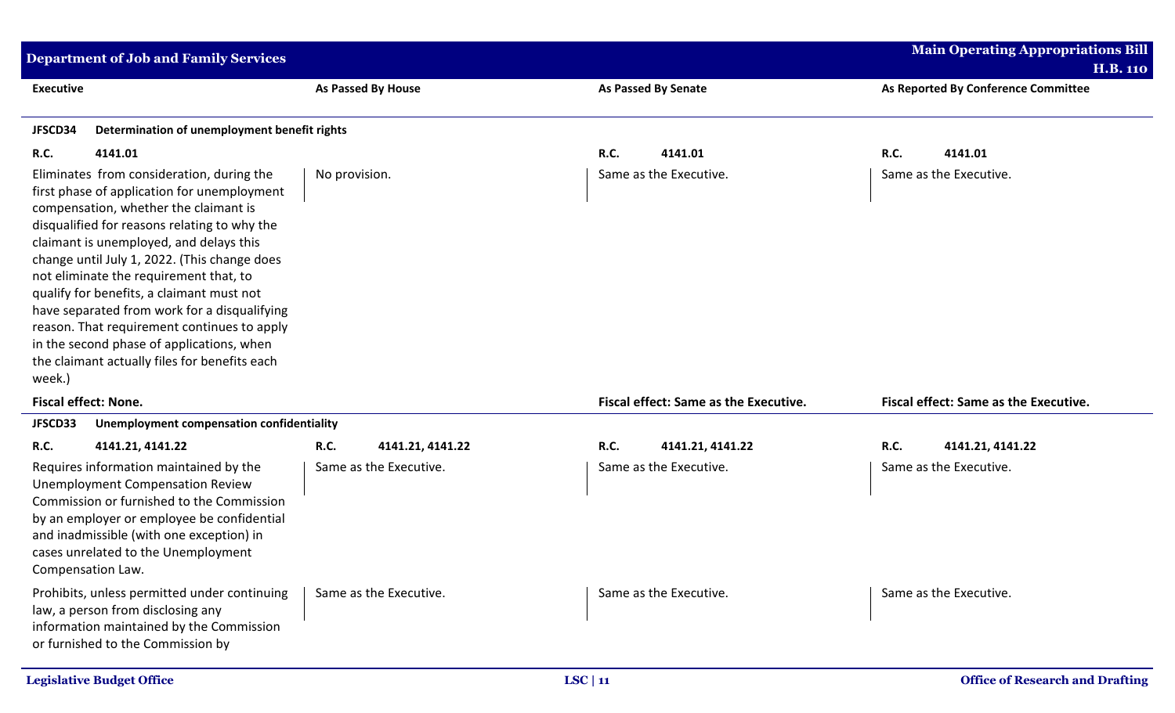| <b>Department of Job and Family Services</b>                                                                                                                                                                                                                                                                                                                                                                                                                                                                                                                               |                                 |                                       | <b>Main Operating Appropriations Bill</b>              |
|----------------------------------------------------------------------------------------------------------------------------------------------------------------------------------------------------------------------------------------------------------------------------------------------------------------------------------------------------------------------------------------------------------------------------------------------------------------------------------------------------------------------------------------------------------------------------|---------------------------------|---------------------------------------|--------------------------------------------------------|
| <b>Executive</b>                                                                                                                                                                                                                                                                                                                                                                                                                                                                                                                                                           | <b>As Passed By House</b>       | <b>As Passed By Senate</b>            | <b>H.B. 110</b><br>As Reported By Conference Committee |
| JFSCD34<br>Determination of unemployment benefit rights                                                                                                                                                                                                                                                                                                                                                                                                                                                                                                                    |                                 |                                       |                                                        |
| <b>R.C.</b><br>4141.01                                                                                                                                                                                                                                                                                                                                                                                                                                                                                                                                                     |                                 | R.C.<br>4141.01                       | R.C.<br>4141.01                                        |
| Eliminates from consideration, during the<br>first phase of application for unemployment<br>compensation, whether the claimant is<br>disqualified for reasons relating to why the<br>claimant is unemployed, and delays this<br>change until July 1, 2022. (This change does<br>not eliminate the requirement that, to<br>qualify for benefits, a claimant must not<br>have separated from work for a disqualifying<br>reason. That requirement continues to apply<br>in the second phase of applications, when<br>the claimant actually files for benefits each<br>week.) | No provision.                   | Same as the Executive.                | Same as the Executive.                                 |
| Fiscal effect: None.                                                                                                                                                                                                                                                                                                                                                                                                                                                                                                                                                       |                                 | Fiscal effect: Same as the Executive. | Fiscal effect: Same as the Executive.                  |
| JFSCD33<br>Unemployment compensation confidentiality                                                                                                                                                                                                                                                                                                                                                                                                                                                                                                                       |                                 |                                       |                                                        |
| <b>R.C.</b><br>4141.21, 4141.22                                                                                                                                                                                                                                                                                                                                                                                                                                                                                                                                            | <b>R.C.</b><br>4141.21, 4141.22 | R.C.<br>4141.21, 4141.22              | R.C.<br>4141.21, 4141.22                               |
| Requires information maintained by the<br><b>Unemployment Compensation Review</b><br>Commission or furnished to the Commission<br>by an employer or employee be confidential<br>and inadmissible (with one exception) in<br>cases unrelated to the Unemployment<br>Compensation Law.                                                                                                                                                                                                                                                                                       | Same as the Executive.          | Same as the Executive.                | Same as the Executive.                                 |
| Prohibits, unless permitted under continuing<br>law, a person from disclosing any<br>information maintained by the Commission<br>or furnished to the Commission by                                                                                                                                                                                                                                                                                                                                                                                                         | Same as the Executive.          | Same as the Executive.                | Same as the Executive.                                 |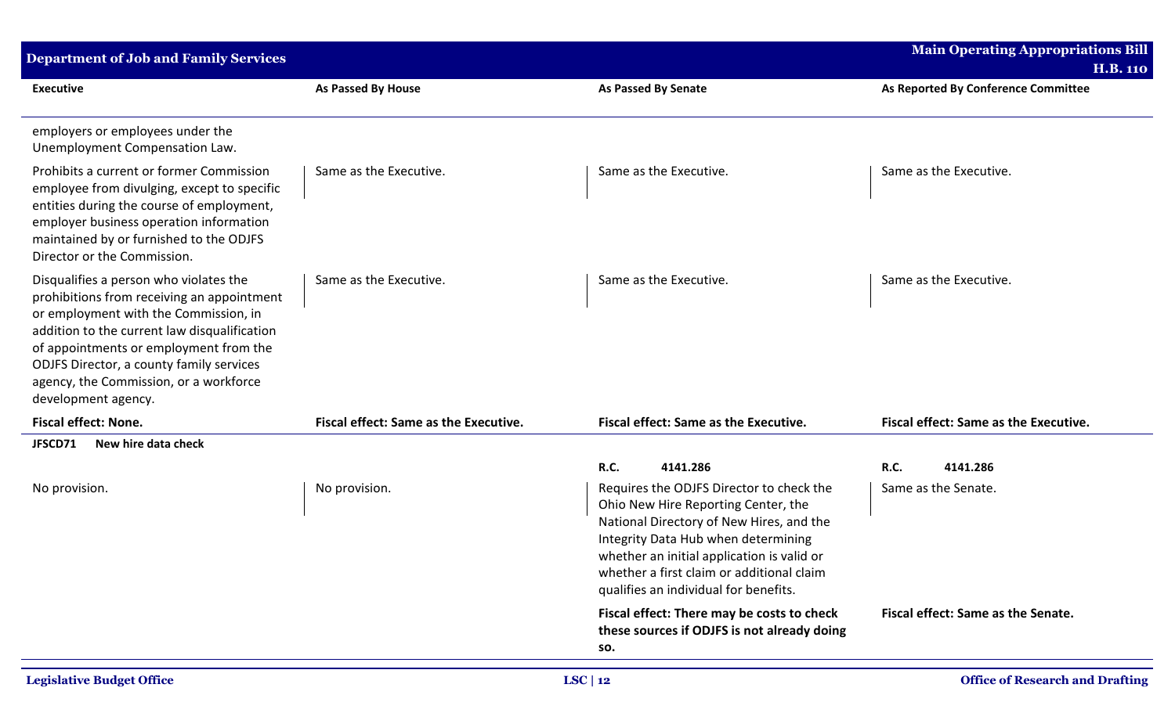| <b>Department of Job and Family Services</b>                                                                                                                                                                                                                                                                                         |                                              |                                                                                                                                                                                                                                                                                                        | <b>Main Operating Appropriations Bill</b>    |
|--------------------------------------------------------------------------------------------------------------------------------------------------------------------------------------------------------------------------------------------------------------------------------------------------------------------------------------|----------------------------------------------|--------------------------------------------------------------------------------------------------------------------------------------------------------------------------------------------------------------------------------------------------------------------------------------------------------|----------------------------------------------|
|                                                                                                                                                                                                                                                                                                                                      |                                              |                                                                                                                                                                                                                                                                                                        | <b>H.B. 110</b>                              |
| <b>Executive</b>                                                                                                                                                                                                                                                                                                                     | <b>As Passed By House</b>                    | <b>As Passed By Senate</b>                                                                                                                                                                                                                                                                             | As Reported By Conference Committee          |
| employers or employees under the<br>Unemployment Compensation Law.                                                                                                                                                                                                                                                                   |                                              |                                                                                                                                                                                                                                                                                                        |                                              |
| Prohibits a current or former Commission<br>employee from divulging, except to specific<br>entities during the course of employment,<br>employer business operation information<br>maintained by or furnished to the ODJFS<br>Director or the Commission.                                                                            | Same as the Executive.                       | Same as the Executive.                                                                                                                                                                                                                                                                                 | Same as the Executive.                       |
| Disqualifies a person who violates the<br>prohibitions from receiving an appointment<br>or employment with the Commission, in<br>addition to the current law disqualification<br>of appointments or employment from the<br>ODJFS Director, a county family services<br>agency, the Commission, or a workforce<br>development agency. | Same as the Executive.                       | Same as the Executive.                                                                                                                                                                                                                                                                                 | Same as the Executive.                       |
| <b>Fiscal effect: None.</b>                                                                                                                                                                                                                                                                                                          | <b>Fiscal effect: Same as the Executive.</b> | <b>Fiscal effect: Same as the Executive.</b>                                                                                                                                                                                                                                                           | <b>Fiscal effect: Same as the Executive.</b> |
| New hire data check<br>JFSCD71                                                                                                                                                                                                                                                                                                       |                                              |                                                                                                                                                                                                                                                                                                        |                                              |
|                                                                                                                                                                                                                                                                                                                                      |                                              | <b>R.C.</b><br>4141.286                                                                                                                                                                                                                                                                                | R.C.<br>4141.286                             |
| No provision.                                                                                                                                                                                                                                                                                                                        | No provision.                                | Requires the ODJFS Director to check the<br>Ohio New Hire Reporting Center, the<br>National Directory of New Hires, and the<br>Integrity Data Hub when determining<br>whether an initial application is valid or<br>whether a first claim or additional claim<br>qualifies an individual for benefits. | Same as the Senate.                          |
|                                                                                                                                                                                                                                                                                                                                      |                                              | Fiscal effect: There may be costs to check<br>these sources if ODJFS is not already doing<br>SO.                                                                                                                                                                                                       | Fiscal effect: Same as the Senate.           |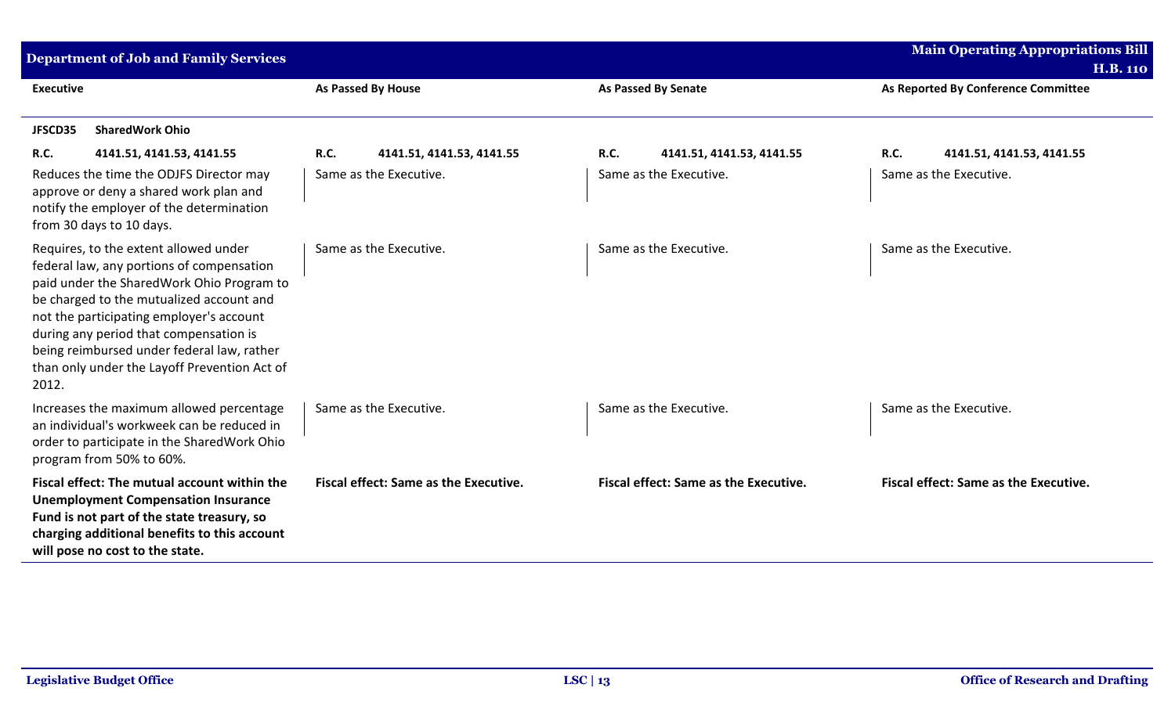| <b>Department of Job and Family Services</b>                                                                                                                                                                                                                                                                                                                             |                                              |                                              | <b>Main Operating Appropriations Bill</b><br><b>H.B. 110</b> |
|--------------------------------------------------------------------------------------------------------------------------------------------------------------------------------------------------------------------------------------------------------------------------------------------------------------------------------------------------------------------------|----------------------------------------------|----------------------------------------------|--------------------------------------------------------------|
| <b>Executive</b>                                                                                                                                                                                                                                                                                                                                                         | <b>As Passed By House</b>                    | <b>As Passed By Senate</b>                   | As Reported By Conference Committee                          |
| <b>SharedWork Ohio</b><br>JFSCD35                                                                                                                                                                                                                                                                                                                                        |                                              |                                              |                                                              |
| <b>R.C.</b><br>4141.51, 4141.53, 4141.55                                                                                                                                                                                                                                                                                                                                 | <b>R.C.</b><br>4141.51, 4141.53, 4141.55     | <b>R.C.</b><br>4141.51, 4141.53, 4141.55     | <b>R.C.</b><br>4141.51, 4141.53, 4141.55                     |
| Reduces the time the ODJFS Director may<br>approve or deny a shared work plan and<br>notify the employer of the determination<br>from 30 days to 10 days.                                                                                                                                                                                                                | Same as the Executive.                       | Same as the Executive.                       | Same as the Executive.                                       |
| Requires, to the extent allowed under<br>federal law, any portions of compensation<br>paid under the SharedWork Ohio Program to<br>be charged to the mutualized account and<br>not the participating employer's account<br>during any period that compensation is<br>being reimbursed under federal law, rather<br>than only under the Layoff Prevention Act of<br>2012. | Same as the Executive.                       | Same as the Executive.                       | Same as the Executive.                                       |
| Increases the maximum allowed percentage<br>an individual's workweek can be reduced in<br>order to participate in the SharedWork Ohio<br>program from 50% to 60%.                                                                                                                                                                                                        | Same as the Executive.                       | Same as the Executive.                       | Same as the Executive.                                       |
| Fiscal effect: The mutual account within the<br><b>Unemployment Compensation Insurance</b><br>Fund is not part of the state treasury, so<br>charging additional benefits to this account<br>will pose no cost to the state.                                                                                                                                              | <b>Fiscal effect: Same as the Executive.</b> | <b>Fiscal effect: Same as the Executive.</b> | <b>Fiscal effect: Same as the Executive.</b>                 |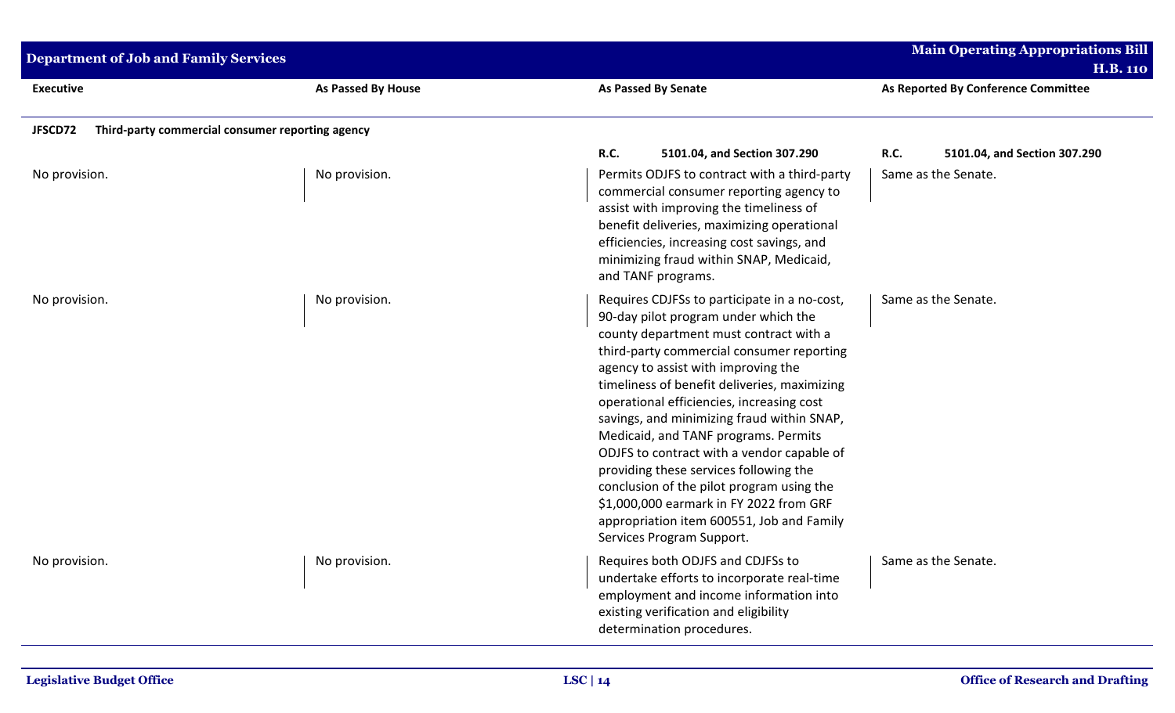| <b>Department of Job and Family Services</b>                |                    |                                                                                                                                                                                                                                                                                                                                                                                                                                                                                                                                                                                                                                                                 | <b>Main Operating Appropriations Bill</b><br><b>H.B. 110</b>       |
|-------------------------------------------------------------|--------------------|-----------------------------------------------------------------------------------------------------------------------------------------------------------------------------------------------------------------------------------------------------------------------------------------------------------------------------------------------------------------------------------------------------------------------------------------------------------------------------------------------------------------------------------------------------------------------------------------------------------------------------------------------------------------|--------------------------------------------------------------------|
| <b>Executive</b>                                            | As Passed By House | <b>As Passed By Senate</b>                                                                                                                                                                                                                                                                                                                                                                                                                                                                                                                                                                                                                                      | As Reported By Conference Committee                                |
| JFSCD72<br>Third-party commercial consumer reporting agency |                    |                                                                                                                                                                                                                                                                                                                                                                                                                                                                                                                                                                                                                                                                 |                                                                    |
| No provision.                                               | No provision.      | <b>R.C.</b><br>5101.04, and Section 307.290<br>Permits ODJFS to contract with a third-party<br>commercial consumer reporting agency to<br>assist with improving the timeliness of<br>benefit deliveries, maximizing operational<br>efficiencies, increasing cost savings, and<br>minimizing fraud within SNAP, Medicaid,<br>and TANF programs.                                                                                                                                                                                                                                                                                                                  | <b>R.C.</b><br>5101.04, and Section 307.290<br>Same as the Senate. |
| No provision.                                               | No provision.      | Requires CDJFSs to participate in a no-cost,<br>90-day pilot program under which the<br>county department must contract with a<br>third-party commercial consumer reporting<br>agency to assist with improving the<br>timeliness of benefit deliveries, maximizing<br>operational efficiencies, increasing cost<br>savings, and minimizing fraud within SNAP,<br>Medicaid, and TANF programs. Permits<br>ODJFS to contract with a vendor capable of<br>providing these services following the<br>conclusion of the pilot program using the<br>\$1,000,000 earmark in FY 2022 from GRF<br>appropriation item 600551, Job and Family<br>Services Program Support. | Same as the Senate.                                                |
| No provision.                                               | No provision.      | Requires both ODJFS and CDJFSs to<br>undertake efforts to incorporate real-time<br>employment and income information into<br>existing verification and eligibility<br>determination procedures.                                                                                                                                                                                                                                                                                                                                                                                                                                                                 | Same as the Senate.                                                |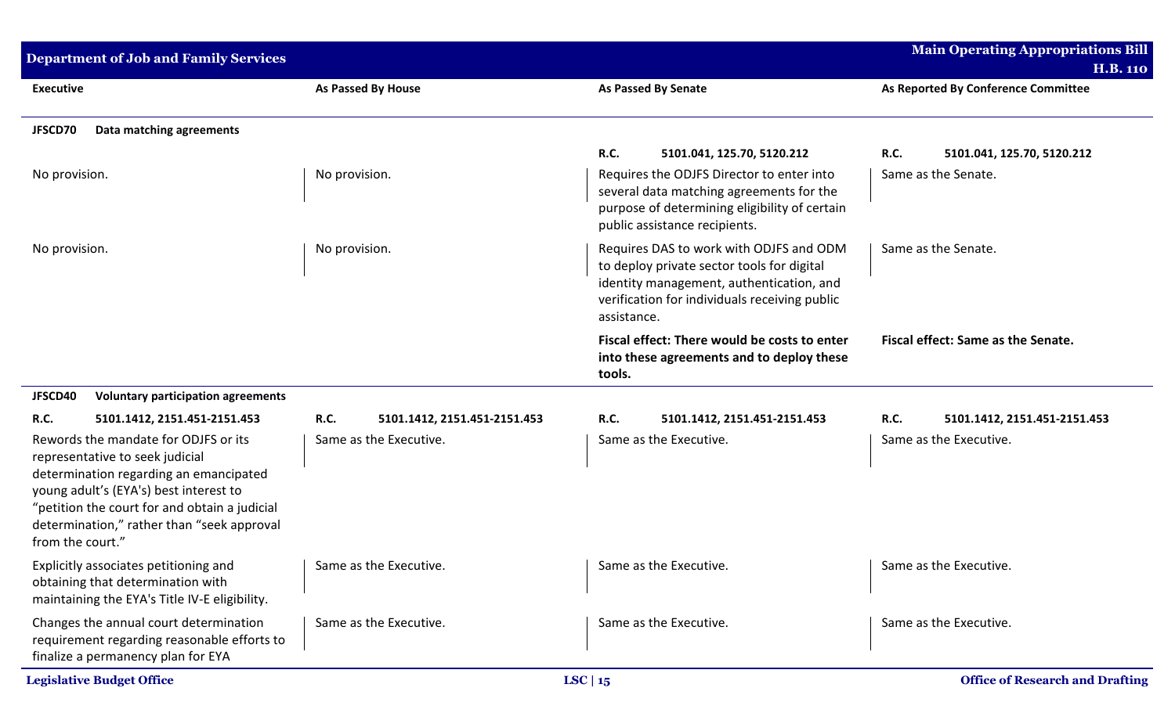| <b>Department of Job and Family Services</b>                                                                                                                                                                                                                                   |                                             |                                                                                                                                                                                                   | <b>Main Operating Appropriations Bill</b><br><b>H.B. 110</b> |
|--------------------------------------------------------------------------------------------------------------------------------------------------------------------------------------------------------------------------------------------------------------------------------|---------------------------------------------|---------------------------------------------------------------------------------------------------------------------------------------------------------------------------------------------------|--------------------------------------------------------------|
| <b>Executive</b>                                                                                                                                                                                                                                                               | As Passed By House                          | <b>As Passed By Senate</b>                                                                                                                                                                        | As Reported By Conference Committee                          |
| JFSCD70<br>Data matching agreements                                                                                                                                                                                                                                            |                                             |                                                                                                                                                                                                   |                                                              |
|                                                                                                                                                                                                                                                                                |                                             | <b>R.C.</b><br>5101.041, 125.70, 5120.212                                                                                                                                                         | R.C.<br>5101.041, 125.70, 5120.212                           |
| No provision.                                                                                                                                                                                                                                                                  | No provision.                               | Requires the ODJFS Director to enter into<br>several data matching agreements for the<br>purpose of determining eligibility of certain<br>public assistance recipients.                           | Same as the Senate.                                          |
| No provision.                                                                                                                                                                                                                                                                  | No provision.                               | Requires DAS to work with ODJFS and ODM<br>to deploy private sector tools for digital<br>identity management, authentication, and<br>verification for individuals receiving public<br>assistance. | Same as the Senate.                                          |
|                                                                                                                                                                                                                                                                                |                                             | Fiscal effect: There would be costs to enter<br>into these agreements and to deploy these<br>tools.                                                                                               | Fiscal effect: Same as the Senate.                           |
| JFSCD40<br><b>Voluntary participation agreements</b>                                                                                                                                                                                                                           |                                             |                                                                                                                                                                                                   |                                                              |
| <b>R.C.</b><br>5101.1412, 2151.451-2151.453                                                                                                                                                                                                                                    | <b>R.C.</b><br>5101.1412, 2151.451-2151.453 | <b>R.C.</b><br>5101.1412, 2151.451-2151.453                                                                                                                                                       | <b>R.C.</b><br>5101.1412, 2151.451-2151.453                  |
| Rewords the mandate for ODJFS or its<br>representative to seek judicial<br>determination regarding an emancipated<br>young adult's (EYA's) best interest to<br>"petition the court for and obtain a judicial<br>determination," rather than "seek approval<br>from the court." | Same as the Executive.                      | Same as the Executive.                                                                                                                                                                            | Same as the Executive.                                       |
| Explicitly associates petitioning and<br>obtaining that determination with<br>maintaining the EYA's Title IV-E eligibility.                                                                                                                                                    | Same as the Executive.                      | Same as the Executive.                                                                                                                                                                            | Same as the Executive.                                       |
| Changes the annual court determination<br>requirement regarding reasonable efforts to<br>finalize a permanency plan for EYA                                                                                                                                                    | Same as the Executive.                      | Same as the Executive.                                                                                                                                                                            | Same as the Executive.                                       |
| <b>Legislative Budget Office</b>                                                                                                                                                                                                                                               |                                             | LSC   $15$                                                                                                                                                                                        | <b>Office of Research and Drafting</b>                       |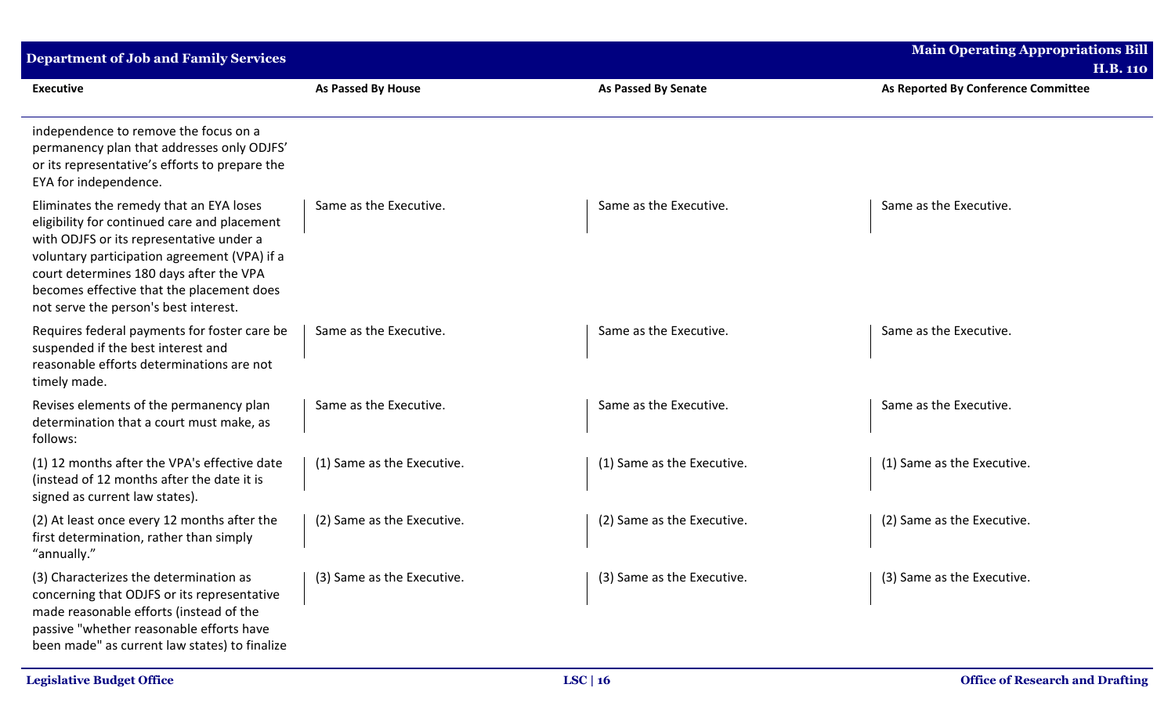| <b>Department of Job and Family Services</b>                                                                                                                                                                                                                                                                         |                            |                            | <b>Main Operating Appropriations Bill</b><br><b>H.B. 110</b> |
|----------------------------------------------------------------------------------------------------------------------------------------------------------------------------------------------------------------------------------------------------------------------------------------------------------------------|----------------------------|----------------------------|--------------------------------------------------------------|
| <b>Executive</b>                                                                                                                                                                                                                                                                                                     | <b>As Passed By House</b>  | <b>As Passed By Senate</b> | As Reported By Conference Committee                          |
| independence to remove the focus on a<br>permanency plan that addresses only ODJFS'<br>or its representative's efforts to prepare the<br>EYA for independence.                                                                                                                                                       |                            |                            |                                                              |
| Eliminates the remedy that an EYA loses<br>eligibility for continued care and placement<br>with ODJFS or its representative under a<br>voluntary participation agreement (VPA) if a<br>court determines 180 days after the VPA<br>becomes effective that the placement does<br>not serve the person's best interest. | Same as the Executive.     | Same as the Executive.     | Same as the Executive.                                       |
| Requires federal payments for foster care be<br>suspended if the best interest and<br>reasonable efforts determinations are not<br>timely made.                                                                                                                                                                      | Same as the Executive.     | Same as the Executive.     | Same as the Executive.                                       |
| Revises elements of the permanency plan<br>determination that a court must make, as<br>follows:                                                                                                                                                                                                                      | Same as the Executive.     | Same as the Executive.     | Same as the Executive.                                       |
| (1) 12 months after the VPA's effective date<br>(instead of 12 months after the date it is<br>signed as current law states).                                                                                                                                                                                         | (1) Same as the Executive. | (1) Same as the Executive. | (1) Same as the Executive.                                   |
| (2) At least once every 12 months after the<br>first determination, rather than simply<br>"annually."                                                                                                                                                                                                                | (2) Same as the Executive. | (2) Same as the Executive. | (2) Same as the Executive.                                   |
| (3) Characterizes the determination as<br>concerning that ODJFS or its representative<br>made reasonable efforts (instead of the<br>passive "whether reasonable efforts have<br>been made" as current law states) to finalize                                                                                        | (3) Same as the Executive. | (3) Same as the Executive. | (3) Same as the Executive.                                   |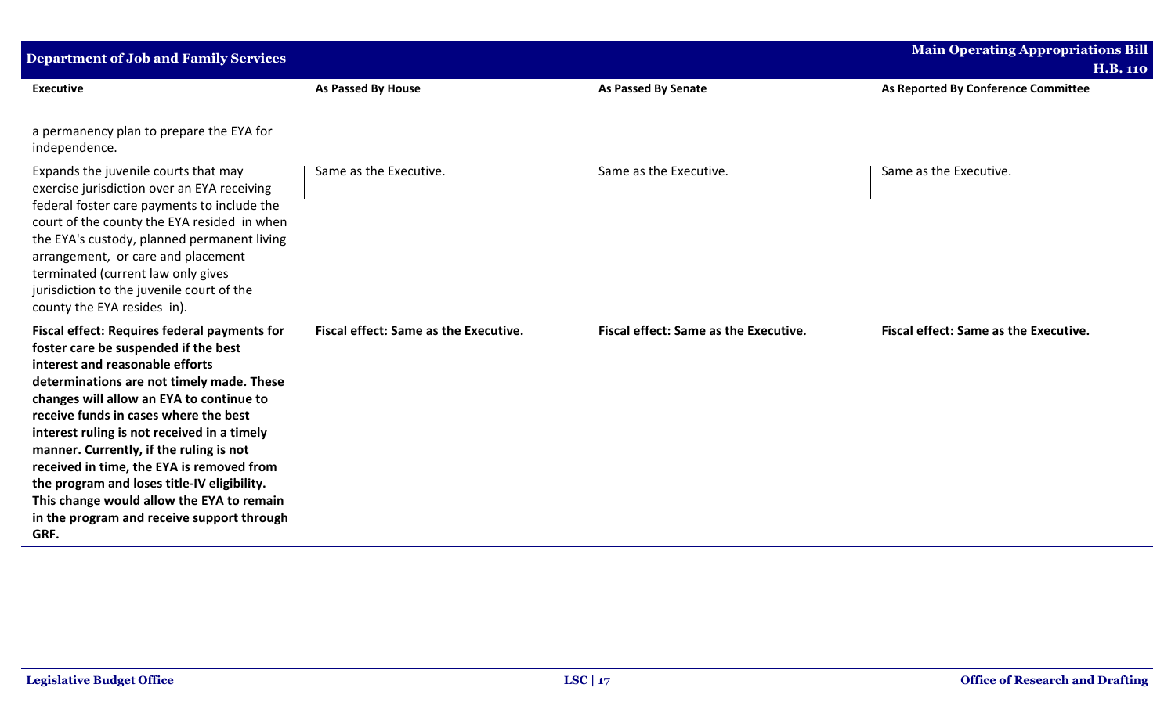| <b>Department of Job and Family Services</b>                                                                                                                                                                                                                                                                                                                                                                                                                                                                                                              |                                       |                                       | <b>Main Operating Appropriations Bill</b><br><b>H.B. 110</b> |
|-----------------------------------------------------------------------------------------------------------------------------------------------------------------------------------------------------------------------------------------------------------------------------------------------------------------------------------------------------------------------------------------------------------------------------------------------------------------------------------------------------------------------------------------------------------|---------------------------------------|---------------------------------------|--------------------------------------------------------------|
| <b>Executive</b>                                                                                                                                                                                                                                                                                                                                                                                                                                                                                                                                          | <b>As Passed By House</b>             | <b>As Passed By Senate</b>            | As Reported By Conference Committee                          |
| a permanency plan to prepare the EYA for<br>independence.                                                                                                                                                                                                                                                                                                                                                                                                                                                                                                 |                                       |                                       |                                                              |
| Expands the juvenile courts that may<br>exercise jurisdiction over an EYA receiving<br>federal foster care payments to include the<br>court of the county the EYA resided in when<br>the EYA's custody, planned permanent living<br>arrangement, or care and placement<br>terminated (current law only gives<br>jurisdiction to the juvenile court of the<br>county the EYA resides in).                                                                                                                                                                  | Same as the Executive.                | Same as the Executive.                | Same as the Executive.                                       |
| <b>Fiscal effect: Requires federal payments for</b><br>foster care be suspended if the best<br>interest and reasonable efforts<br>determinations are not timely made. These<br>changes will allow an EYA to continue to<br>receive funds in cases where the best<br>interest ruling is not received in a timely<br>manner. Currently, if the ruling is not<br>received in time, the EYA is removed from<br>the program and loses title-IV eligibility.<br>This change would allow the EYA to remain<br>in the program and receive support through<br>GRF. | Fiscal effect: Same as the Executive. | Fiscal effect: Same as the Executive. | Fiscal effect: Same as the Executive.                        |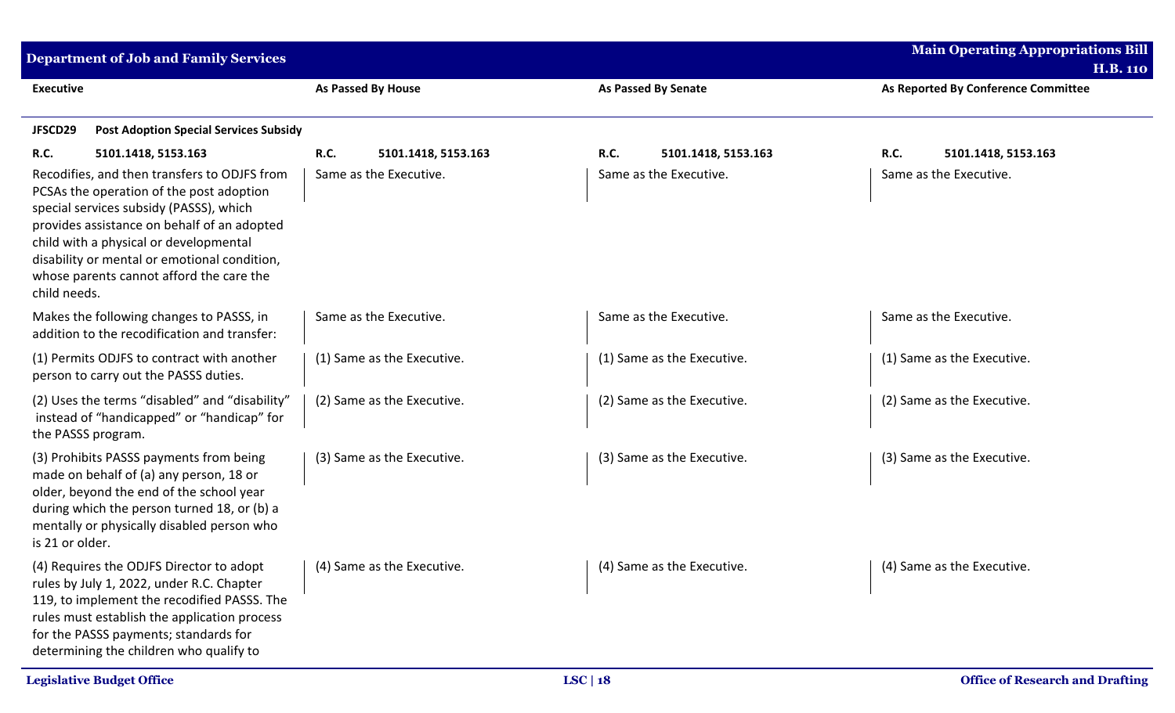| Department of Job and Family Services                                                                                                                                                                                                                                                                                                                                   |                                                              |                                                       | <b>Main Operating Appropriations Bill</b><br><b>H.B. 110</b> |
|-------------------------------------------------------------------------------------------------------------------------------------------------------------------------------------------------------------------------------------------------------------------------------------------------------------------------------------------------------------------------|--------------------------------------------------------------|-------------------------------------------------------|--------------------------------------------------------------|
| <b>Executive</b>                                                                                                                                                                                                                                                                                                                                                        | <b>As Passed By House</b>                                    | <b>As Passed By Senate</b>                            | As Reported By Conference Committee                          |
| JFSCD29<br><b>Post Adoption Special Services Subsidy</b>                                                                                                                                                                                                                                                                                                                |                                                              |                                                       |                                                              |
| R.C.<br>5101.1418, 5153.163<br>Recodifies, and then transfers to ODJFS from<br>PCSAs the operation of the post adoption<br>special services subsidy (PASSS), which<br>provides assistance on behalf of an adopted<br>child with a physical or developmental<br>disability or mental or emotional condition,<br>whose parents cannot afford the care the<br>child needs. | <b>R.C.</b><br>5101.1418, 5153.163<br>Same as the Executive. | R.C.<br>5101.1418, 5153.163<br>Same as the Executive. | <b>R.C.</b><br>5101.1418, 5153.163<br>Same as the Executive. |
| Makes the following changes to PASSS, in<br>addition to the recodification and transfer:                                                                                                                                                                                                                                                                                | Same as the Executive.                                       | Same as the Executive.                                | Same as the Executive.                                       |
| (1) Permits ODJFS to contract with another<br>person to carry out the PASSS duties.                                                                                                                                                                                                                                                                                     | (1) Same as the Executive.                                   | (1) Same as the Executive.                            | (1) Same as the Executive.                                   |
| (2) Uses the terms "disabled" and "disability"<br>instead of "handicapped" or "handicap" for<br>the PASSS program.                                                                                                                                                                                                                                                      | (2) Same as the Executive.                                   | (2) Same as the Executive.                            | (2) Same as the Executive.                                   |
| (3) Prohibits PASSS payments from being<br>made on behalf of (a) any person, 18 or<br>older, beyond the end of the school year<br>during which the person turned 18, or (b) a<br>mentally or physically disabled person who<br>is 21 or older.                                                                                                                          | (3) Same as the Executive.                                   | (3) Same as the Executive.                            | (3) Same as the Executive.                                   |
| (4) Requires the ODJFS Director to adopt $(4)$ Same as the Executive.<br>rules by July 1, 2022, under R.C. Chapter<br>119, to implement the recodified PASSS. The<br>rules must establish the application process<br>for the PASSS payments; standards for<br>determining the children who qualify to                                                                   |                                                              | (4) Same as the Executive.                            | (4) Same as the Executive.                                   |
| <b>Legislative Budget Office</b>                                                                                                                                                                                                                                                                                                                                        |                                                              | LSC   $18$                                            | <b>Office of Research and Drafting</b>                       |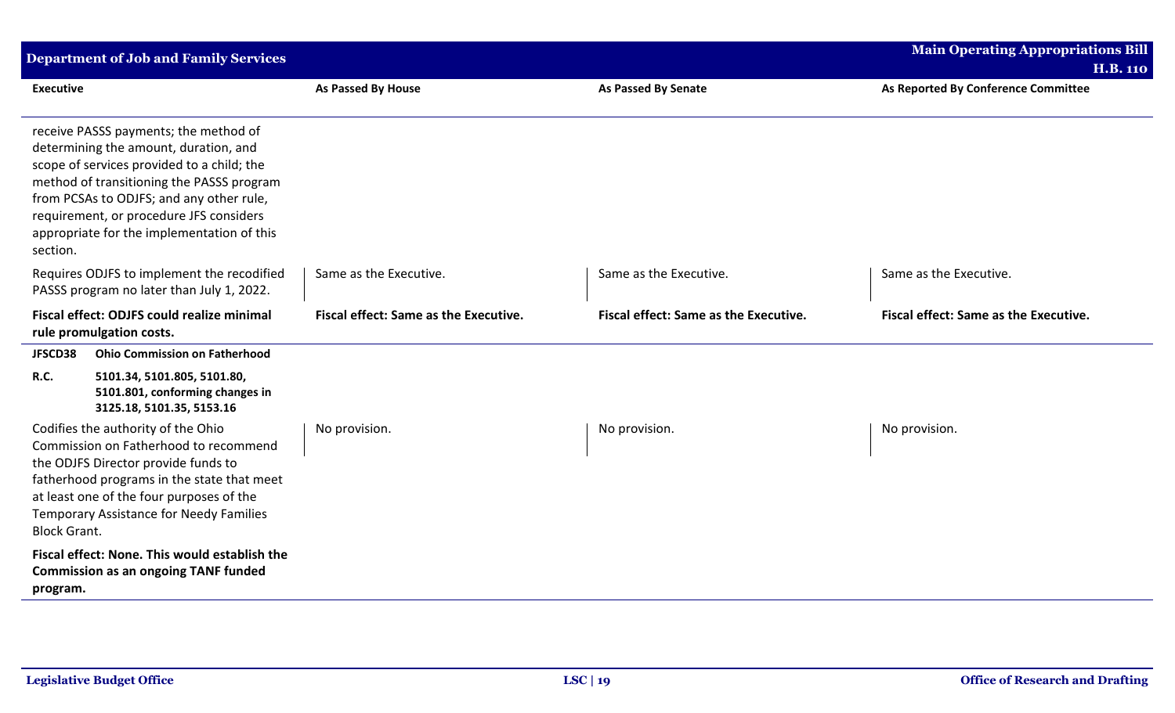|                     | <b>Department of Job and Family Services</b>                                                                                                                                                                                                                                                                   |                                       |                                       | <b>Main Operating Appropriations Bill</b> |
|---------------------|----------------------------------------------------------------------------------------------------------------------------------------------------------------------------------------------------------------------------------------------------------------------------------------------------------------|---------------------------------------|---------------------------------------|-------------------------------------------|
|                     |                                                                                                                                                                                                                                                                                                                |                                       |                                       | <b>H.B. 110</b>                           |
| <b>Executive</b>    |                                                                                                                                                                                                                                                                                                                | As Passed By House                    | <b>As Passed By Senate</b>            | As Reported By Conference Committee       |
| section.            | receive PASSS payments; the method of<br>determining the amount, duration, and<br>scope of services provided to a child; the<br>method of transitioning the PASSS program<br>from PCSAs to ODJFS; and any other rule,<br>requirement, or procedure JFS considers<br>appropriate for the implementation of this |                                       |                                       |                                           |
|                     | Requires ODJFS to implement the recodified<br>PASSS program no later than July 1, 2022.                                                                                                                                                                                                                        | Same as the Executive.                | Same as the Executive.                | Same as the Executive.                    |
|                     | Fiscal effect: ODJFS could realize minimal<br>rule promulgation costs.                                                                                                                                                                                                                                         | Fiscal effect: Same as the Executive. | Fiscal effect: Same as the Executive. | Fiscal effect: Same as the Executive.     |
| JFSCD38             | <b>Ohio Commission on Fatherhood</b>                                                                                                                                                                                                                                                                           |                                       |                                       |                                           |
| R.C.                | 5101.34, 5101.805, 5101.80,<br>5101.801, conforming changes in<br>3125.18, 5101.35, 5153.16                                                                                                                                                                                                                    |                                       |                                       |                                           |
| <b>Block Grant.</b> | Codifies the authority of the Ohio<br>Commission on Fatherhood to recommend<br>the ODJFS Director provide funds to<br>fatherhood programs in the state that meet<br>at least one of the four purposes of the<br>Temporary Assistance for Needy Families                                                        | No provision.                         | No provision.                         | No provision.                             |
| program.            | Fiscal effect: None. This would establish the<br><b>Commission as an ongoing TANF funded</b>                                                                                                                                                                                                                   |                                       |                                       |                                           |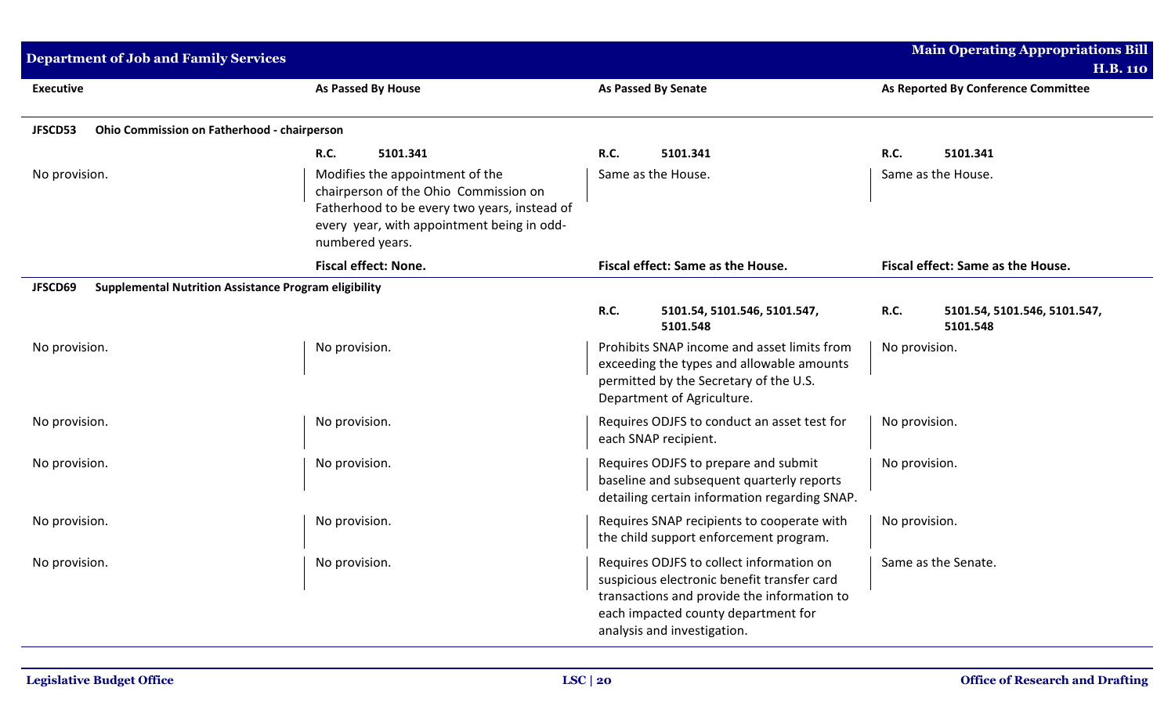| <b>Department of Job and Family Services</b>           |                                                                                                                                                                                           |                                                                                                                                                                                                              | <b>Main Operating Appropriations Bill</b>              |
|--------------------------------------------------------|-------------------------------------------------------------------------------------------------------------------------------------------------------------------------------------------|--------------------------------------------------------------------------------------------------------------------------------------------------------------------------------------------------------------|--------------------------------------------------------|
| <b>Executive</b>                                       | As Passed By House                                                                                                                                                                        | <b>As Passed By Senate</b>                                                                                                                                                                                   | <b>H.B. 110</b><br>As Reported By Conference Committee |
|                                                        |                                                                                                                                                                                           |                                                                                                                                                                                                              |                                                        |
| JFSCD53<br>Ohio Commission on Fatherhood - chairperson |                                                                                                                                                                                           |                                                                                                                                                                                                              |                                                        |
|                                                        | <b>R.C.</b><br>5101.341                                                                                                                                                                   | <b>R.C.</b><br>5101.341                                                                                                                                                                                      | R.C.<br>5101.341                                       |
| No provision.                                          | Modifies the appointment of the<br>chairperson of the Ohio Commission on<br>Fatherhood to be every two years, instead of<br>every year, with appointment being in odd-<br>numbered years. | Same as the House.                                                                                                                                                                                           | Same as the House.                                     |
|                                                        | <b>Fiscal effect: None.</b>                                                                                                                                                               | Fiscal effect: Same as the House.                                                                                                                                                                            | Fiscal effect: Same as the House.                      |
| JFSCD69                                                | <b>Supplemental Nutrition Assistance Program eligibility</b>                                                                                                                              |                                                                                                                                                                                                              |                                                        |
|                                                        |                                                                                                                                                                                           | <b>R.C.</b><br>5101.54, 5101.546, 5101.547,<br>5101.548                                                                                                                                                      | R.C.<br>5101.54, 5101.546, 5101.547,<br>5101.548       |
| No provision.                                          | No provision.                                                                                                                                                                             | Prohibits SNAP income and asset limits from<br>exceeding the types and allowable amounts<br>permitted by the Secretary of the U.S.<br>Department of Agriculture.                                             | No provision.                                          |
| No provision.                                          | No provision.                                                                                                                                                                             | Requires ODJFS to conduct an asset test for<br>each SNAP recipient.                                                                                                                                          | No provision.                                          |
| No provision.                                          | No provision.                                                                                                                                                                             | Requires ODJFS to prepare and submit<br>baseline and subsequent quarterly reports<br>detailing certain information regarding SNAP.                                                                           | No provision.                                          |
| No provision.                                          | No provision.                                                                                                                                                                             | Requires SNAP recipients to cooperate with<br>the child support enforcement program.                                                                                                                         | No provision.                                          |
| No provision.                                          | No provision.                                                                                                                                                                             | Requires ODJFS to collect information on<br>suspicious electronic benefit transfer card<br>transactions and provide the information to<br>each impacted county department for<br>analysis and investigation. | Same as the Senate.                                    |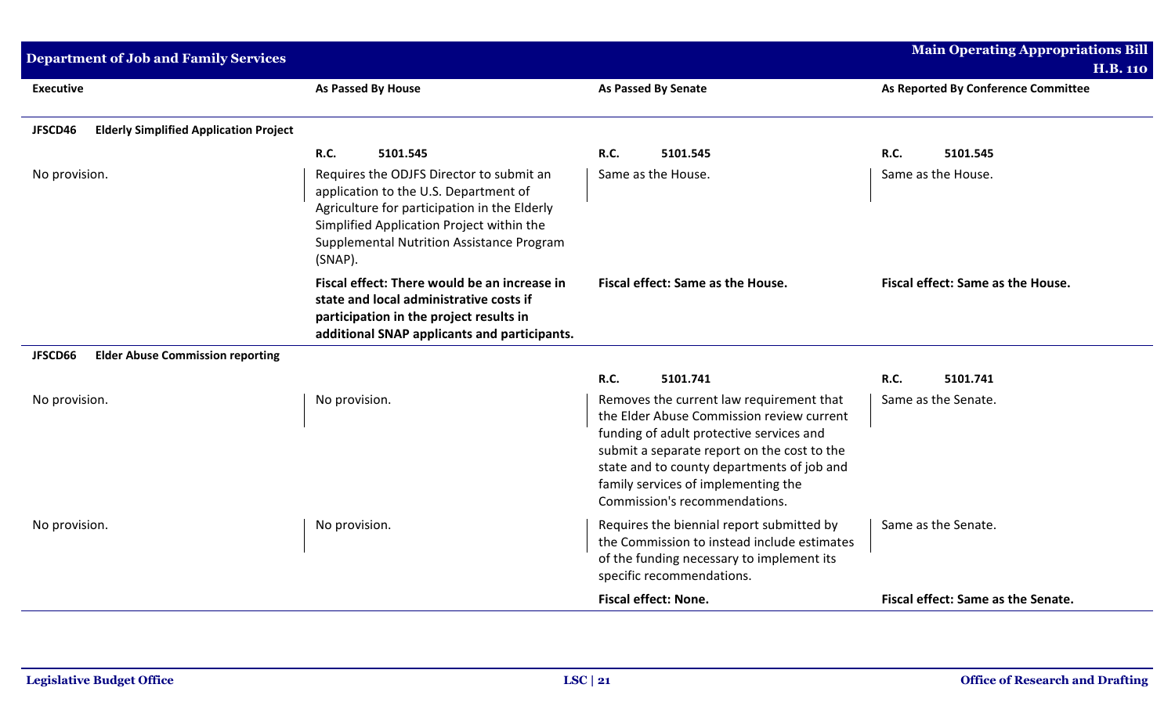| <b>Department of Job and Family Services</b>             |                                                                                                                                                                                                                                        |                                                                                                                                                                                                                                                                                                                            | <b>Main Operating Appropriations Bill</b><br><b>H.B. 110</b> |
|----------------------------------------------------------|----------------------------------------------------------------------------------------------------------------------------------------------------------------------------------------------------------------------------------------|----------------------------------------------------------------------------------------------------------------------------------------------------------------------------------------------------------------------------------------------------------------------------------------------------------------------------|--------------------------------------------------------------|
| <b>Executive</b>                                         | <b>As Passed By House</b>                                                                                                                                                                                                              | As Passed By Senate                                                                                                                                                                                                                                                                                                        | As Reported By Conference Committee                          |
| <b>Elderly Simplified Application Project</b><br>JFSCD46 | <b>R.C.</b><br>5101.545                                                                                                                                                                                                                | <b>R.C.</b><br>5101.545                                                                                                                                                                                                                                                                                                    | <b>R.C.</b><br>5101.545                                      |
| No provision.                                            | Requires the ODJFS Director to submit an<br>application to the U.S. Department of<br>Agriculture for participation in the Elderly<br>Simplified Application Project within the<br>Supplemental Nutrition Assistance Program<br>(SNAP). | Same as the House.                                                                                                                                                                                                                                                                                                         | Same as the House.                                           |
|                                                          | Fiscal effect: There would be an increase in<br>state and local administrative costs if<br>participation in the project results in<br>additional SNAP applicants and participants.                                                     | Fiscal effect: Same as the House.                                                                                                                                                                                                                                                                                          | Fiscal effect: Same as the House.                            |
| <b>Elder Abuse Commission reporting</b><br>JFSCD66       |                                                                                                                                                                                                                                        |                                                                                                                                                                                                                                                                                                                            |                                                              |
| No provision.                                            | No provision.                                                                                                                                                                                                                          | R.C.<br>5101.741<br>Removes the current law requirement that<br>the Elder Abuse Commission review current<br>funding of adult protective services and<br>submit a separate report on the cost to the<br>state and to county departments of job and<br>family services of implementing the<br>Commission's recommendations. | <b>R.C.</b><br>5101.741<br>Same as the Senate.               |
| No provision.                                            | No provision.                                                                                                                                                                                                                          | Requires the biennial report submitted by<br>the Commission to instead include estimates<br>of the funding necessary to implement its<br>specific recommendations.                                                                                                                                                         | Same as the Senate.                                          |
|                                                          |                                                                                                                                                                                                                                        | <b>Fiscal effect: None.</b>                                                                                                                                                                                                                                                                                                | Fiscal effect: Same as the Senate.                           |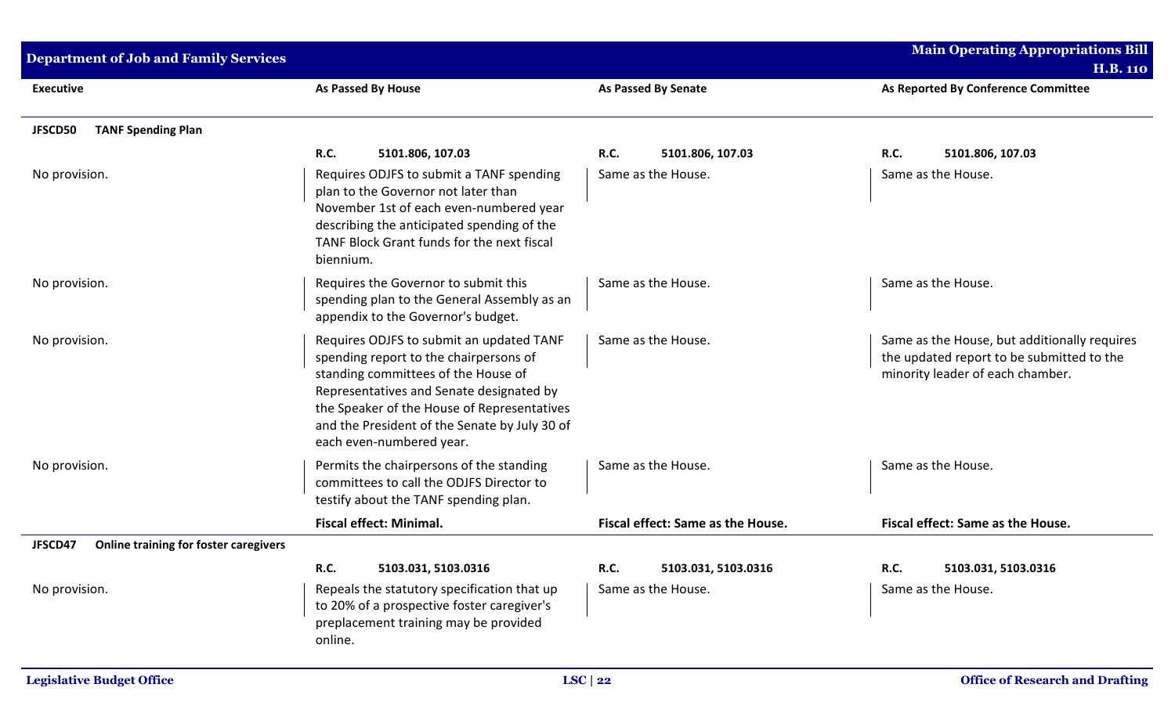| <b>Department of Job and Family Services</b>            |                                                                                                                                                                                                                                                                                                   |                                   | <b>Main Operating Appropriations Bill</b>                                                                                     |
|---------------------------------------------------------|---------------------------------------------------------------------------------------------------------------------------------------------------------------------------------------------------------------------------------------------------------------------------------------------------|-----------------------------------|-------------------------------------------------------------------------------------------------------------------------------|
|                                                         |                                                                                                                                                                                                                                                                                                   |                                   | <b>H.B. 110</b>                                                                                                               |
| <b>Executive</b>                                        | As Passed By House                                                                                                                                                                                                                                                                                | <b>As Passed By Senate</b>        | As Reported By Conference Committee                                                                                           |
| <b>TANF Spending Plan</b><br>JFSCD50                    |                                                                                                                                                                                                                                                                                                   |                                   |                                                                                                                               |
|                                                         | R.C.<br>5101.806, 107.03                                                                                                                                                                                                                                                                          | <b>R.C.</b><br>5101.806, 107.03   | <b>R.C.</b><br>5101.806, 107.03                                                                                               |
| No provision.                                           | Requires ODJFS to submit a TANF spending<br>plan to the Governor not later than<br>November 1st of each even-numbered year<br>describing the anticipated spending of the<br>TANF Block Grant funds for the next fiscal<br>biennium.                                                               | Same as the House.                | Same as the House.                                                                                                            |
| No provision.                                           | Requires the Governor to submit this<br>spending plan to the General Assembly as an<br>appendix to the Governor's budget.                                                                                                                                                                         | Same as the House.                | Same as the House.                                                                                                            |
| No provision.                                           | Requires ODJFS to submit an updated TANF<br>spending report to the chairpersons of<br>standing committees of the House of<br>Representatives and Senate designated by<br>the Speaker of the House of Representatives<br>and the President of the Senate by July 30 of<br>each even-numbered year. | Same as the House.                | Same as the House, but additionally requires<br>the updated report to be submitted to the<br>minority leader of each chamber. |
| No provision.                                           | Permits the chairpersons of the standing<br>committees to call the ODJFS Director to<br>testify about the TANF spending plan.                                                                                                                                                                     | Same as the House.                | Same as the House.                                                                                                            |
|                                                         | <b>Fiscal effect: Minimal.</b>                                                                                                                                                                                                                                                                    | Fiscal effect: Same as the House. | Fiscal effect: Same as the House.                                                                                             |
| <b>Online training for foster caregivers</b><br>JFSCD47 |                                                                                                                                                                                                                                                                                                   |                                   |                                                                                                                               |
|                                                         | R.C.<br>5103.031, 5103.0316                                                                                                                                                                                                                                                                       | R.C.<br>5103.031, 5103.0316       | R.C.<br>5103.031, 5103.0316                                                                                                   |
| No provision.                                           | Repeals the statutory specification that up<br>to 20% of a prospective foster caregiver's<br>preplacement training may be provided<br>online.                                                                                                                                                     | Same as the House.                | Same as the House.                                                                                                            |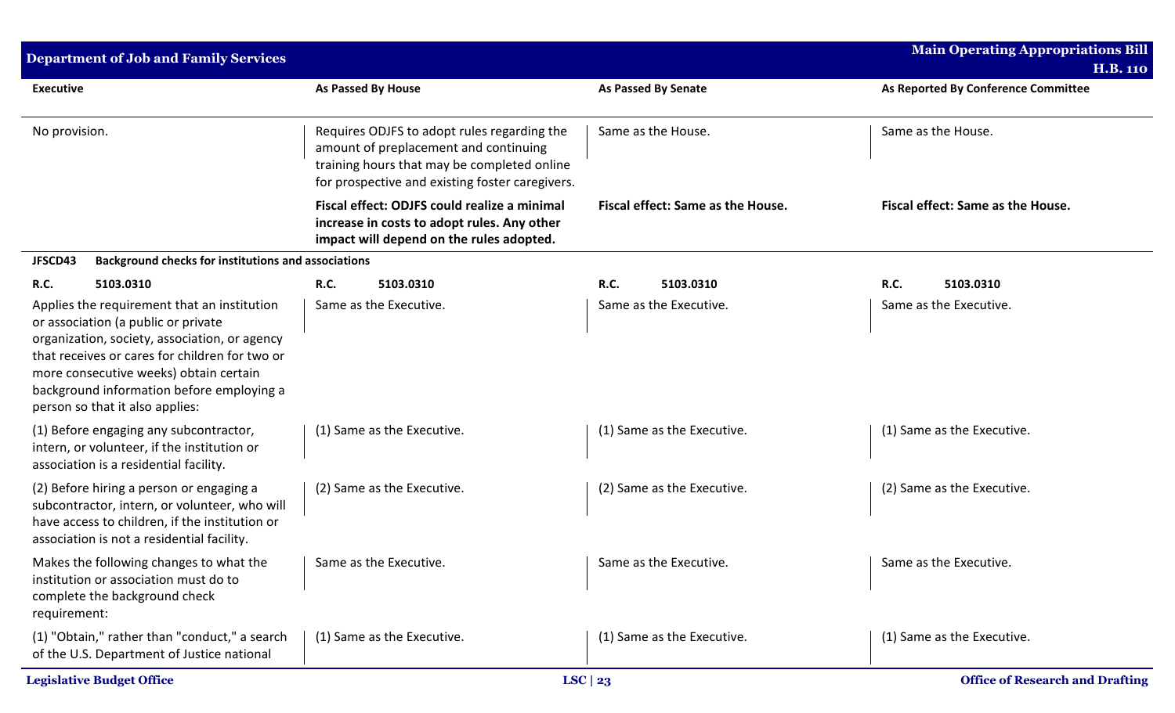| <b>Department of Job and Family Services</b>                                                                                                                                                                                                                                                                    |                                                                                                                                                                                        |                                   | <b>Main Operating Appropriations Bill</b>              |
|-----------------------------------------------------------------------------------------------------------------------------------------------------------------------------------------------------------------------------------------------------------------------------------------------------------------|----------------------------------------------------------------------------------------------------------------------------------------------------------------------------------------|-----------------------------------|--------------------------------------------------------|
| <b>Executive</b>                                                                                                                                                                                                                                                                                                | <b>As Passed By House</b>                                                                                                                                                              | <b>As Passed By Senate</b>        | <b>H.B. 110</b><br>As Reported By Conference Committee |
| No provision.                                                                                                                                                                                                                                                                                                   | Requires ODJFS to adopt rules regarding the<br>amount of preplacement and continuing<br>training hours that may be completed online<br>for prospective and existing foster caregivers. | Same as the House.                | Same as the House.                                     |
|                                                                                                                                                                                                                                                                                                                 | Fiscal effect: ODJFS could realize a minimal<br>increase in costs to adopt rules. Any other<br>impact will depend on the rules adopted.                                                | Fiscal effect: Same as the House. | Fiscal effect: Same as the House.                      |
| JFSCD43<br><b>Background checks for institutions and associations</b>                                                                                                                                                                                                                                           |                                                                                                                                                                                        |                                   |                                                        |
| 5103.0310<br><b>R.C.</b>                                                                                                                                                                                                                                                                                        | <b>R.C.</b><br>5103.0310                                                                                                                                                               | R.C.<br>5103.0310                 | R.C.<br>5103.0310                                      |
| Applies the requirement that an institution<br>or association (a public or private<br>organization, society, association, or agency<br>that receives or cares for children for two or<br>more consecutive weeks) obtain certain<br>background information before employing a<br>person so that it also applies: | Same as the Executive.                                                                                                                                                                 | Same as the Executive.            | Same as the Executive.                                 |
| (1) Before engaging any subcontractor,<br>intern, or volunteer, if the institution or<br>association is a residential facility.                                                                                                                                                                                 | (1) Same as the Executive.                                                                                                                                                             | (1) Same as the Executive.        | (1) Same as the Executive.                             |
| (2) Before hiring a person or engaging a<br>subcontractor, intern, or volunteer, who will<br>have access to children, if the institution or<br>association is not a residential facility.                                                                                                                       | (2) Same as the Executive.                                                                                                                                                             | (2) Same as the Executive.        | (2) Same as the Executive.                             |
| Makes the following changes to what the   Same as the Executive.<br>institution or association must do to<br>complete the background check<br>requirement:                                                                                                                                                      |                                                                                                                                                                                        | Same as the Executive.            | Same as the Executive.                                 |
| (1) "Obtain," rather than "conduct," a search<br>of the U.S. Department of Justice national                                                                                                                                                                                                                     | (1) Same as the Executive.                                                                                                                                                             | (1) Same as the Executive.        | (1) Same as the Executive.                             |
| <b>Legislative Budget Office</b>                                                                                                                                                                                                                                                                                |                                                                                                                                                                                        | LSC $\mid$ 23                     | <b>Office of Research and Drafting</b>                 |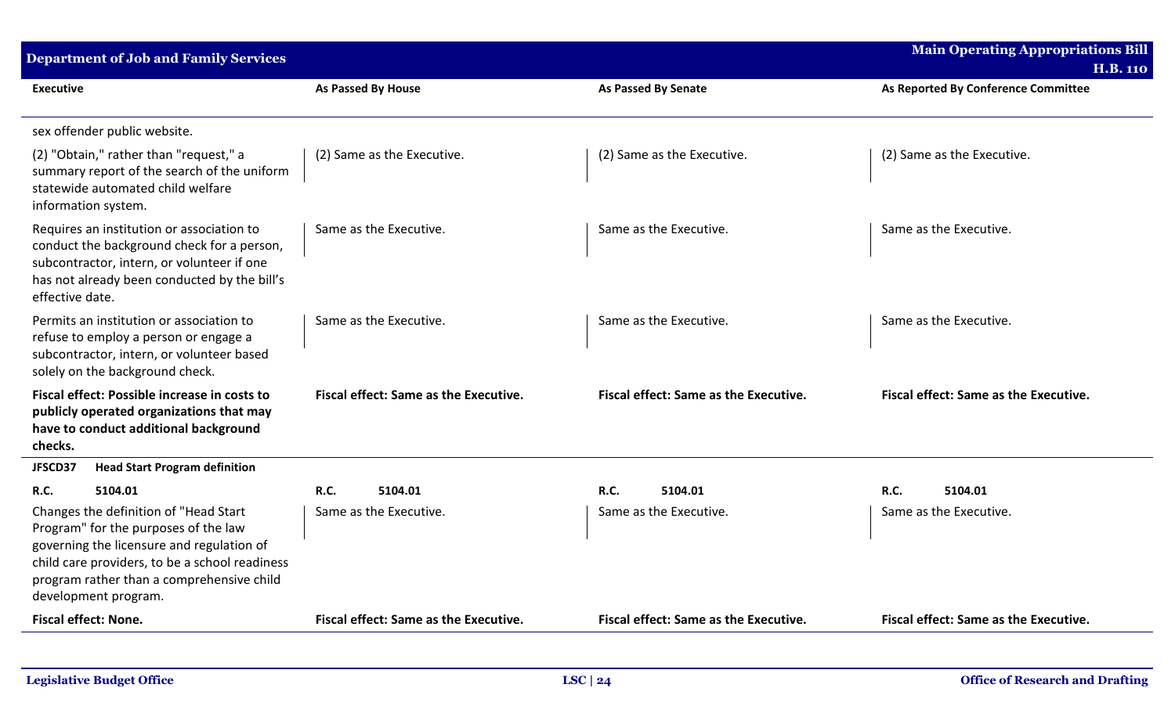| <b>Department of Job and Family Services</b>                                                                                                                                                                                                      |                                              |                                       | <b>Main Operating Appropriations Bill</b><br><b>H.B. 110</b> |
|---------------------------------------------------------------------------------------------------------------------------------------------------------------------------------------------------------------------------------------------------|----------------------------------------------|---------------------------------------|--------------------------------------------------------------|
| <b>Executive</b>                                                                                                                                                                                                                                  | As Passed By House                           | <b>As Passed By Senate</b>            | As Reported By Conference Committee                          |
| sex offender public website.                                                                                                                                                                                                                      |                                              |                                       |                                                              |
| (2) "Obtain," rather than "request," a<br>summary report of the search of the uniform<br>statewide automated child welfare<br>information system.                                                                                                 | (2) Same as the Executive.                   | (2) Same as the Executive.            | (2) Same as the Executive.                                   |
| Requires an institution or association to<br>conduct the background check for a person,<br>subcontractor, intern, or volunteer if one<br>has not already been conducted by the bill's<br>effective date.                                          | Same as the Executive.                       | Same as the Executive.                | Same as the Executive.                                       |
| Permits an institution or association to<br>refuse to employ a person or engage a<br>subcontractor, intern, or volunteer based<br>solely on the background check.                                                                                 | Same as the Executive.                       | Same as the Executive.                | Same as the Executive.                                       |
| Fiscal effect: Possible increase in costs to<br>publicly operated organizations that may<br>have to conduct additional background<br>checks.                                                                                                      | Fiscal effect: Same as the Executive.        | Fiscal effect: Same as the Executive. | Fiscal effect: Same as the Executive.                        |
| <b>Head Start Program definition</b><br>JFSCD37                                                                                                                                                                                                   |                                              |                                       |                                                              |
| 5104.01<br>R.C.                                                                                                                                                                                                                                   | <b>R.C.</b><br>5104.01                       | R.C.<br>5104.01                       | <b>R.C.</b><br>5104.01                                       |
| Changes the definition of "Head Start<br>Program" for the purposes of the law<br>governing the licensure and regulation of<br>child care providers, to be a school readiness<br>program rather than a comprehensive child<br>development program. | Same as the Executive.                       | Same as the Executive.                | Same as the Executive.                                       |
| <b>Fiscal effect: None.</b>                                                                                                                                                                                                                       | <b>Fiscal effect: Same as the Executive.</b> | Fiscal effect: Same as the Executive. | Fiscal effect: Same as the Executive.                        |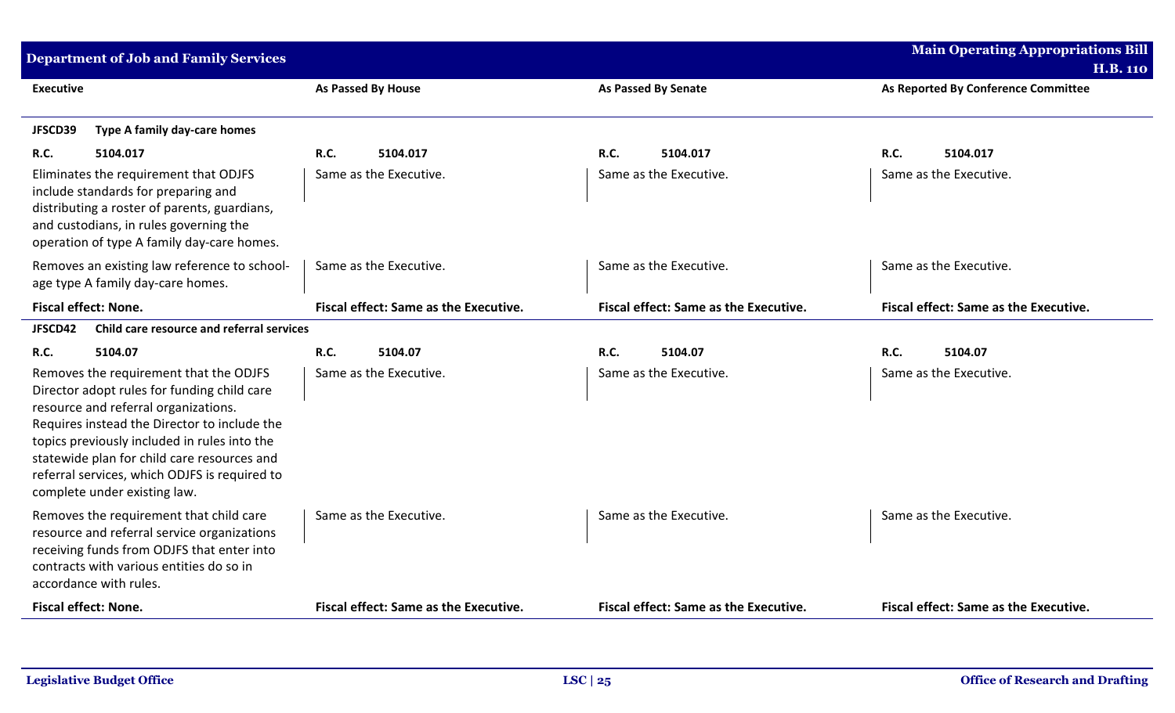| <b>Department of Job and Family Services</b>                                                                                                                                                                                                                                                                                                                  |                                       |                                              | <b>Main Operating Appropriations Bill</b> |
|---------------------------------------------------------------------------------------------------------------------------------------------------------------------------------------------------------------------------------------------------------------------------------------------------------------------------------------------------------------|---------------------------------------|----------------------------------------------|-------------------------------------------|
|                                                                                                                                                                                                                                                                                                                                                               |                                       |                                              | <b>H.B. 110</b>                           |
| <b>Executive</b>                                                                                                                                                                                                                                                                                                                                              | <b>As Passed By House</b>             | <b>As Passed By Senate</b>                   | As Reported By Conference Committee       |
| Type A family day-care homes<br>JFSCD39                                                                                                                                                                                                                                                                                                                       |                                       |                                              |                                           |
| R.C.<br>5104.017                                                                                                                                                                                                                                                                                                                                              | <b>R.C.</b><br>5104.017               | <b>R.C.</b><br>5104.017                      | R.C.<br>5104.017                          |
| Eliminates the requirement that ODJFS<br>include standards for preparing and<br>distributing a roster of parents, guardians,<br>and custodians, in rules governing the<br>operation of type A family day-care homes.                                                                                                                                          | Same as the Executive.                | Same as the Executive.                       | Same as the Executive.                    |
| Removes an existing law reference to school-<br>age type A family day-care homes.                                                                                                                                                                                                                                                                             | Same as the Executive.                | Same as the Executive.                       | Same as the Executive.                    |
| <b>Fiscal effect: None.</b>                                                                                                                                                                                                                                                                                                                                   | Fiscal effect: Same as the Executive. | <b>Fiscal effect: Same as the Executive.</b> | Fiscal effect: Same as the Executive.     |
| Child care resource and referral services<br>JFSCD42                                                                                                                                                                                                                                                                                                          |                                       |                                              |                                           |
| R.C.<br>5104.07                                                                                                                                                                                                                                                                                                                                               | R.C.<br>5104.07                       | R.C.<br>5104.07                              | R.C.<br>5104.07                           |
| Removes the requirement that the ODJFS<br>Director adopt rules for funding child care<br>resource and referral organizations.<br>Requires instead the Director to include the<br>topics previously included in rules into the<br>statewide plan for child care resources and<br>referral services, which ODJFS is required to<br>complete under existing law. | Same as the Executive.                | Same as the Executive.                       | Same as the Executive.                    |
| Removes the requirement that child care<br>resource and referral service organizations<br>receiving funds from ODJFS that enter into<br>contracts with various entities do so in<br>accordance with rules.                                                                                                                                                    | Same as the Executive.                | Same as the Executive.                       | Same as the Executive.                    |
| Fiscal effect: None.                                                                                                                                                                                                                                                                                                                                          | Fiscal effect: Same as the Executive. | Fiscal effect: Same as the Executive.        | Fiscal effect: Same as the Executive.     |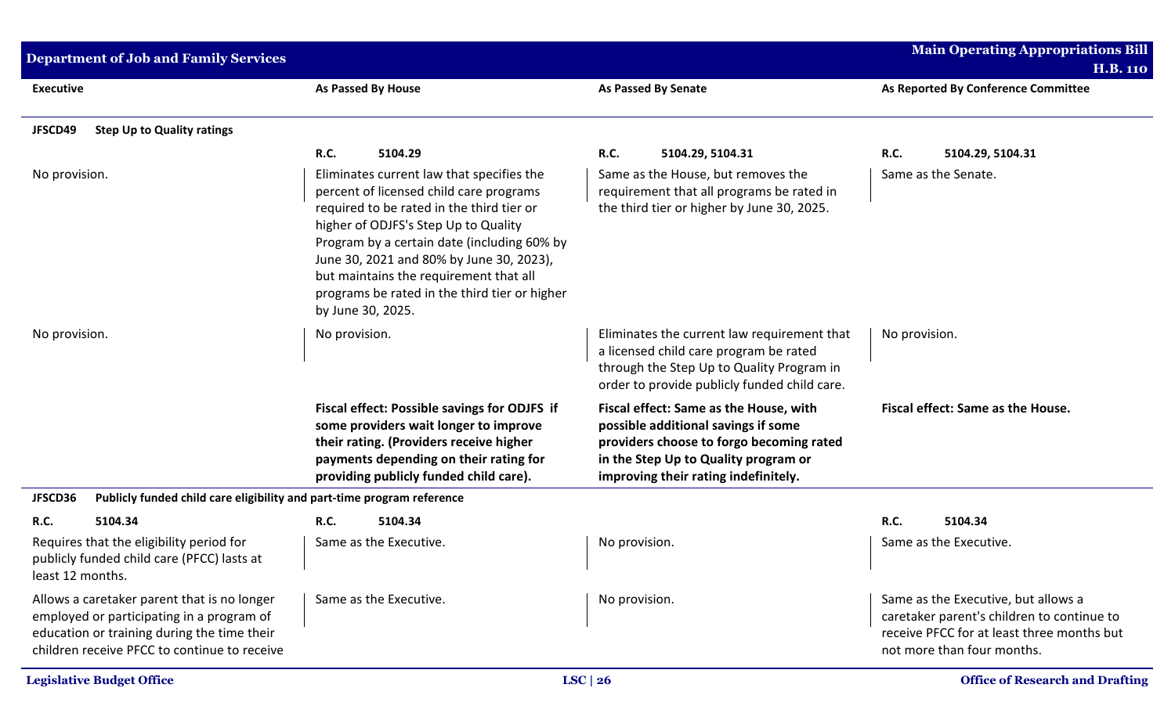| <b>Department of Job and Family Services</b>                                                                                                                                            |                                                                                                                                                                                                                                                                                                                                                                                      |                                                                                                                                                                                                           | <b>Main Operating Appropriations Bill</b>                                                                                                                     |
|-----------------------------------------------------------------------------------------------------------------------------------------------------------------------------------------|--------------------------------------------------------------------------------------------------------------------------------------------------------------------------------------------------------------------------------------------------------------------------------------------------------------------------------------------------------------------------------------|-----------------------------------------------------------------------------------------------------------------------------------------------------------------------------------------------------------|---------------------------------------------------------------------------------------------------------------------------------------------------------------|
| <b>Executive</b>                                                                                                                                                                        | <b>As Passed By House</b>                                                                                                                                                                                                                                                                                                                                                            | <b>As Passed By Senate</b>                                                                                                                                                                                | <b>H.B. 110</b><br>As Reported By Conference Committee                                                                                                        |
| JFSCD49<br><b>Step Up to Quality ratings</b>                                                                                                                                            |                                                                                                                                                                                                                                                                                                                                                                                      |                                                                                                                                                                                                           |                                                                                                                                                               |
|                                                                                                                                                                                         | <b>R.C.</b><br>5104.29                                                                                                                                                                                                                                                                                                                                                               | R.C.<br>5104.29, 5104.31                                                                                                                                                                                  | <b>R.C.</b><br>5104.29, 5104.31                                                                                                                               |
| No provision.                                                                                                                                                                           | Eliminates current law that specifies the<br>percent of licensed child care programs<br>required to be rated in the third tier or<br>higher of ODJFS's Step Up to Quality<br>Program by a certain date (including 60% by<br>June 30, 2021 and 80% by June 30, 2023),<br>but maintains the requirement that all<br>programs be rated in the third tier or higher<br>by June 30, 2025. | Same as the House, but removes the<br>requirement that all programs be rated in<br>the third tier or higher by June 30, 2025.                                                                             | Same as the Senate.                                                                                                                                           |
| No provision.                                                                                                                                                                           | No provision.                                                                                                                                                                                                                                                                                                                                                                        | Eliminates the current law requirement that<br>a licensed child care program be rated<br>through the Step Up to Quality Program in<br>order to provide publicly funded child care.                        | No provision.                                                                                                                                                 |
|                                                                                                                                                                                         | Fiscal effect: Possible savings for ODJFS if<br>some providers wait longer to improve<br>their rating. (Providers receive higher<br>payments depending on their rating for<br>providing publicly funded child care).                                                                                                                                                                 | Fiscal effect: Same as the House, with<br>possible additional savings if some<br>providers choose to forgo becoming rated<br>in the Step Up to Quality program or<br>improving their rating indefinitely. | Fiscal effect: Same as the House.                                                                                                                             |
| JFSCD36<br>Publicly funded child care eligibility and part-time program reference                                                                                                       |                                                                                                                                                                                                                                                                                                                                                                                      |                                                                                                                                                                                                           |                                                                                                                                                               |
| R.C.<br>5104.34                                                                                                                                                                         | 5104.34<br><b>R.C.</b>                                                                                                                                                                                                                                                                                                                                                               |                                                                                                                                                                                                           | R.C.<br>5104.34                                                                                                                                               |
| Requires that the eligibility period for<br>publicly funded child care (PFCC) lasts at<br>least 12 months.                                                                              | Same as the Executive.                                                                                                                                                                                                                                                                                                                                                               | No provision.                                                                                                                                                                                             | Same as the Executive.                                                                                                                                        |
| Allows a caretaker parent that is no longer<br>employed or participating in a program of<br>education or training during the time their<br>children receive PFCC to continue to receive | Same as the Executive.                                                                                                                                                                                                                                                                                                                                                               | No provision.                                                                                                                                                                                             | Same as the Executive, but allows a<br>caretaker parent's children to continue to<br>receive PFCC for at least three months but<br>not more than four months. |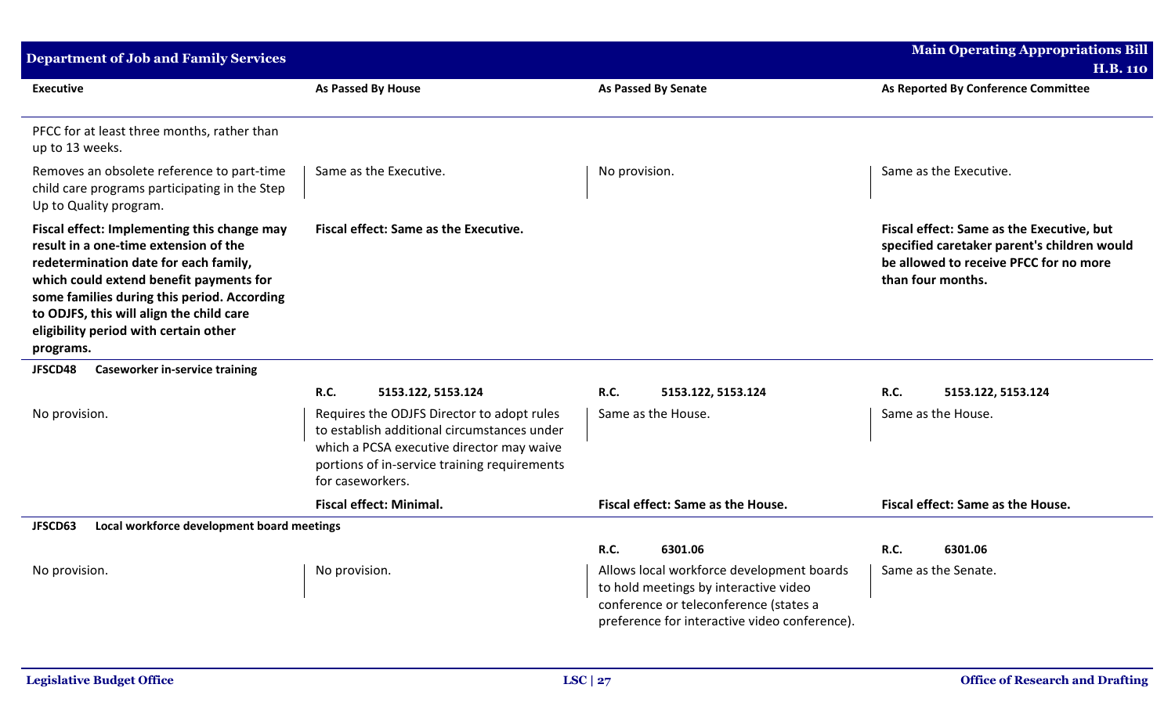| <b>Department of Job and Family Services</b>                                                                                                                                                                                                                                                                              |                                                                                                                                                                                                            |                                                                                                                                                                               | <b>Main Operating Appropriations Bill</b>                                                                                                               |
|---------------------------------------------------------------------------------------------------------------------------------------------------------------------------------------------------------------------------------------------------------------------------------------------------------------------------|------------------------------------------------------------------------------------------------------------------------------------------------------------------------------------------------------------|-------------------------------------------------------------------------------------------------------------------------------------------------------------------------------|---------------------------------------------------------------------------------------------------------------------------------------------------------|
|                                                                                                                                                                                                                                                                                                                           |                                                                                                                                                                                                            |                                                                                                                                                                               | <b>H.B. 110</b>                                                                                                                                         |
| <b>Executive</b>                                                                                                                                                                                                                                                                                                          | As Passed By House                                                                                                                                                                                         | As Passed By Senate                                                                                                                                                           | As Reported By Conference Committee                                                                                                                     |
| PFCC for at least three months, rather than<br>up to 13 weeks.                                                                                                                                                                                                                                                            |                                                                                                                                                                                                            |                                                                                                                                                                               |                                                                                                                                                         |
| Removes an obsolete reference to part-time<br>child care programs participating in the Step<br>Up to Quality program.                                                                                                                                                                                                     | Same as the Executive.                                                                                                                                                                                     | No provision.                                                                                                                                                                 | Same as the Executive.                                                                                                                                  |
| Fiscal effect: Implementing this change may<br>result in a one-time extension of the<br>redetermination date for each family,<br>which could extend benefit payments for<br>some families during this period. According<br>to ODJFS, this will align the child care<br>eligibility period with certain other<br>programs. | Fiscal effect: Same as the Executive.                                                                                                                                                                      |                                                                                                                                                                               | Fiscal effect: Same as the Executive, but<br>specified caretaker parent's children would<br>be allowed to receive PFCC for no more<br>than four months. |
| <b>Caseworker in-service training</b><br>JFSCD48                                                                                                                                                                                                                                                                          |                                                                                                                                                                                                            |                                                                                                                                                                               |                                                                                                                                                         |
|                                                                                                                                                                                                                                                                                                                           | <b>R.C.</b><br>5153.122, 5153.124                                                                                                                                                                          | R.C.<br>5153.122, 5153.124                                                                                                                                                    | R.C.<br>5153.122, 5153.124                                                                                                                              |
| No provision.                                                                                                                                                                                                                                                                                                             | Requires the ODJFS Director to adopt rules<br>to establish additional circumstances under<br>which a PCSA executive director may waive<br>portions of in-service training requirements<br>for caseworkers. | Same as the House.                                                                                                                                                            | Same as the House.                                                                                                                                      |
|                                                                                                                                                                                                                                                                                                                           | <b>Fiscal effect: Minimal.</b>                                                                                                                                                                             | Fiscal effect: Same as the House.                                                                                                                                             | Fiscal effect: Same as the House.                                                                                                                       |
| Local workforce development board meetings<br>JFSCD63                                                                                                                                                                                                                                                                     |                                                                                                                                                                                                            |                                                                                                                                                                               |                                                                                                                                                         |
|                                                                                                                                                                                                                                                                                                                           |                                                                                                                                                                                                            | <b>R.C.</b><br>6301.06                                                                                                                                                        | R.C.<br>6301.06                                                                                                                                         |
| No provision.                                                                                                                                                                                                                                                                                                             | No provision.                                                                                                                                                                                              | Allows local workforce development boards<br>to hold meetings by interactive video<br>conference or teleconference (states a<br>preference for interactive video conference). | Same as the Senate.                                                                                                                                     |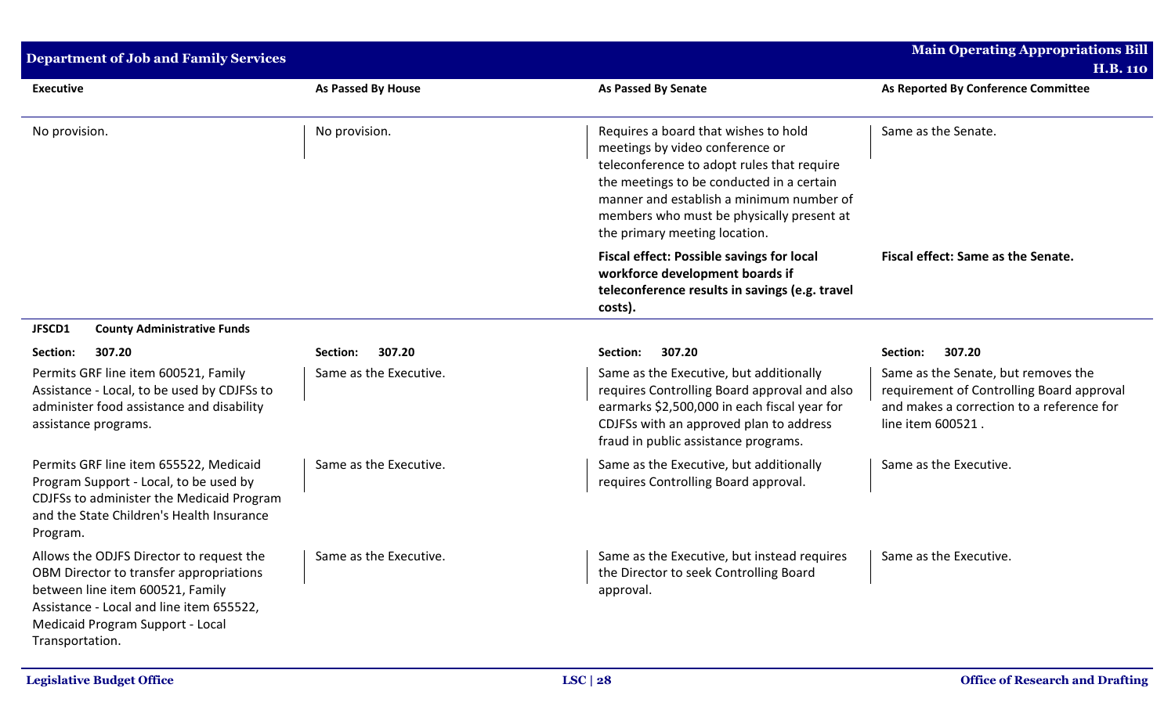| <b>Department of Job and Family Services</b>                                                                                                                                                                               |                        |                                                                                                                                                                                                                                                                                              | <b>Main Operating Appropriations Bill</b>                                                                                                          |
|----------------------------------------------------------------------------------------------------------------------------------------------------------------------------------------------------------------------------|------------------------|----------------------------------------------------------------------------------------------------------------------------------------------------------------------------------------------------------------------------------------------------------------------------------------------|----------------------------------------------------------------------------------------------------------------------------------------------------|
| <b>Executive</b>                                                                                                                                                                                                           | As Passed By House     | <b>As Passed By Senate</b>                                                                                                                                                                                                                                                                   | <b>H.B. 110</b><br>As Reported By Conference Committee                                                                                             |
| No provision.                                                                                                                                                                                                              | No provision.          | Requires a board that wishes to hold<br>meetings by video conference or<br>teleconference to adopt rules that require<br>the meetings to be conducted in a certain<br>manner and establish a minimum number of<br>members who must be physically present at<br>the primary meeting location. | Same as the Senate.                                                                                                                                |
|                                                                                                                                                                                                                            |                        | <b>Fiscal effect: Possible savings for local</b><br>workforce development boards if<br>teleconference results in savings (e.g. travel<br>costs).                                                                                                                                             | Fiscal effect: Same as the Senate.                                                                                                                 |
| JFSCD1<br><b>County Administrative Funds</b>                                                                                                                                                                               |                        |                                                                                                                                                                                                                                                                                              |                                                                                                                                                    |
| Section:<br>307.20                                                                                                                                                                                                         | 307.20<br>Section:     | 307.20<br>Section:                                                                                                                                                                                                                                                                           | 307.20<br>Section:                                                                                                                                 |
| Permits GRF line item 600521, Family<br>Assistance - Local, to be used by CDJFSs to<br>administer food assistance and disability<br>assistance programs.                                                                   | Same as the Executive. | Same as the Executive, but additionally<br>requires Controlling Board approval and also<br>earmarks \$2,500,000 in each fiscal year for<br>CDJFSs with an approved plan to address<br>fraud in public assistance programs.                                                                   | Same as the Senate, but removes the<br>requirement of Controlling Board approval<br>and makes a correction to a reference for<br>line item 600521. |
| Permits GRF line item 655522, Medicaid<br>Program Support - Local, to be used by<br>CDJFSs to administer the Medicaid Program<br>and the State Children's Health Insurance<br>Program.                                     | Same as the Executive. | Same as the Executive, but additionally<br>requires Controlling Board approval.                                                                                                                                                                                                              | Same as the Executive.                                                                                                                             |
| Allows the ODJFS Director to request the<br>OBM Director to transfer appropriations<br>between line item 600521, Family<br>Assistance - Local and line item 655522,<br>Medicaid Program Support - Local<br>Transportation. | Same as the Executive. | Same as the Executive, but instead requires<br>the Director to seek Controlling Board<br>approval.                                                                                                                                                                                           | Same as the Executive.                                                                                                                             |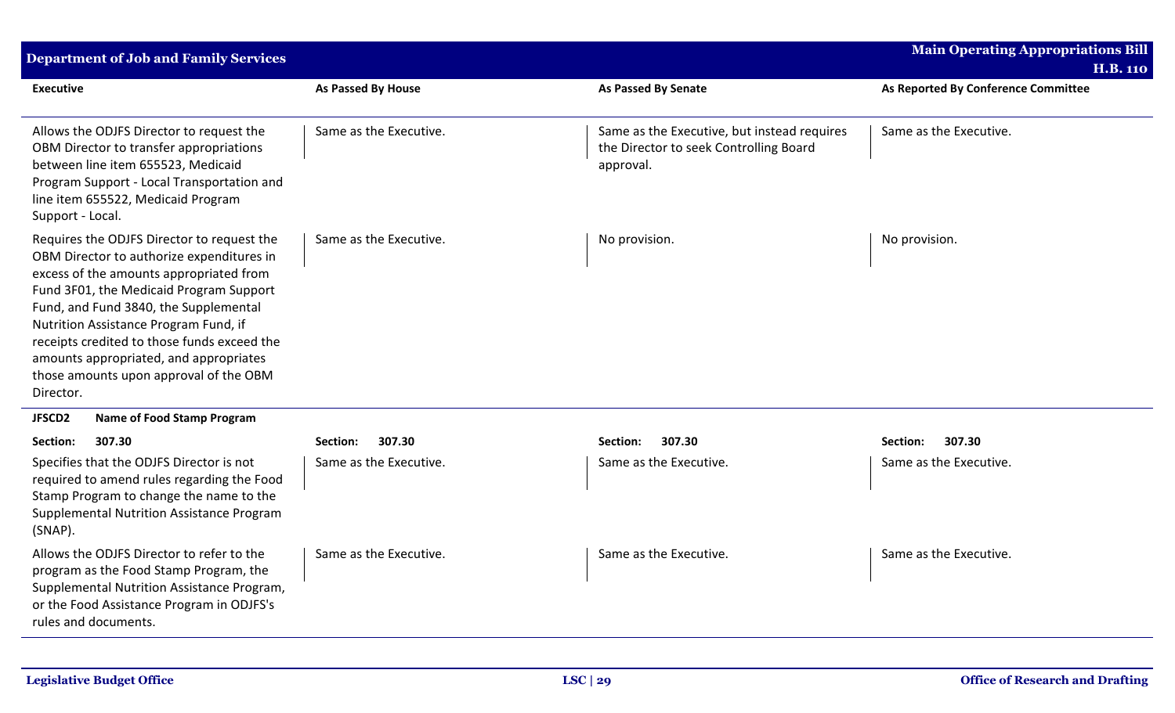| <b>Department of Job and Family Services</b>                                                                                                                                                                                                                                                                                                                                                                    |                           |                                                                                                    | Main Operating Appropriations Bill<br><b>H.B. 110</b> |
|-----------------------------------------------------------------------------------------------------------------------------------------------------------------------------------------------------------------------------------------------------------------------------------------------------------------------------------------------------------------------------------------------------------------|---------------------------|----------------------------------------------------------------------------------------------------|-------------------------------------------------------|
| <b>Executive</b>                                                                                                                                                                                                                                                                                                                                                                                                | <b>As Passed By House</b> | As Passed By Senate                                                                                | As Reported By Conference Committee                   |
| Allows the ODJFS Director to request the<br>OBM Director to transfer appropriations<br>between line item 655523, Medicaid<br>Program Support - Local Transportation and<br>line item 655522, Medicaid Program<br>Support - Local.                                                                                                                                                                               | Same as the Executive.    | Same as the Executive, but instead requires<br>the Director to seek Controlling Board<br>approval. | Same as the Executive.                                |
| Requires the ODJFS Director to request the<br>OBM Director to authorize expenditures in<br>excess of the amounts appropriated from<br>Fund 3F01, the Medicaid Program Support<br>Fund, and Fund 3840, the Supplemental<br>Nutrition Assistance Program Fund, if<br>receipts credited to those funds exceed the<br>amounts appropriated, and appropriates<br>those amounts upon approval of the OBM<br>Director. | Same as the Executive.    | No provision.                                                                                      | No provision.                                         |
| <b>Name of Food Stamp Program</b><br>JFSCD2                                                                                                                                                                                                                                                                                                                                                                     |                           |                                                                                                    |                                                       |
| 307.30<br>Section:                                                                                                                                                                                                                                                                                                                                                                                              | 307.30<br>Section:        | 307.30<br>Section:                                                                                 | 307.30<br>Section:                                    |
| Specifies that the ODJFS Director is not<br>required to amend rules regarding the Food<br>Stamp Program to change the name to the<br>Supplemental Nutrition Assistance Program<br>(SNAP).                                                                                                                                                                                                                       | Same as the Executive.    | Same as the Executive.                                                                             | Same as the Executive.                                |
| Allows the ODJFS Director to refer to the<br>program as the Food Stamp Program, the<br>Supplemental Nutrition Assistance Program,<br>or the Food Assistance Program in ODJFS's<br>rules and documents.                                                                                                                                                                                                          | Same as the Executive.    | Same as the Executive.                                                                             | Same as the Executive.                                |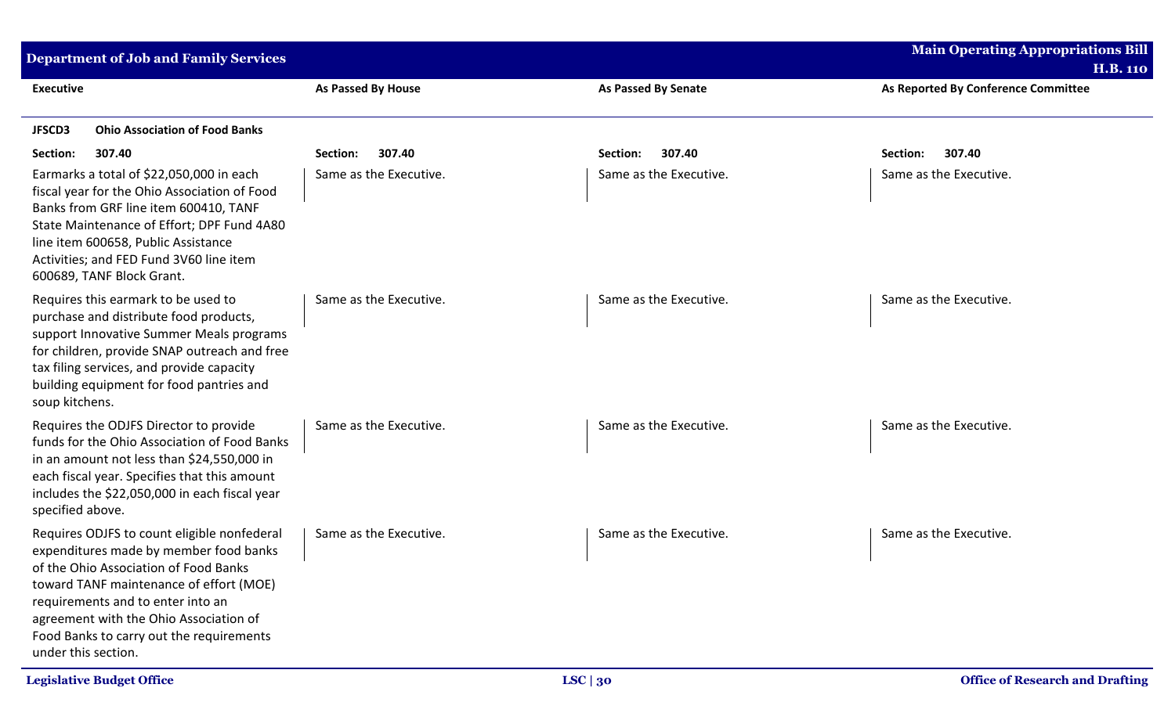| <b>Department of Job and Family Services</b>                                                                                                                                                                                                                                                                                |                           |                            | <b>Main Operating Appropriations Bill</b><br><b>H.B. 110</b> |
|-----------------------------------------------------------------------------------------------------------------------------------------------------------------------------------------------------------------------------------------------------------------------------------------------------------------------------|---------------------------|----------------------------|--------------------------------------------------------------|
| <b>Executive</b>                                                                                                                                                                                                                                                                                                            | <b>As Passed By House</b> | <b>As Passed By Senate</b> | As Reported By Conference Committee                          |
| <b>Ohio Association of Food Banks</b><br><b>JFSCD3</b>                                                                                                                                                                                                                                                                      |                           |                            |                                                              |
| Section:<br>307.40                                                                                                                                                                                                                                                                                                          | 307.40<br>Section:        | 307.40<br>Section:         | 307.40<br>Section:                                           |
| Earmarks a total of \$22,050,000 in each<br>fiscal year for the Ohio Association of Food<br>Banks from GRF line item 600410, TANF<br>State Maintenance of Effort; DPF Fund 4A80<br>line item 600658, Public Assistance<br>Activities; and FED Fund 3V60 line item<br>600689, TANF Block Grant.                              | Same as the Executive.    | Same as the Executive.     | Same as the Executive.                                       |
| Requires this earmark to be used to<br>purchase and distribute food products,<br>support Innovative Summer Meals programs<br>for children, provide SNAP outreach and free<br>tax filing services, and provide capacity<br>building equipment for food pantries and<br>soup kitchens.                                        | Same as the Executive.    | Same as the Executive.     | Same as the Executive.                                       |
| Requires the ODJFS Director to provide<br>funds for the Ohio Association of Food Banks<br>in an amount not less than \$24,550,000 in<br>each fiscal year. Specifies that this amount<br>includes the \$22,050,000 in each fiscal year<br>specified above.                                                                   | Same as the Executive.    | Same as the Executive.     | Same as the Executive.                                       |
| Requires ODJFS to count eligible nonfederal<br>expenditures made by member food banks<br>of the Ohio Association of Food Banks<br>toward TANF maintenance of effort (MOE)<br>requirements and to enter into an<br>agreement with the Ohio Association of<br>Food Banks to carry out the requirements<br>under this section. | Same as the Executive.    | Same as the Executive.     | Same as the Executive.                                       |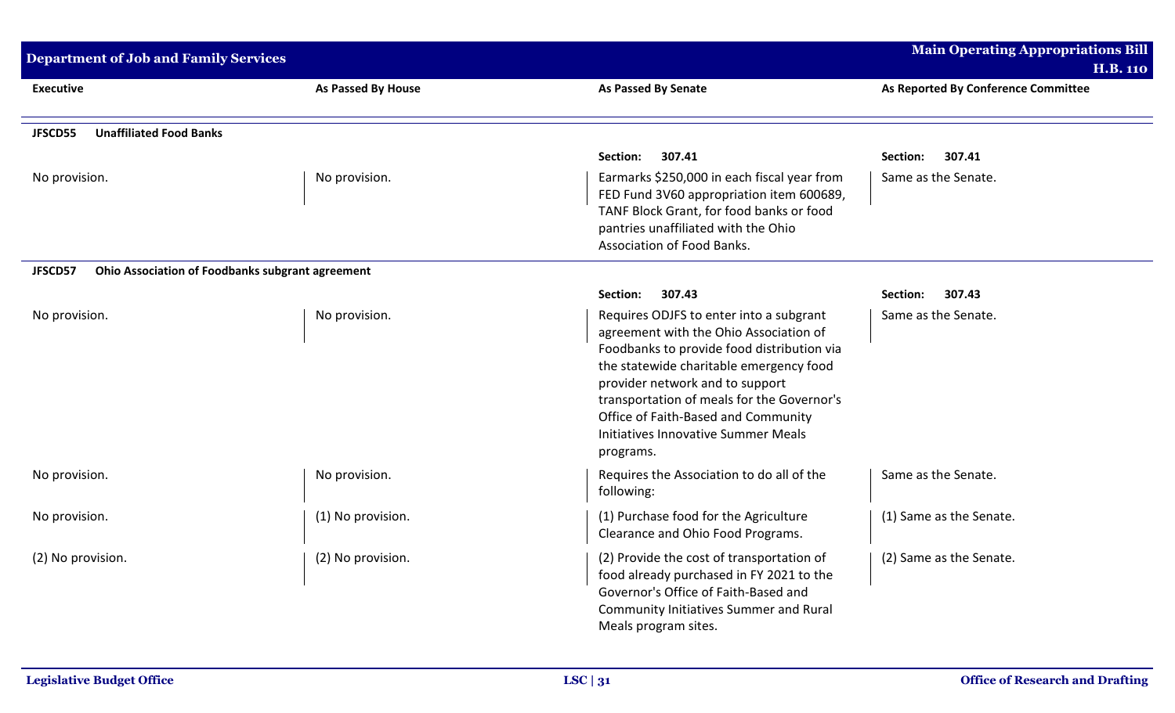| <b>Department of Job and Family Services</b>                |                           |                                                  | <b>Main Operating Appropriations Bill</b> |
|-------------------------------------------------------------|---------------------------|--------------------------------------------------|-------------------------------------------|
|                                                             |                           |                                                  | <b>H.B. 110</b>                           |
| <b>Executive</b>                                            | <b>As Passed By House</b> | <b>As Passed By Senate</b>                       | As Reported By Conference Committee       |
|                                                             |                           |                                                  |                                           |
| <b>Unaffiliated Food Banks</b><br>JFSCD55                   |                           |                                                  |                                           |
|                                                             |                           | Section:<br>307.41                               | Section:<br>307.41                        |
| No provision.                                               | No provision.             | Earmarks \$250,000 in each fiscal year from      | Same as the Senate.                       |
|                                                             |                           | FED Fund 3V60 appropriation item 600689,         |                                           |
|                                                             |                           | TANF Block Grant, for food banks or food         |                                           |
|                                                             |                           | pantries unaffiliated with the Ohio              |                                           |
|                                                             |                           | Association of Food Banks.                       |                                           |
| Ohio Association of Foodbanks subgrant agreement<br>JFSCD57 |                           |                                                  |                                           |
|                                                             |                           | Section:<br>307.43                               | 307.43<br>Section:                        |
| No provision.                                               | No provision.             | Requires ODJFS to enter into a subgrant          | Same as the Senate.                       |
|                                                             |                           | agreement with the Ohio Association of           |                                           |
|                                                             |                           | Foodbanks to provide food distribution via       |                                           |
|                                                             |                           | the statewide charitable emergency food          |                                           |
|                                                             |                           | provider network and to support                  |                                           |
|                                                             |                           | transportation of meals for the Governor's       |                                           |
|                                                             |                           | Office of Faith-Based and Community              |                                           |
|                                                             |                           | Initiatives Innovative Summer Meals<br>programs. |                                           |
|                                                             |                           |                                                  |                                           |
| No provision.                                               | No provision.             | Requires the Association to do all of the        | Same as the Senate.                       |
|                                                             |                           | following:                                       |                                           |
| No provision.                                               | (1) No provision.         | (1) Purchase food for the Agriculture            | (1) Same as the Senate.                   |
|                                                             |                           | Clearance and Ohio Food Programs.                |                                           |
| (2) No provision.                                           | (2) No provision.         | (2) Provide the cost of transportation of        | (2) Same as the Senate.                   |
|                                                             |                           | food already purchased in FY 2021 to the         |                                           |
|                                                             |                           | Governor's Office of Faith-Based and             |                                           |
|                                                             |                           | <b>Community Initiatives Summer and Rural</b>    |                                           |
|                                                             |                           | Meals program sites.                             |                                           |
|                                                             |                           |                                                  |                                           |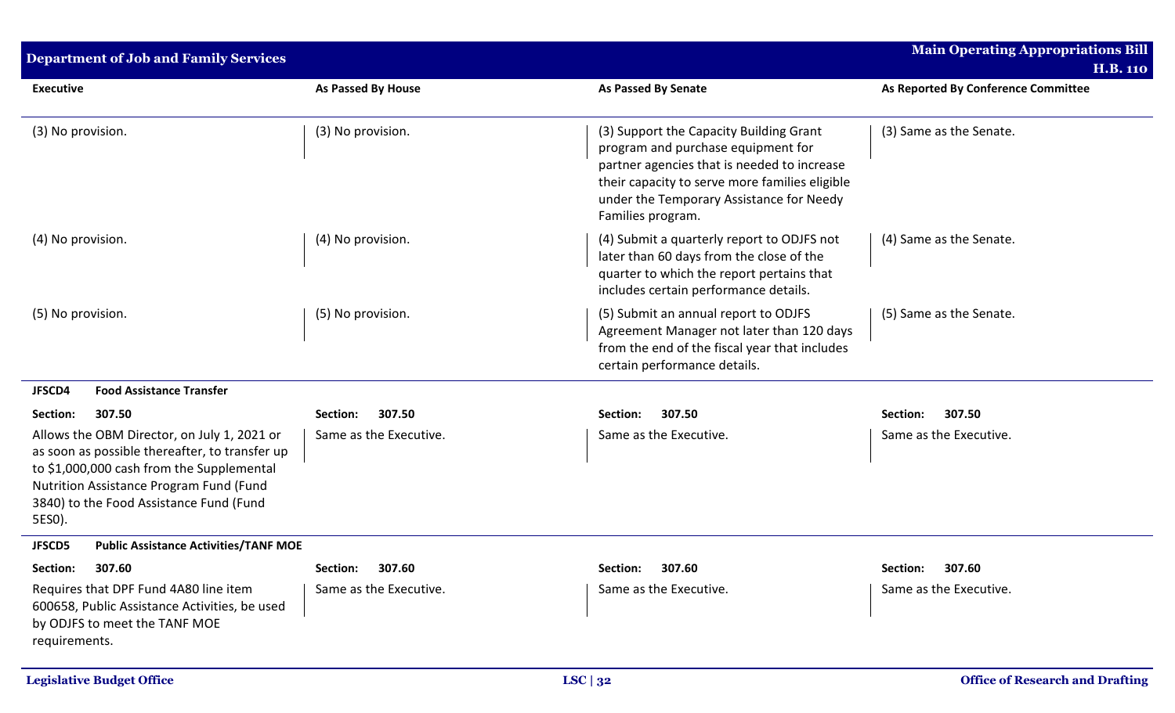| <b>Department of Job and Family Services</b>                                                                                                                                                                                               |                           |                                                                                                                                                                                                                                                 | <b>Main Operating Appropriations Bill</b><br><b>H.B. 110</b> |
|--------------------------------------------------------------------------------------------------------------------------------------------------------------------------------------------------------------------------------------------|---------------------------|-------------------------------------------------------------------------------------------------------------------------------------------------------------------------------------------------------------------------------------------------|--------------------------------------------------------------|
| <b>Executive</b>                                                                                                                                                                                                                           | <b>As Passed By House</b> | <b>As Passed By Senate</b>                                                                                                                                                                                                                      | As Reported By Conference Committee                          |
| (3) No provision.                                                                                                                                                                                                                          | (3) No provision.         | (3) Support the Capacity Building Grant<br>program and purchase equipment for<br>partner agencies that is needed to increase<br>their capacity to serve more families eligible<br>under the Temporary Assistance for Needy<br>Families program. | (3) Same as the Senate.                                      |
| (4) No provision.                                                                                                                                                                                                                          | (4) No provision.         | (4) Submit a quarterly report to ODJFS not<br>later than 60 days from the close of the<br>quarter to which the report pertains that<br>includes certain performance details.                                                                    | (4) Same as the Senate.                                      |
| (5) No provision.                                                                                                                                                                                                                          | (5) No provision.         | (5) Submit an annual report to ODJFS<br>Agreement Manager not later than 120 days<br>from the end of the fiscal year that includes<br>certain performance details.                                                                              | (5) Same as the Senate.                                      |
| <b>Food Assistance Transfer</b><br>JFSCD4                                                                                                                                                                                                  |                           |                                                                                                                                                                                                                                                 |                                                              |
| Section:<br>307.50                                                                                                                                                                                                                         | 307.50<br>Section:        | 307.50<br>Section:                                                                                                                                                                                                                              | 307.50<br>Section:                                           |
| Allows the OBM Director, on July 1, 2021 or<br>as soon as possible thereafter, to transfer up<br>to \$1,000,000 cash from the Supplemental<br>Nutrition Assistance Program Fund (Fund<br>3840) to the Food Assistance Fund (Fund<br>5ES0). | Same as the Executive.    | Same as the Executive.                                                                                                                                                                                                                          | Same as the Executive.                                       |
| <b>Public Assistance Activities/TANF MOE</b><br><b>JFSCD5</b>                                                                                                                                                                              |                           |                                                                                                                                                                                                                                                 |                                                              |
| 307.60<br>Section:                                                                                                                                                                                                                         | Section: 307.60           | Section: 307.60                                                                                                                                                                                                                                 | Section: 307.60                                              |
| Requires that DPF Fund 4A80 line item<br>600658, Public Assistance Activities, be used<br>by ODJFS to meet the TANF MOE<br>requirements.                                                                                                   | Same as the Executive.    | Same as the Executive.                                                                                                                                                                                                                          | Same as the Executive.                                       |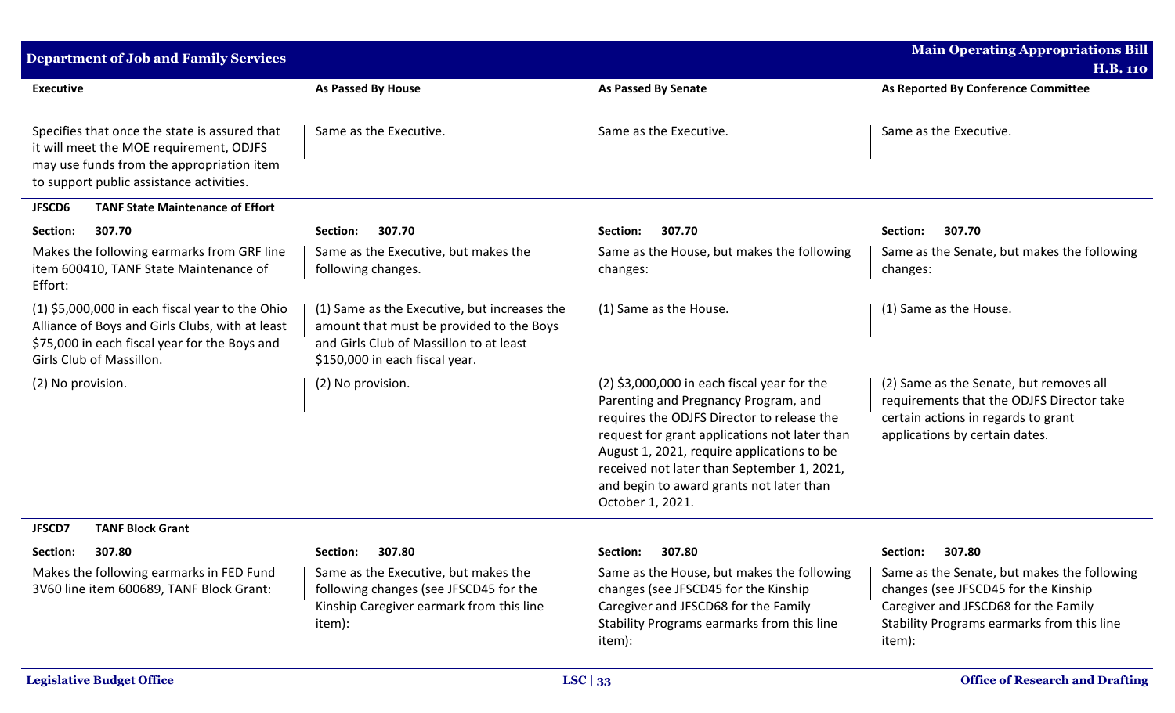| <b>Department of Job and Family Services</b>                                                                                                                                      |                                                                                                                                                                       |                                                                                                                                                                                                                                                                                                                                                  | <b>Main Operating Appropriations Bill</b><br><b>H.B. 110</b>                                                                                                                        |
|-----------------------------------------------------------------------------------------------------------------------------------------------------------------------------------|-----------------------------------------------------------------------------------------------------------------------------------------------------------------------|--------------------------------------------------------------------------------------------------------------------------------------------------------------------------------------------------------------------------------------------------------------------------------------------------------------------------------------------------|-------------------------------------------------------------------------------------------------------------------------------------------------------------------------------------|
| <b>Executive</b>                                                                                                                                                                  | As Passed By House                                                                                                                                                    | <b>As Passed By Senate</b>                                                                                                                                                                                                                                                                                                                       | As Reported By Conference Committee                                                                                                                                                 |
| Specifies that once the state is assured that<br>it will meet the MOE requirement, ODJFS<br>may use funds from the appropriation item<br>to support public assistance activities. | Same as the Executive.                                                                                                                                                | Same as the Executive.                                                                                                                                                                                                                                                                                                                           | Same as the Executive.                                                                                                                                                              |
| <b>TANF State Maintenance of Effort</b><br><b>JFSCD6</b>                                                                                                                          |                                                                                                                                                                       |                                                                                                                                                                                                                                                                                                                                                  |                                                                                                                                                                                     |
| 307.70<br>Section:                                                                                                                                                                | Section:<br>307.70                                                                                                                                                    | Section:<br>307.70                                                                                                                                                                                                                                                                                                                               | 307.70<br>Section:                                                                                                                                                                  |
| Makes the following earmarks from GRF line<br>item 600410, TANF State Maintenance of<br>Effort:                                                                                   | Same as the Executive, but makes the<br>following changes.                                                                                                            | Same as the House, but makes the following<br>changes:                                                                                                                                                                                                                                                                                           | Same as the Senate, but makes the following<br>changes:                                                                                                                             |
| $(1)$ \$5,000,000 in each fiscal year to the Ohio<br>Alliance of Boys and Girls Clubs, with at least<br>\$75,000 in each fiscal year for the Boys and<br>Girls Club of Massillon. | (1) Same as the Executive, but increases the<br>amount that must be provided to the Boys<br>and Girls Club of Massillon to at least<br>\$150,000 in each fiscal year. | (1) Same as the House.                                                                                                                                                                                                                                                                                                                           | (1) Same as the House.                                                                                                                                                              |
| (2) No provision.                                                                                                                                                                 | (2) No provision.                                                                                                                                                     | $(2)$ \$3,000,000 in each fiscal year for the<br>Parenting and Pregnancy Program, and<br>requires the ODJFS Director to release the<br>request for grant applications not later than<br>August 1, 2021, require applications to be<br>received not later than September 1, 2021,<br>and begin to award grants not later than<br>October 1, 2021. | (2) Same as the Senate, but removes all<br>requirements that the ODJFS Director take<br>certain actions in regards to grant<br>applications by certain dates.                       |
| <b>TANF Block Grant</b><br><b>JFSCD7</b>                                                                                                                                          |                                                                                                                                                                       |                                                                                                                                                                                                                                                                                                                                                  |                                                                                                                                                                                     |
| 307.80<br>Section:                                                                                                                                                                | 307.80<br>Section:                                                                                                                                                    | 307.80<br>Section:                                                                                                                                                                                                                                                                                                                               | 307.80<br>Section:                                                                                                                                                                  |
| Makes the following earmarks in FED Fund<br>3V60 line item 600689, TANF Block Grant:                                                                                              | Same as the Executive, but makes the<br>following changes (see JFSCD45 for the<br>Kinship Caregiver earmark from this line<br>item):                                  | Same as the House, but makes the following<br>changes (see JFSCD45 for the Kinship<br>Caregiver and JFSCD68 for the Family<br>Stability Programs earmarks from this line<br>item):                                                                                                                                                               | Same as the Senate, but makes the following<br>changes (see JFSCD45 for the Kinship<br>Caregiver and JFSCD68 for the Family<br>Stability Programs earmarks from this line<br>item): |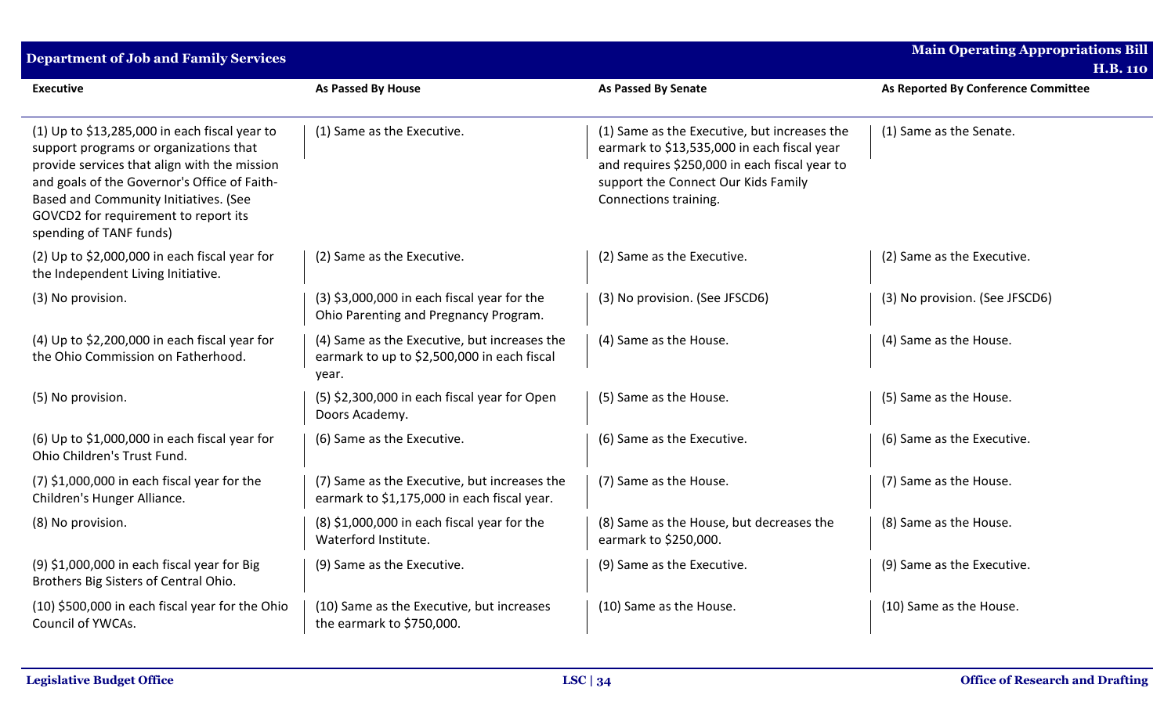| <b>Department of Job and Family Services</b>                                                                                                                                                                                                                                                        |                                                                                                      |                                                                                                                                                                                                              | <b>Main Operating Appropriations Bill</b><br><b>H.B. 110</b> |
|-----------------------------------------------------------------------------------------------------------------------------------------------------------------------------------------------------------------------------------------------------------------------------------------------------|------------------------------------------------------------------------------------------------------|--------------------------------------------------------------------------------------------------------------------------------------------------------------------------------------------------------------|--------------------------------------------------------------|
| <b>Executive</b>                                                                                                                                                                                                                                                                                    | As Passed By House                                                                                   | As Passed By Senate                                                                                                                                                                                          | As Reported By Conference Committee                          |
| (1) Up to \$13,285,000 in each fiscal year to<br>support programs or organizations that<br>provide services that align with the mission<br>and goals of the Governor's Office of Faith-<br>Based and Community Initiatives. (See<br>GOVCD2 for requirement to report its<br>spending of TANF funds) | (1) Same as the Executive.                                                                           | (1) Same as the Executive, but increases the<br>earmark to \$13,535,000 in each fiscal year<br>and requires \$250,000 in each fiscal year to<br>support the Connect Our Kids Family<br>Connections training. | (1) Same as the Senate.                                      |
| (2) Up to \$2,000,000 in each fiscal year for<br>the Independent Living Initiative.                                                                                                                                                                                                                 | (2) Same as the Executive.                                                                           | (2) Same as the Executive.                                                                                                                                                                                   | (2) Same as the Executive.                                   |
| (3) No provision.                                                                                                                                                                                                                                                                                   | $(3)$ \$3,000,000 in each fiscal year for the<br>Ohio Parenting and Pregnancy Program.               | (3) No provision. (See JFSCD6)                                                                                                                                                                               | (3) No provision. (See JFSCD6)                               |
| (4) Up to \$2,200,000 in each fiscal year for<br>the Ohio Commission on Fatherhood.                                                                                                                                                                                                                 | (4) Same as the Executive, but increases the<br>earmark to up to \$2,500,000 in each fiscal<br>year. | (4) Same as the House.                                                                                                                                                                                       | (4) Same as the House.                                       |
| (5) No provision.                                                                                                                                                                                                                                                                                   | (5) \$2,300,000 in each fiscal year for Open<br>Doors Academy.                                       | (5) Same as the House.                                                                                                                                                                                       | (5) Same as the House.                                       |
| (6) Up to \$1,000,000 in each fiscal year for<br>Ohio Children's Trust Fund.                                                                                                                                                                                                                        | (6) Same as the Executive.                                                                           | (6) Same as the Executive.                                                                                                                                                                                   | (6) Same as the Executive.                                   |
| $(7)$ \$1,000,000 in each fiscal year for the<br>Children's Hunger Alliance.                                                                                                                                                                                                                        | (7) Same as the Executive, but increases the<br>earmark to \$1,175,000 in each fiscal year.          | (7) Same as the House.                                                                                                                                                                                       | (7) Same as the House.                                       |
| (8) No provision.                                                                                                                                                                                                                                                                                   | $(8)$ \$1,000,000 in each fiscal year for the<br>Waterford Institute.                                | (8) Same as the House, but decreases the<br>earmark to \$250,000.                                                                                                                                            | (8) Same as the House.                                       |
| (9) \$1,000,000 in each fiscal year for Big<br>Brothers Big Sisters of Central Ohio.                                                                                                                                                                                                                | (9) Same as the Executive.                                                                           | (9) Same as the Executive.                                                                                                                                                                                   | (9) Same as the Executive.                                   |
| (10) \$500,000 in each fiscal year for the Ohio<br>Council of YWCAs.                                                                                                                                                                                                                                | (10) Same as the Executive, but increases<br>the earmark to \$750,000.                               | (10) Same as the House.                                                                                                                                                                                      | (10) Same as the House.                                      |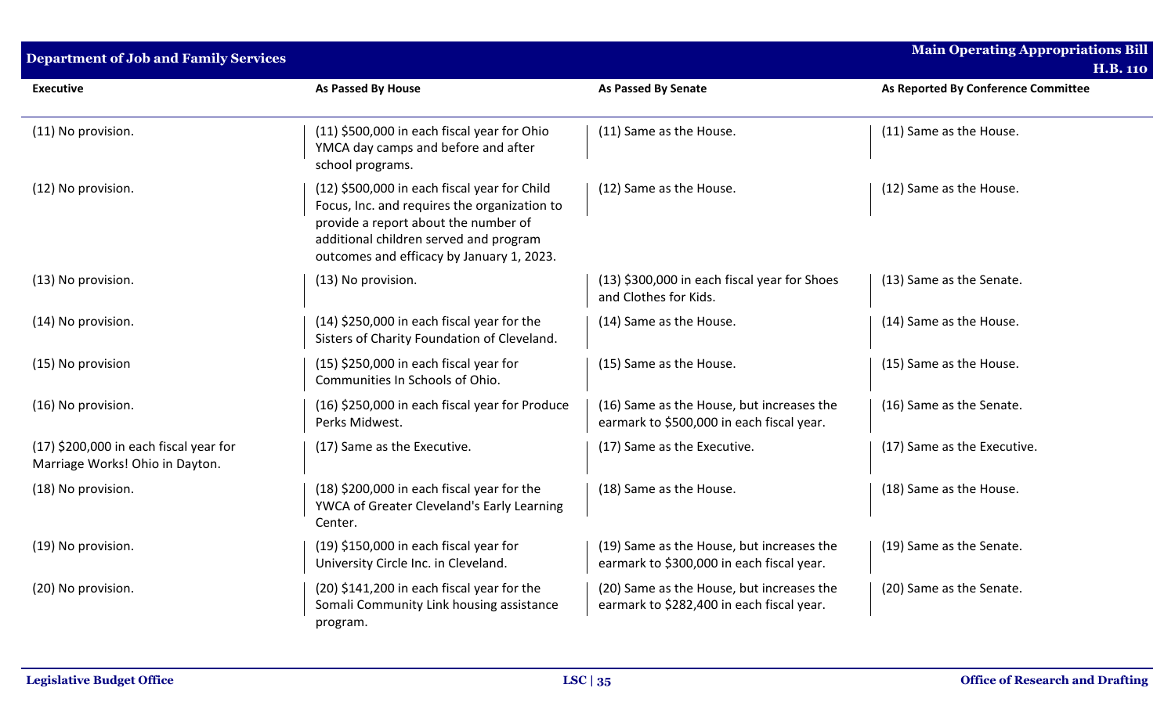| <b>Department of Job and Family Services</b>                                |                                                                                                                                                                                                                             |                                                                                        | <b>Main Operating Appropriations Bill</b> |
|-----------------------------------------------------------------------------|-----------------------------------------------------------------------------------------------------------------------------------------------------------------------------------------------------------------------------|----------------------------------------------------------------------------------------|-------------------------------------------|
|                                                                             |                                                                                                                                                                                                                             |                                                                                        | <b>H.B. 110</b>                           |
| <b>Executive</b>                                                            | <b>As Passed By House</b>                                                                                                                                                                                                   | As Passed By Senate                                                                    | As Reported By Conference Committee       |
| (11) No provision.                                                          | (11) \$500,000 in each fiscal year for Ohio<br>YMCA day camps and before and after<br>school programs.                                                                                                                      | (11) Same as the House.                                                                | (11) Same as the House.                   |
| (12) No provision.                                                          | (12) \$500,000 in each fiscal year for Child<br>Focus, Inc. and requires the organization to<br>provide a report about the number of<br>additional children served and program<br>outcomes and efficacy by January 1, 2023. | (12) Same as the House.                                                                | (12) Same as the House.                   |
| (13) No provision.                                                          | (13) No provision.                                                                                                                                                                                                          | (13) \$300,000 in each fiscal year for Shoes<br>and Clothes for Kids.                  | (13) Same as the Senate.                  |
| (14) No provision.                                                          | $(14)$ \$250,000 in each fiscal year for the<br>Sisters of Charity Foundation of Cleveland.                                                                                                                                 | (14) Same as the House.                                                                | (14) Same as the House.                   |
| (15) No provision                                                           | $(15)$ \$250,000 in each fiscal year for<br>Communities In Schools of Ohio.                                                                                                                                                 | (15) Same as the House.                                                                | (15) Same as the House.                   |
| (16) No provision.                                                          | (16) \$250,000 in each fiscal year for Produce<br>Perks Midwest.                                                                                                                                                            | (16) Same as the House, but increases the<br>earmark to \$500,000 in each fiscal year. | (16) Same as the Senate.                  |
| $(17)$ \$200,000 in each fiscal year for<br>Marriage Works! Ohio in Dayton. | (17) Same as the Executive.                                                                                                                                                                                                 | (17) Same as the Executive.                                                            | (17) Same as the Executive.               |
| (18) No provision.                                                          | (18) \$200,000 in each fiscal year for the<br>YWCA of Greater Cleveland's Early Learning<br>Center.                                                                                                                         | (18) Same as the House.                                                                | (18) Same as the House.                   |
| (19) No provision.                                                          | (19) \$150,000 in each fiscal year for<br>University Circle Inc. in Cleveland.                                                                                                                                              | (19) Same as the House, but increases the<br>earmark to \$300,000 in each fiscal year. | (19) Same as the Senate.                  |
| (20) No provision.                                                          | (20) \$141,200 in each fiscal year for the<br>Somali Community Link housing assistance<br>program.                                                                                                                          | (20) Same as the House, but increases the<br>earmark to \$282,400 in each fiscal year. | (20) Same as the Senate.                  |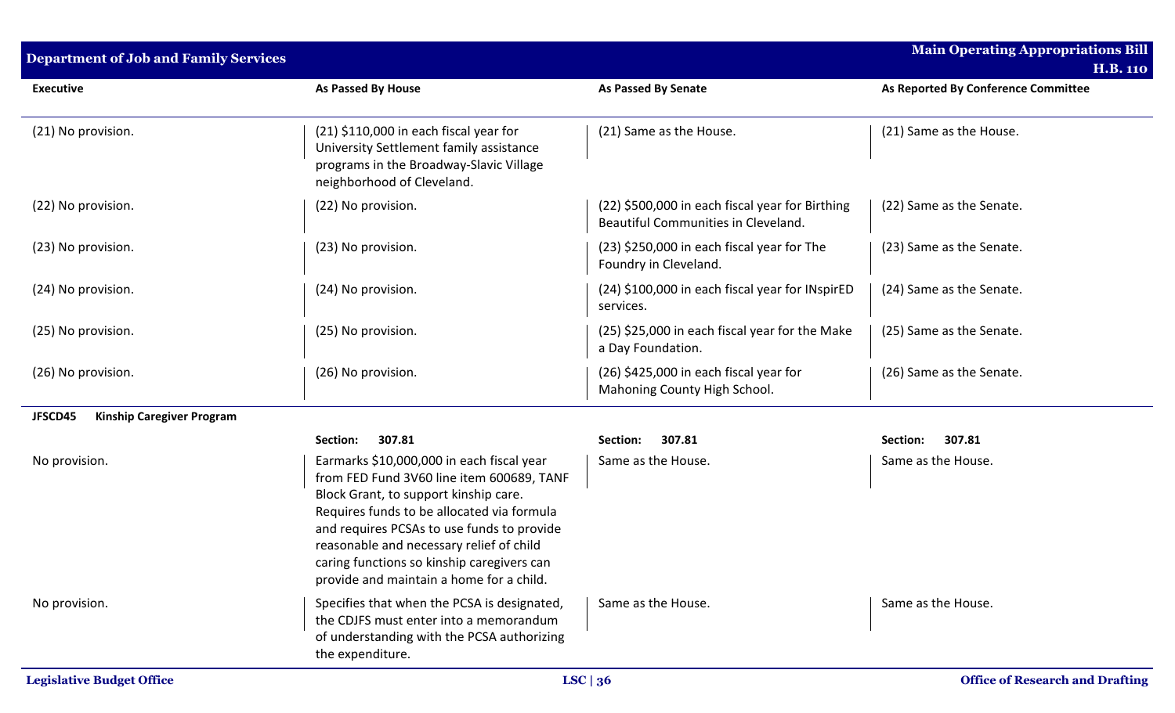| <b>Department of Job and Family Services</b> |                                                                                                                                                                                                                                                                                                                                                                   |                                                                                        | Main Operating Appropriations Bill<br><b>H.B. 110</b> |
|----------------------------------------------|-------------------------------------------------------------------------------------------------------------------------------------------------------------------------------------------------------------------------------------------------------------------------------------------------------------------------------------------------------------------|----------------------------------------------------------------------------------------|-------------------------------------------------------|
| <b>Executive</b>                             | As Passed By House                                                                                                                                                                                                                                                                                                                                                | As Passed By Senate                                                                    | As Reported By Conference Committee                   |
| (21) No provision.                           | $(21)$ \$110,000 in each fiscal year for<br>University Settlement family assistance<br>programs in the Broadway-Slavic Village<br>neighborhood of Cleveland.                                                                                                                                                                                                      | (21) Same as the House.                                                                | (21) Same as the House.                               |
| (22) No provision.                           | (22) No provision.                                                                                                                                                                                                                                                                                                                                                | (22) \$500,000 in each fiscal year for Birthing<br>Beautiful Communities in Cleveland. | (22) Same as the Senate.                              |
| (23) No provision.                           | (23) No provision.                                                                                                                                                                                                                                                                                                                                                | (23) \$250,000 in each fiscal year for The<br>Foundry in Cleveland.                    | (23) Same as the Senate.                              |
| (24) No provision.                           | (24) No provision.                                                                                                                                                                                                                                                                                                                                                | (24) \$100,000 in each fiscal year for INspirED<br>services.                           | (24) Same as the Senate.                              |
| (25) No provision.                           | (25) No provision.                                                                                                                                                                                                                                                                                                                                                | (25) \$25,000 in each fiscal year for the Make<br>a Day Foundation.                    | (25) Same as the Senate.                              |
| (26) No provision.                           | (26) No provision.                                                                                                                                                                                                                                                                                                                                                | $(26)$ \$425,000 in each fiscal year for<br>Mahoning County High School.               | (26) Same as the Senate.                              |
| JFSCD45<br><b>Kinship Caregiver Program</b>  |                                                                                                                                                                                                                                                                                                                                                                   |                                                                                        |                                                       |
|                                              | 307.81<br>Section:                                                                                                                                                                                                                                                                                                                                                | 307.81<br>Section:                                                                     | 307.81<br>Section:                                    |
| No provision.                                | Earmarks \$10,000,000 in each fiscal year<br>from FED Fund 3V60 line item 600689, TANF<br>Block Grant, to support kinship care.<br>Requires funds to be allocated via formula<br>and requires PCSAs to use funds to provide<br>reasonable and necessary relief of child<br>caring functions so kinship caregivers can<br>provide and maintain a home for a child. | Same as the House.                                                                     | Same as the House.                                    |
| No provision.                                | Specifies that when the PCSA is designated,<br>the CDJFS must enter into a memorandum<br>of understanding with the PCSA authorizing<br>the expenditure.                                                                                                                                                                                                           | Same as the House.                                                                     | Same as the House.                                    |
| <b>Legislative Budget Office</b>             |                                                                                                                                                                                                                                                                                                                                                                   | LSC $\vert 36$                                                                         | <b>Office of Research and Drafting</b>                |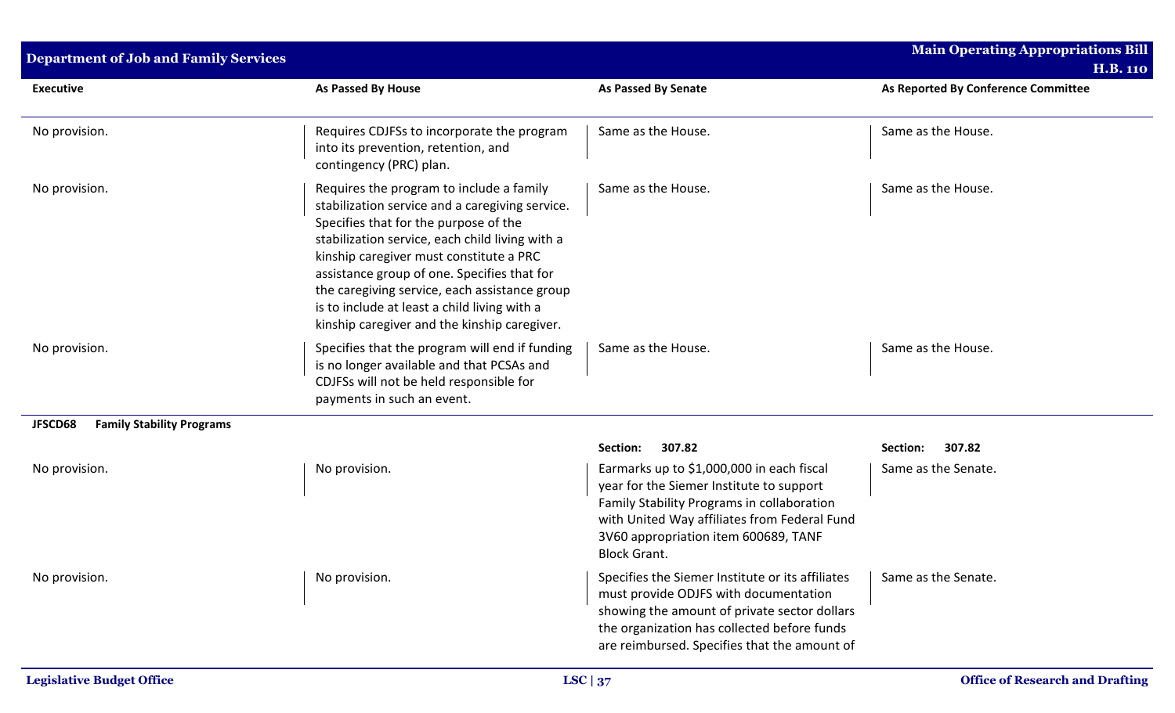| <b>Department of Job and Family Services</b> |                                                                                                                                                                                                                                                                                                                                                                                                                                    |                                                                                                                                                                                                                                                    | <b>Main Operating Appropriations Bill</b><br><b>H.B. 110</b> |
|----------------------------------------------|------------------------------------------------------------------------------------------------------------------------------------------------------------------------------------------------------------------------------------------------------------------------------------------------------------------------------------------------------------------------------------------------------------------------------------|----------------------------------------------------------------------------------------------------------------------------------------------------------------------------------------------------------------------------------------------------|--------------------------------------------------------------|
| <b>Executive</b>                             | As Passed By House                                                                                                                                                                                                                                                                                                                                                                                                                 | <b>As Passed By Senate</b>                                                                                                                                                                                                                         | As Reported By Conference Committee                          |
| No provision.                                | Requires CDJFSs to incorporate the program<br>into its prevention, retention, and<br>contingency (PRC) plan.                                                                                                                                                                                                                                                                                                                       | Same as the House.                                                                                                                                                                                                                                 | Same as the House.                                           |
| No provision.                                | Requires the program to include a family<br>stabilization service and a caregiving service.<br>Specifies that for the purpose of the<br>stabilization service, each child living with a<br>kinship caregiver must constitute a PRC<br>assistance group of one. Specifies that for<br>the caregiving service, each assistance group<br>is to include at least a child living with a<br>kinship caregiver and the kinship caregiver. | Same as the House.                                                                                                                                                                                                                                 | Same as the House.                                           |
| No provision.                                | Specifies that the program will end if funding<br>is no longer available and that PCSAs and<br>CDJFSs will not be held responsible for<br>payments in such an event.                                                                                                                                                                                                                                                               | Same as the House.                                                                                                                                                                                                                                 | Same as the House.                                           |
| <b>Family Stability Programs</b><br>JFSCD68  |                                                                                                                                                                                                                                                                                                                                                                                                                                    |                                                                                                                                                                                                                                                    |                                                              |
|                                              |                                                                                                                                                                                                                                                                                                                                                                                                                                    | Section:<br>307.82                                                                                                                                                                                                                                 | 307.82<br>Section:                                           |
| No provision.                                | No provision.                                                                                                                                                                                                                                                                                                                                                                                                                      | Earmarks up to \$1,000,000 in each fiscal<br>year for the Siemer Institute to support<br>Family Stability Programs in collaboration<br>with United Way affiliates from Federal Fund<br>3V60 appropriation item 600689, TANF<br><b>Block Grant.</b> | Same as the Senate.                                          |
| No provision.                                | No provision.                                                                                                                                                                                                                                                                                                                                                                                                                      | Specifies the Siemer Institute or its affiliates<br>must provide ODJFS with documentation<br>showing the amount of private sector dollars<br>the organization has collected before funds<br>are reimbursed. Specifies that the amount of           | Same as the Senate.                                          |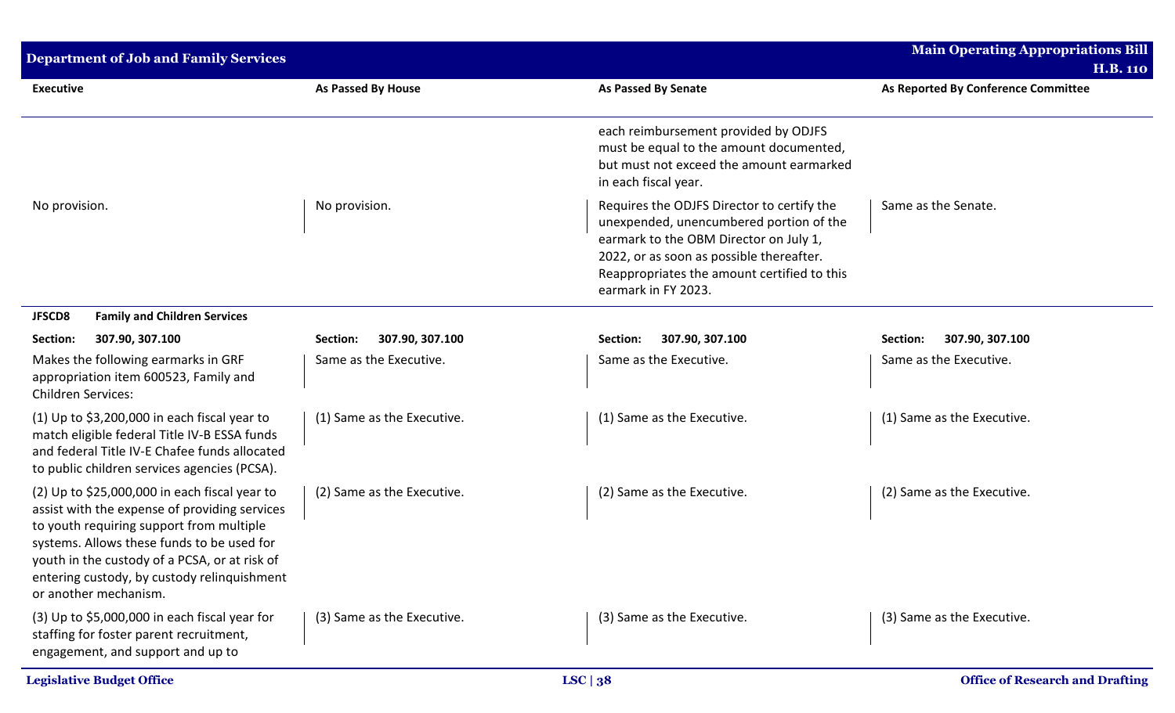| <b>Department of Job and Family Services</b>                                                                                                                                                                                                                                                                      |                             |                                                                                                                                                                                                                                                   | <b>Main Operating Appropriations Bill</b> |
|-------------------------------------------------------------------------------------------------------------------------------------------------------------------------------------------------------------------------------------------------------------------------------------------------------------------|-----------------------------|---------------------------------------------------------------------------------------------------------------------------------------------------------------------------------------------------------------------------------------------------|-------------------------------------------|
|                                                                                                                                                                                                                                                                                                                   |                             |                                                                                                                                                                                                                                                   | <b>H.B. 110</b>                           |
| <b>Executive</b>                                                                                                                                                                                                                                                                                                  | <b>As Passed By House</b>   | <b>As Passed By Senate</b>                                                                                                                                                                                                                        | As Reported By Conference Committee       |
|                                                                                                                                                                                                                                                                                                                   |                             | each reimbursement provided by ODJFS<br>must be equal to the amount documented,<br>but must not exceed the amount earmarked<br>in each fiscal year.                                                                                               |                                           |
| No provision.                                                                                                                                                                                                                                                                                                     | No provision.               | Requires the ODJFS Director to certify the<br>unexpended, unencumbered portion of the<br>earmark to the OBM Director on July 1,<br>2022, or as soon as possible thereafter.<br>Reappropriates the amount certified to this<br>earmark in FY 2023. | Same as the Senate.                       |
| <b>JFSCD8</b><br><b>Family and Children Services</b>                                                                                                                                                                                                                                                              |                             |                                                                                                                                                                                                                                                   |                                           |
| 307.90, 307.100<br>Section:                                                                                                                                                                                                                                                                                       | 307.90, 307.100<br>Section: | 307.90, 307.100<br>Section:                                                                                                                                                                                                                       | Section:<br>307.90, 307.100               |
| Makes the following earmarks in GRF<br>appropriation item 600523, Family and<br><b>Children Services:</b>                                                                                                                                                                                                         | Same as the Executive.      | Same as the Executive.                                                                                                                                                                                                                            | Same as the Executive.                    |
| (1) Up to $$3,200,000$ in each fiscal year to<br>match eligible federal Title IV-B ESSA funds<br>and federal Title IV-E Chafee funds allocated<br>to public children services agencies (PCSA).                                                                                                                    | (1) Same as the Executive.  | (1) Same as the Executive.                                                                                                                                                                                                                        | (1) Same as the Executive.                |
| (2) Up to \$25,000,000 in each fiscal year to<br>assist with the expense of providing services<br>to youth requiring support from multiple<br>systems. Allows these funds to be used for<br>youth in the custody of a PCSA, or at risk of<br>entering custody, by custody relinquishment<br>or another mechanism. | (2) Same as the Executive.  | (2) Same as the Executive.                                                                                                                                                                                                                        | (2) Same as the Executive.                |
| $(3)$ Up to \$5,000,000 in each fiscal year for<br>staffing for foster parent recruitment,<br>engagement, and support and up to                                                                                                                                                                                   | (3) Same as the Executive.  | (3) Same as the Executive.                                                                                                                                                                                                                        | (3) Same as the Executive.                |
| <b>Legislative Budget Office</b>                                                                                                                                                                                                                                                                                  |                             | LSC   38                                                                                                                                                                                                                                          | <b>Office of Research and Drafting</b>    |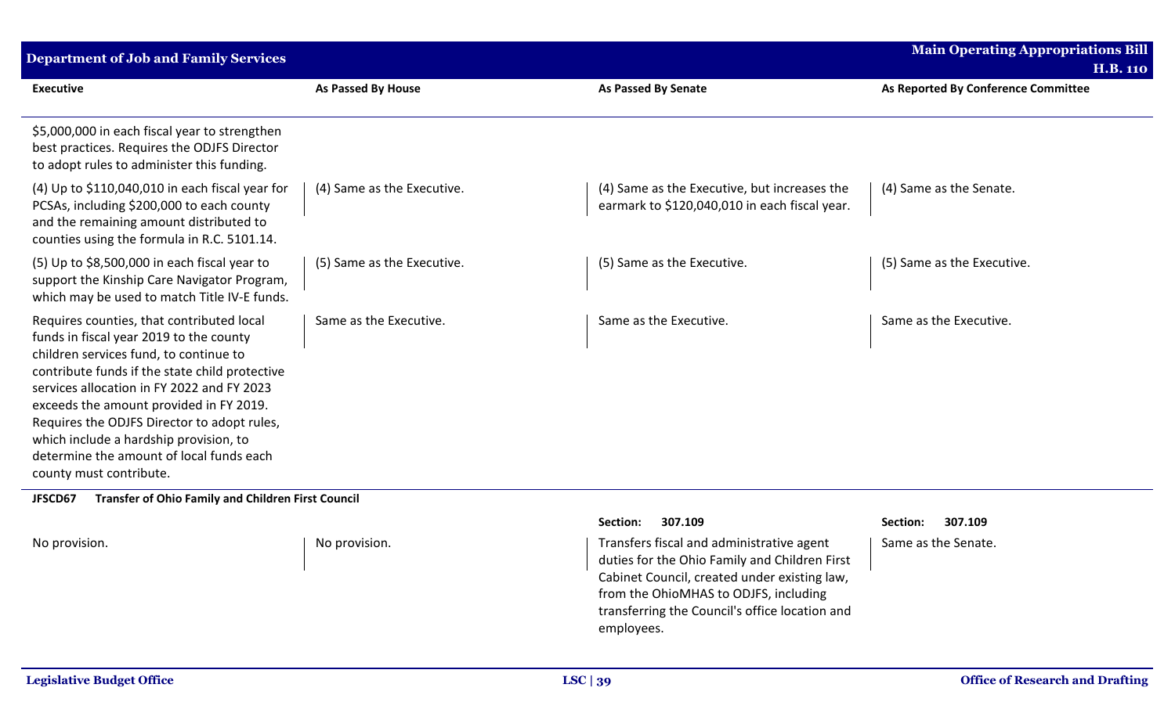| <b>Department of Job and Family Services</b>                                                                                                                                                                                                                                                                                                                                                                                              |                            |                                                                                               | <b>Main Operating Appropriations Bill</b> |
|-------------------------------------------------------------------------------------------------------------------------------------------------------------------------------------------------------------------------------------------------------------------------------------------------------------------------------------------------------------------------------------------------------------------------------------------|----------------------------|-----------------------------------------------------------------------------------------------|-------------------------------------------|
|                                                                                                                                                                                                                                                                                                                                                                                                                                           |                            |                                                                                               | <b>H.B. 110</b>                           |
| <b>Executive</b>                                                                                                                                                                                                                                                                                                                                                                                                                          | <b>As Passed By House</b>  | <b>As Passed By Senate</b>                                                                    | As Reported By Conference Committee       |
| \$5,000,000 in each fiscal year to strengthen<br>best practices. Requires the ODJFS Director<br>to adopt rules to administer this funding.                                                                                                                                                                                                                                                                                                |                            |                                                                                               |                                           |
| (4) Up to \$110,040,010 in each fiscal year for<br>PCSAs, including \$200,000 to each county<br>and the remaining amount distributed to<br>counties using the formula in R.C. 5101.14.                                                                                                                                                                                                                                                    | (4) Same as the Executive. | (4) Same as the Executive, but increases the<br>earmark to \$120,040,010 in each fiscal year. | (4) Same as the Senate.                   |
| (5) Up to \$8,500,000 in each fiscal year to<br>support the Kinship Care Navigator Program,<br>which may be used to match Title IV-E funds.                                                                                                                                                                                                                                                                                               | (5) Same as the Executive. | (5) Same as the Executive.                                                                    | (5) Same as the Executive.                |
| Requires counties, that contributed local<br>funds in fiscal year 2019 to the county<br>children services fund, to continue to<br>contribute funds if the state child protective<br>services allocation in FY 2022 and FY 2023<br>exceeds the amount provided in FY 2019.<br>Requires the ODJFS Director to adopt rules,<br>which include a hardship provision, to<br>determine the amount of local funds each<br>county must contribute. | Same as the Executive.     | Same as the Executive.                                                                        | Same as the Executive.                    |
| JFSCD67<br><b>Transfer of Ohio Family and Children First Council</b>                                                                                                                                                                                                                                                                                                                                                                      |                            |                                                                                               |                                           |

|  | No provision. |  |
|--|---------------|--|
|--|---------------|--|

## **Section: 307.109 Section: 307.109**

No provision. Transfers fiscal and administrative agent duties for the Ohio Family and Children First Cabinet Council, created under existing law, from the OhioMHAS to ODJFS, including transferring the Council's office location and employees.

Same as the Senate.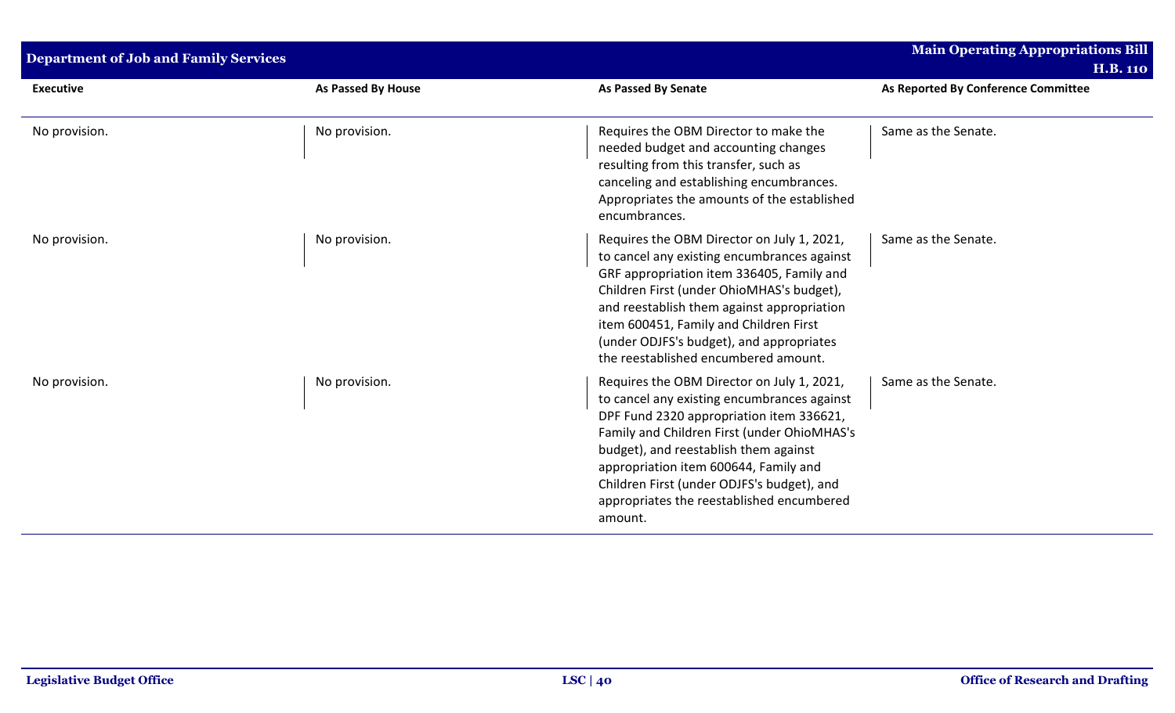| <b>Department of Job and Family Services</b> |                    |                                                                                                                                                                                                                                                                                                                                                                              | <b>Main Operating Appropriations Bill</b><br><b>H.B. 110</b> |
|----------------------------------------------|--------------------|------------------------------------------------------------------------------------------------------------------------------------------------------------------------------------------------------------------------------------------------------------------------------------------------------------------------------------------------------------------------------|--------------------------------------------------------------|
| <b>Executive</b>                             | As Passed By House | <b>As Passed By Senate</b>                                                                                                                                                                                                                                                                                                                                                   | As Reported By Conference Committee                          |
| No provision.                                | No provision.      | Requires the OBM Director to make the<br>needed budget and accounting changes<br>resulting from this transfer, such as<br>canceling and establishing encumbrances.<br>Appropriates the amounts of the established<br>encumbrances.                                                                                                                                           | Same as the Senate.                                          |
| No provision.                                | No provision.      | Requires the OBM Director on July 1, 2021,<br>to cancel any existing encumbrances against<br>GRF appropriation item 336405, Family and<br>Children First (under OhioMHAS's budget),<br>and reestablish them against appropriation<br>item 600451, Family and Children First<br>(under ODJFS's budget), and appropriates<br>the reestablished encumbered amount.              | Same as the Senate.                                          |
| No provision.                                | No provision.      | Requires the OBM Director on July 1, 2021,<br>to cancel any existing encumbrances against<br>DPF Fund 2320 appropriation item 336621,<br>Family and Children First (under OhioMHAS's<br>budget), and reestablish them against<br>appropriation item 600644, Family and<br>Children First (under ODJFS's budget), and<br>appropriates the reestablished encumbered<br>amount. | Same as the Senate.                                          |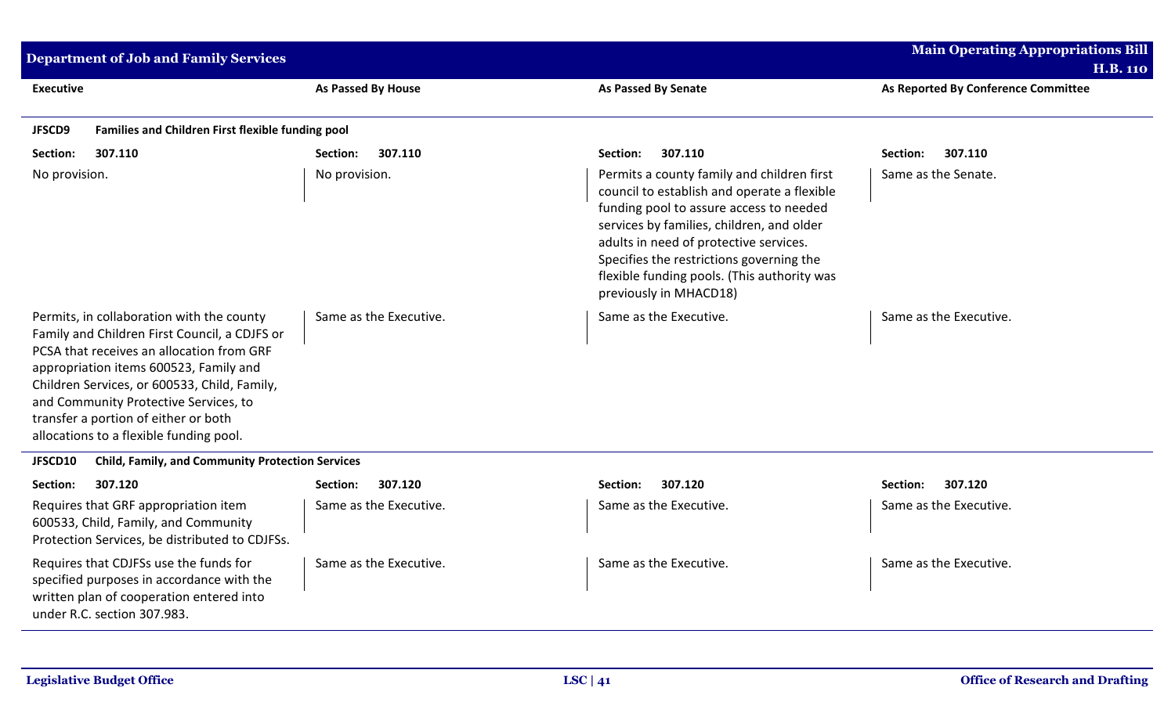| <b>Department of Job and Family Services</b>                                                                                                                                                                                                                                                                                                                  |                        |                                                                                                                                                                                                                                                                                                                                                  | <b>Main Operating Appropriations Bill</b><br><b>H.B. 110</b> |
|---------------------------------------------------------------------------------------------------------------------------------------------------------------------------------------------------------------------------------------------------------------------------------------------------------------------------------------------------------------|------------------------|--------------------------------------------------------------------------------------------------------------------------------------------------------------------------------------------------------------------------------------------------------------------------------------------------------------------------------------------------|--------------------------------------------------------------|
| <b>Executive</b>                                                                                                                                                                                                                                                                                                                                              | As Passed By House     | <b>As Passed By Senate</b>                                                                                                                                                                                                                                                                                                                       | As Reported By Conference Committee                          |
| Families and Children First flexible funding pool<br>JFSCD9                                                                                                                                                                                                                                                                                                   |                        |                                                                                                                                                                                                                                                                                                                                                  |                                                              |
| 307.110<br>Section:                                                                                                                                                                                                                                                                                                                                           | Section:<br>307.110    | 307.110<br>Section:                                                                                                                                                                                                                                                                                                                              | 307.110<br>Section:                                          |
| No provision.                                                                                                                                                                                                                                                                                                                                                 | No provision.          | Permits a county family and children first<br>council to establish and operate a flexible<br>funding pool to assure access to needed<br>services by families, children, and older<br>adults in need of protective services.<br>Specifies the restrictions governing the<br>flexible funding pools. (This authority was<br>previously in MHACD18) | Same as the Senate.                                          |
| Permits, in collaboration with the county<br>Family and Children First Council, a CDJFS or<br>PCSA that receives an allocation from GRF<br>appropriation items 600523, Family and<br>Children Services, or 600533, Child, Family,<br>and Community Protective Services, to<br>transfer a portion of either or both<br>allocations to a flexible funding pool. | Same as the Executive. | Same as the Executive.                                                                                                                                                                                                                                                                                                                           | Same as the Executive.                                       |
| JFSCD10<br><b>Child, Family, and Community Protection Services</b>                                                                                                                                                                                                                                                                                            |                        |                                                                                                                                                                                                                                                                                                                                                  |                                                              |
| 307.120<br>Section:                                                                                                                                                                                                                                                                                                                                           | 307.120<br>Section:    | 307.120<br>Section:                                                                                                                                                                                                                                                                                                                              | 307.120<br>Section:                                          |
| Requires that GRF appropriation item<br>600533, Child, Family, and Community<br>Protection Services, be distributed to CDJFSs.                                                                                                                                                                                                                                | Same as the Executive. | Same as the Executive.                                                                                                                                                                                                                                                                                                                           | Same as the Executive.                                       |
| Requires that CDJFSs use the funds for<br>specified purposes in accordance with the<br>written plan of cooperation entered into<br>under R.C. section 307.983.                                                                                                                                                                                                | Same as the Executive. | Same as the Executive.                                                                                                                                                                                                                                                                                                                           | Same as the Executive.                                       |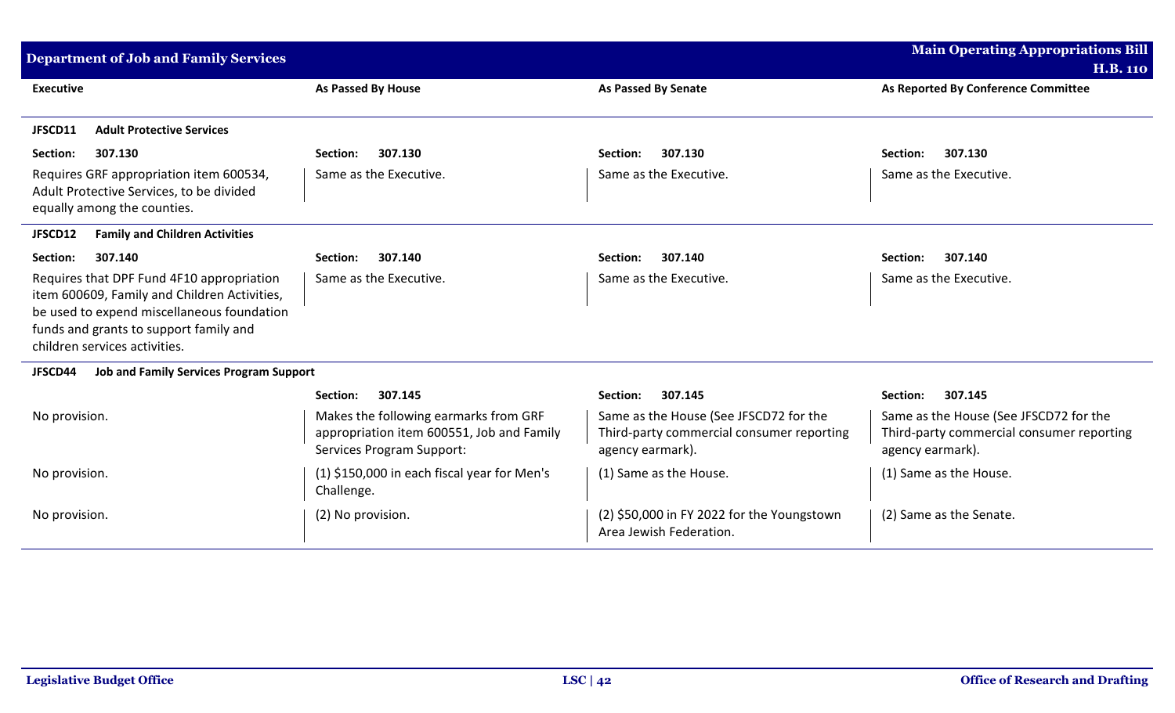| <b>Department of Job and Family Services</b>                                                                                                                                                                       |                                                                                                                 |                                                                                                         | <b>Main Operating Appropriations Bill</b><br><b>H.B. 110</b>                                            |
|--------------------------------------------------------------------------------------------------------------------------------------------------------------------------------------------------------------------|-----------------------------------------------------------------------------------------------------------------|---------------------------------------------------------------------------------------------------------|---------------------------------------------------------------------------------------------------------|
| <b>Executive</b>                                                                                                                                                                                                   | As Passed By House                                                                                              | <b>As Passed By Senate</b>                                                                              | As Reported By Conference Committee                                                                     |
| JFSCD11<br><b>Adult Protective Services</b>                                                                                                                                                                        |                                                                                                                 |                                                                                                         |                                                                                                         |
| 307.130<br>Section:                                                                                                                                                                                                | 307.130<br>Section:                                                                                             | 307.130<br>Section:                                                                                     | 307.130<br>Section:                                                                                     |
| Requires GRF appropriation item 600534,<br>Adult Protective Services, to be divided<br>equally among the counties.                                                                                                 | Same as the Executive.                                                                                          | Same as the Executive.                                                                                  | Same as the Executive.                                                                                  |
| JFSCD12<br><b>Family and Children Activities</b>                                                                                                                                                                   |                                                                                                                 |                                                                                                         |                                                                                                         |
| Section:<br>307.140                                                                                                                                                                                                | 307.140<br>Section:                                                                                             | 307.140<br>Section:                                                                                     | 307.140<br>Section:                                                                                     |
| Requires that DPF Fund 4F10 appropriation<br>item 600609, Family and Children Activities,<br>be used to expend miscellaneous foundation<br>funds and grants to support family and<br>children services activities. | Same as the Executive.                                                                                          | Same as the Executive.                                                                                  | Same as the Executive.                                                                                  |
| JFSCD44<br><b>Job and Family Services Program Support</b>                                                                                                                                                          |                                                                                                                 |                                                                                                         |                                                                                                         |
|                                                                                                                                                                                                                    | 307.145<br>Section:                                                                                             | 307.145<br>Section:                                                                                     | 307.145<br>Section:                                                                                     |
| No provision.                                                                                                                                                                                                      | Makes the following earmarks from GRF<br>appropriation item 600551, Job and Family<br>Services Program Support: | Same as the House (See JFSCD72 for the<br>Third-party commercial consumer reporting<br>agency earmark). | Same as the House (See JFSCD72 for the<br>Third-party commercial consumer reporting<br>agency earmark). |
| No provision.                                                                                                                                                                                                      | (1) \$150,000 in each fiscal year for Men's<br>Challenge.                                                       | (1) Same as the House.                                                                                  | (1) Same as the House.                                                                                  |
| No provision.                                                                                                                                                                                                      | (2) No provision.                                                                                               | (2) \$50,000 in FY 2022 for the Youngstown<br>Area Jewish Federation.                                   | (2) Same as the Senate.                                                                                 |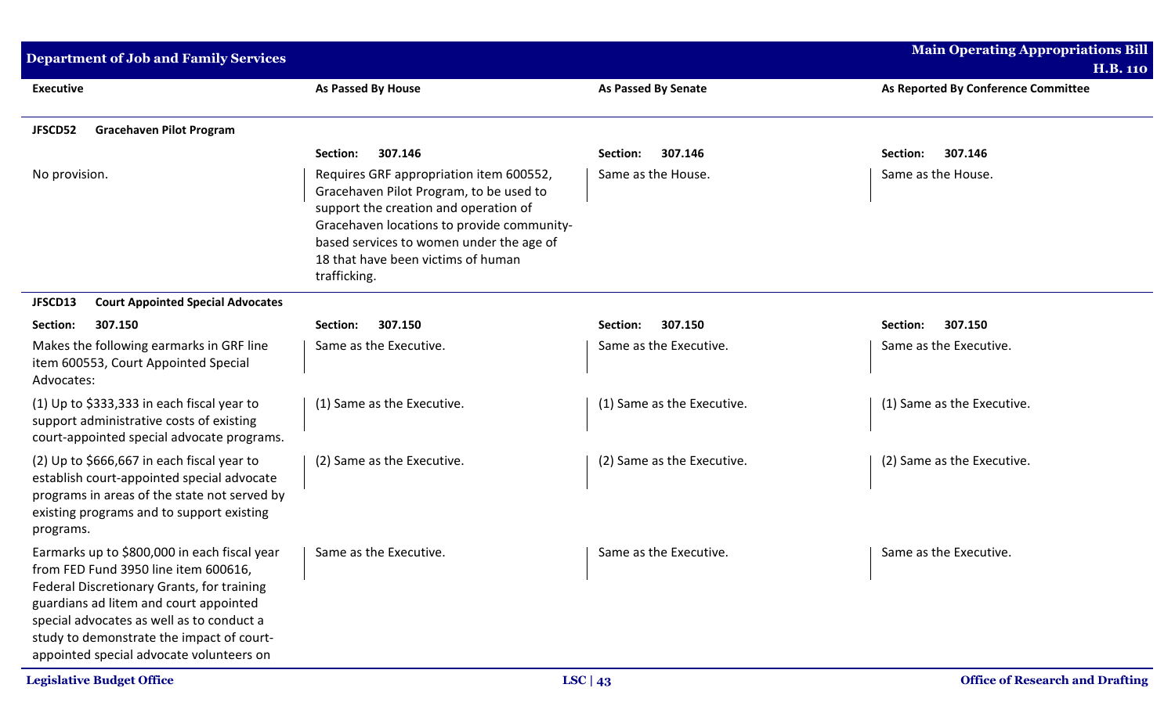| <b>Department of Job and Family Services</b>                                                                                                                                                                                                                                                                       |                                                                                                                                                                                                                                                                             |                            | <b>Main Operating Appropriations Bill</b><br><b>H.B. 110</b> |
|--------------------------------------------------------------------------------------------------------------------------------------------------------------------------------------------------------------------------------------------------------------------------------------------------------------------|-----------------------------------------------------------------------------------------------------------------------------------------------------------------------------------------------------------------------------------------------------------------------------|----------------------------|--------------------------------------------------------------|
| <b>Executive</b>                                                                                                                                                                                                                                                                                                   | As Passed By House                                                                                                                                                                                                                                                          | <b>As Passed By Senate</b> | As Reported By Conference Committee                          |
| JFSCD52<br><b>Gracehaven Pilot Program</b>                                                                                                                                                                                                                                                                         |                                                                                                                                                                                                                                                                             |                            |                                                              |
|                                                                                                                                                                                                                                                                                                                    | 307.146<br>Section:                                                                                                                                                                                                                                                         | 307.146<br>Section:        | Section:<br>307.146                                          |
| No provision.                                                                                                                                                                                                                                                                                                      | Requires GRF appropriation item 600552,<br>Gracehaven Pilot Program, to be used to<br>support the creation and operation of<br>Gracehaven locations to provide community-<br>based services to women under the age of<br>18 that have been victims of human<br>trafficking. | Same as the House.         | Same as the House.                                           |
| <b>Court Appointed Special Advocates</b><br>JFSCD13                                                                                                                                                                                                                                                                |                                                                                                                                                                                                                                                                             |                            |                                                              |
| 307.150<br>Section:                                                                                                                                                                                                                                                                                                | 307.150<br>Section:                                                                                                                                                                                                                                                         | 307.150<br>Section:        | 307.150<br>Section:                                          |
| Makes the following earmarks in GRF line<br>item 600553, Court Appointed Special<br>Advocates:                                                                                                                                                                                                                     | Same as the Executive.                                                                                                                                                                                                                                                      | Same as the Executive.     | Same as the Executive.                                       |
| (1) Up to $$333,333$ in each fiscal year to<br>support administrative costs of existing<br>court-appointed special advocate programs.                                                                                                                                                                              | (1) Same as the Executive.                                                                                                                                                                                                                                                  | (1) Same as the Executive. | (1) Same as the Executive.                                   |
| (2) Up to $$666,667$ in each fiscal year to<br>establish court-appointed special advocate<br>programs in areas of the state not served by<br>existing programs and to support existing<br>programs.                                                                                                                | (2) Same as the Executive.                                                                                                                                                                                                                                                  | (2) Same as the Executive. | (2) Same as the Executive.                                   |
| Earmarks up to \$800,000 in each fiscal year<br>from FED Fund 3950 line item 600616,<br>Federal Discretionary Grants, for training<br>guardians ad litem and court appointed<br>special advocates as well as to conduct a<br>study to demonstrate the impact of court-<br>appointed special advocate volunteers on | Same as the Executive.                                                                                                                                                                                                                                                      | Same as the Executive.     | Same as the Executive.                                       |
| <b>Legislative Budget Office</b>                                                                                                                                                                                                                                                                                   |                                                                                                                                                                                                                                                                             | LSC   $43$                 | <b>Office of Research and Drafting</b>                       |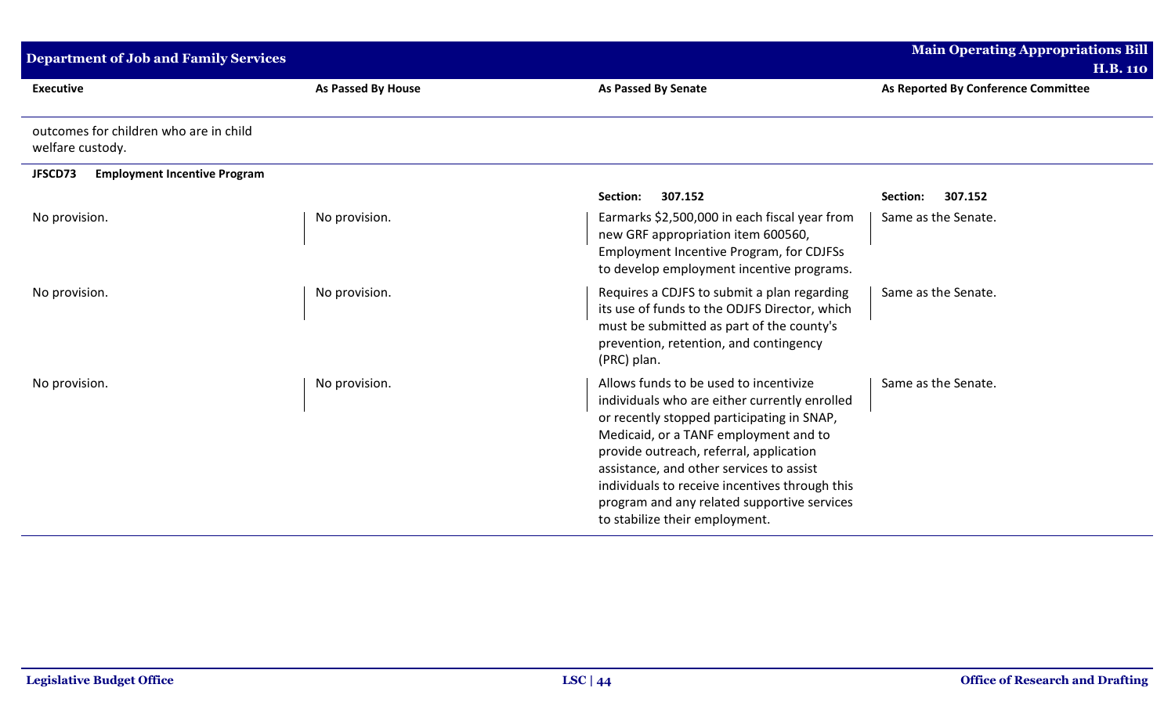| <b>Department of Job and Family Services</b>               |                    |                                                                                                                                                                                                                                                                                                                                                                                                          | <b>Main Operating Appropriations Bill</b><br><b>H.B. 110</b> |
|------------------------------------------------------------|--------------------|----------------------------------------------------------------------------------------------------------------------------------------------------------------------------------------------------------------------------------------------------------------------------------------------------------------------------------------------------------------------------------------------------------|--------------------------------------------------------------|
| <b>Executive</b>                                           | As Passed By House | <b>As Passed By Senate</b>                                                                                                                                                                                                                                                                                                                                                                               | As Reported By Conference Committee                          |
| outcomes for children who are in child<br>welfare custody. |                    |                                                                                                                                                                                                                                                                                                                                                                                                          |                                                              |
| JFSCD73<br><b>Employment Incentive Program</b>             |                    |                                                                                                                                                                                                                                                                                                                                                                                                          |                                                              |
|                                                            |                    | 307.152<br>Section:                                                                                                                                                                                                                                                                                                                                                                                      | 307.152<br>Section:                                          |
| No provision.                                              | No provision.      | Earmarks \$2,500,000 in each fiscal year from<br>new GRF appropriation item 600560,<br>Employment Incentive Program, for CDJFSs<br>to develop employment incentive programs.                                                                                                                                                                                                                             | Same as the Senate.                                          |
| No provision.                                              | No provision.      | Requires a CDJFS to submit a plan regarding<br>its use of funds to the ODJFS Director, which<br>must be submitted as part of the county's<br>prevention, retention, and contingency<br>(PRC) plan.                                                                                                                                                                                                       | Same as the Senate.                                          |
| No provision.                                              | No provision.      | Allows funds to be used to incentivize<br>individuals who are either currently enrolled<br>or recently stopped participating in SNAP,<br>Medicaid, or a TANF employment and to<br>provide outreach, referral, application<br>assistance, and other services to assist<br>individuals to receive incentives through this<br>program and any related supportive services<br>to stabilize their employment. | Same as the Senate.                                          |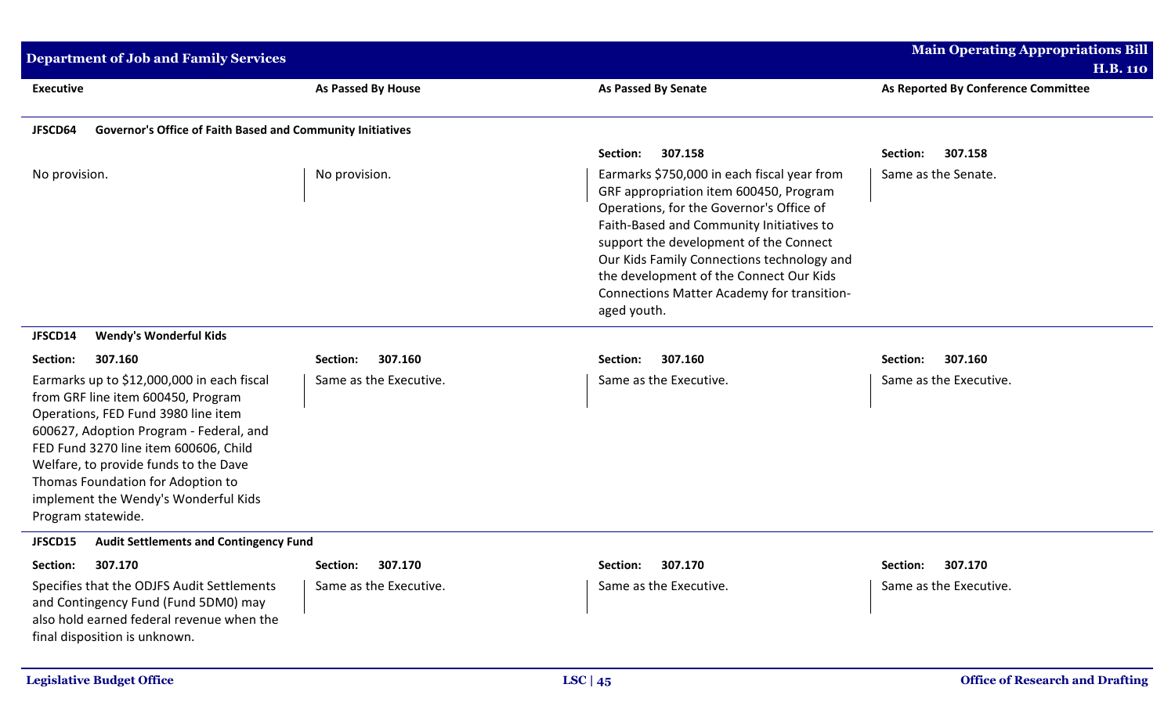| <b>Department of Job and Family Services</b>                                                                                                                                                                                                                                                                                                            |                           |                                                                                                                                                                                                                                                                                                                                                                               | <b>Main Operating Appropriations Bill</b> |
|---------------------------------------------------------------------------------------------------------------------------------------------------------------------------------------------------------------------------------------------------------------------------------------------------------------------------------------------------------|---------------------------|-------------------------------------------------------------------------------------------------------------------------------------------------------------------------------------------------------------------------------------------------------------------------------------------------------------------------------------------------------------------------------|-------------------------------------------|
|                                                                                                                                                                                                                                                                                                                                                         |                           |                                                                                                                                                                                                                                                                                                                                                                               | <b>H.B. 110</b>                           |
| <b>Executive</b>                                                                                                                                                                                                                                                                                                                                        | <b>As Passed By House</b> | <b>As Passed By Senate</b>                                                                                                                                                                                                                                                                                                                                                    | As Reported By Conference Committee       |
| Governor's Office of Faith Based and Community Initiatives<br>JFSCD64                                                                                                                                                                                                                                                                                   |                           |                                                                                                                                                                                                                                                                                                                                                                               |                                           |
|                                                                                                                                                                                                                                                                                                                                                         |                           | 307.158<br>Section:                                                                                                                                                                                                                                                                                                                                                           | Section:<br>307.158                       |
| No provision.                                                                                                                                                                                                                                                                                                                                           | No provision.             | Earmarks \$750,000 in each fiscal year from<br>GRF appropriation item 600450, Program<br>Operations, for the Governor's Office of<br>Faith-Based and Community Initiatives to<br>support the development of the Connect<br>Our Kids Family Connections technology and<br>the development of the Connect Our Kids<br>Connections Matter Academy for transition-<br>aged youth. | Same as the Senate.                       |
| <b>Wendy's Wonderful Kids</b><br>JFSCD14                                                                                                                                                                                                                                                                                                                |                           |                                                                                                                                                                                                                                                                                                                                                                               |                                           |
| Section:<br>307.160                                                                                                                                                                                                                                                                                                                                     | 307.160<br>Section:       | 307.160<br>Section:                                                                                                                                                                                                                                                                                                                                                           | 307.160<br>Section:                       |
| Earmarks up to \$12,000,000 in each fiscal<br>from GRF line item 600450, Program<br>Operations, FED Fund 3980 line item<br>600627, Adoption Program - Federal, and<br>FED Fund 3270 line item 600606, Child<br>Welfare, to provide funds to the Dave<br>Thomas Foundation for Adoption to<br>implement the Wendy's Wonderful Kids<br>Program statewide. | Same as the Executive.    | Same as the Executive.                                                                                                                                                                                                                                                                                                                                                        | Same as the Executive.                    |
| <b>Audit Settlements and Contingency Fund</b><br>JFSCD15                                                                                                                                                                                                                                                                                                |                           |                                                                                                                                                                                                                                                                                                                                                                               |                                           |
| Section:<br>307.170                                                                                                                                                                                                                                                                                                                                     | Section:<br>307.170       | Section: 307.170                                                                                                                                                                                                                                                                                                                                                              | Section: 307.170                          |
| Specifies that the ODJFS Audit Settlements<br>and Contingency Fund (Fund 5DM0) may<br>also hold earned federal revenue when the<br>final disposition is unknown.                                                                                                                                                                                        | Same as the Executive.    | Same as the Executive.                                                                                                                                                                                                                                                                                                                                                        | Same as the Executive.                    |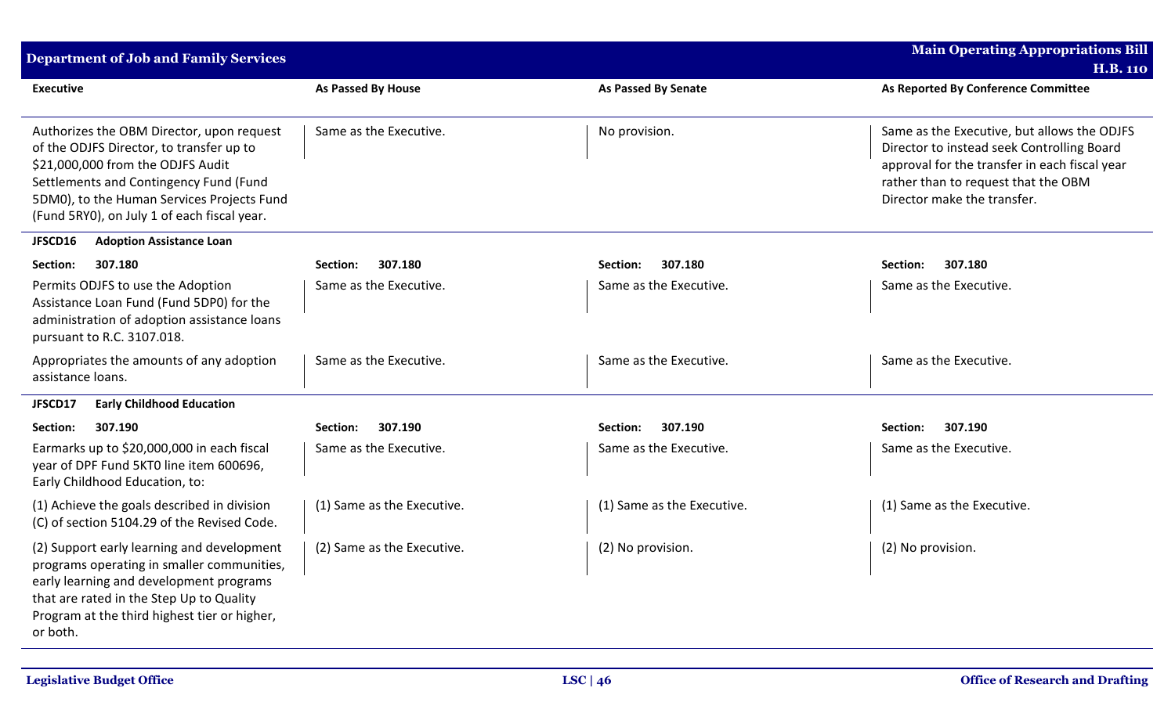| <b>Department of Job and Family Services</b>                                                                                                                                                                                                                      |                            |                            | <b>Main Operating Appropriations Bill</b><br><b>H.B. 110</b>                                                                                                                                                     |
|-------------------------------------------------------------------------------------------------------------------------------------------------------------------------------------------------------------------------------------------------------------------|----------------------------|----------------------------|------------------------------------------------------------------------------------------------------------------------------------------------------------------------------------------------------------------|
| <b>Executive</b>                                                                                                                                                                                                                                                  | <b>As Passed By House</b>  | <b>As Passed By Senate</b> | As Reported By Conference Committee                                                                                                                                                                              |
| Authorizes the OBM Director, upon request<br>of the ODJFS Director, to transfer up to<br>\$21,000,000 from the ODJFS Audit<br>Settlements and Contingency Fund (Fund<br>5DM0), to the Human Services Projects Fund<br>(Fund 5RY0), on July 1 of each fiscal year. | Same as the Executive.     | No provision.              | Same as the Executive, but allows the ODJFS<br>Director to instead seek Controlling Board<br>approval for the transfer in each fiscal year<br>rather than to request that the OBM<br>Director make the transfer. |
| JFSCD16<br><b>Adoption Assistance Loan</b>                                                                                                                                                                                                                        |                            |                            |                                                                                                                                                                                                                  |
| 307.180<br>Section:                                                                                                                                                                                                                                               | 307.180<br>Section:        | 307.180<br>Section:        | Section:<br>307.180                                                                                                                                                                                              |
| Permits ODJFS to use the Adoption<br>Assistance Loan Fund (Fund 5DP0) for the<br>administration of adoption assistance loans<br>pursuant to R.C. 3107.018.                                                                                                        | Same as the Executive.     | Same as the Executive.     | Same as the Executive.                                                                                                                                                                                           |
| Appropriates the amounts of any adoption<br>assistance loans.                                                                                                                                                                                                     | Same as the Executive.     | Same as the Executive.     | Same as the Executive.                                                                                                                                                                                           |
| <b>Early Childhood Education</b><br>JFSCD17                                                                                                                                                                                                                       |                            |                            |                                                                                                                                                                                                                  |
| 307.190<br>Section:                                                                                                                                                                                                                                               | 307.190<br>Section:        | 307.190<br>Section:        | 307.190<br>Section:                                                                                                                                                                                              |
| Earmarks up to \$20,000,000 in each fiscal<br>year of DPF Fund 5KT0 line item 600696,<br>Early Childhood Education, to:                                                                                                                                           | Same as the Executive.     | Same as the Executive.     | Same as the Executive.                                                                                                                                                                                           |
| (1) Achieve the goals described in division<br>(C) of section 5104.29 of the Revised Code.                                                                                                                                                                        | (1) Same as the Executive. | (1) Same as the Executive. | (1) Same as the Executive.                                                                                                                                                                                       |
| (2) Support early learning and development<br>programs operating in smaller communities,<br>early learning and development programs<br>that are rated in the Step Up to Quality<br>Program at the third highest tier or higher,<br>or both.                       | (2) Same as the Executive. | (2) No provision.          | (2) No provision.                                                                                                                                                                                                |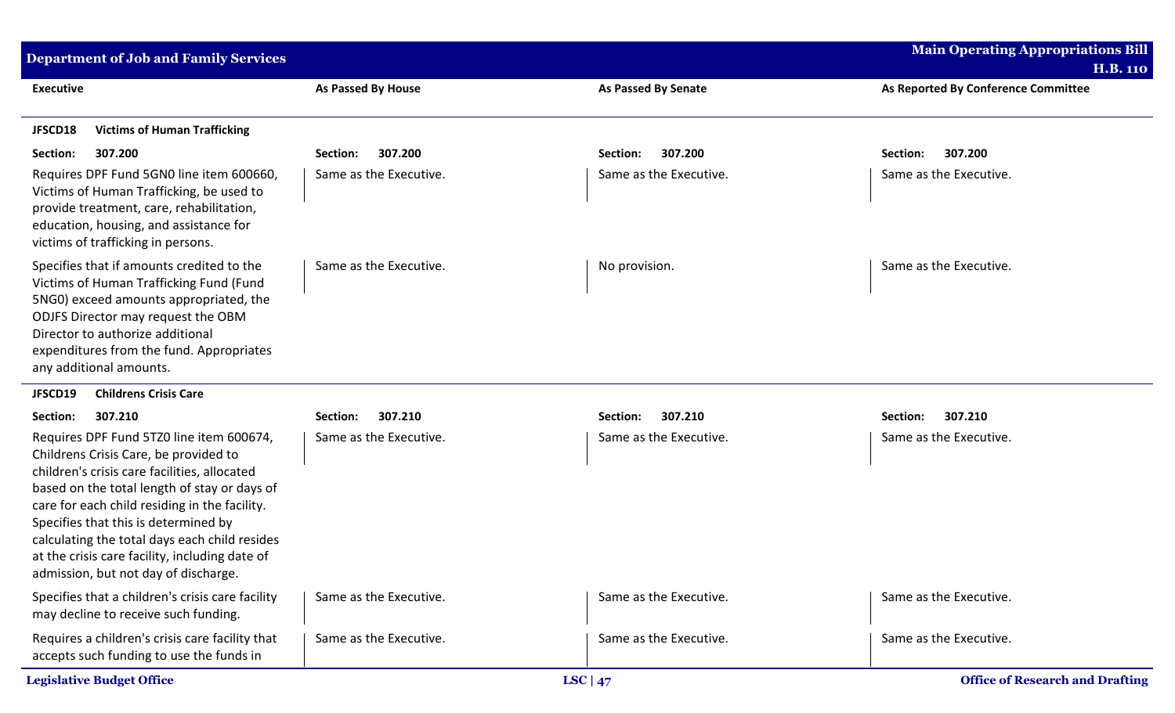| <b>Department of Job and Family Services</b>                                                                                                                                                                                                                                                                                                                                                                          |                        |                            | <b>Main Operating Appropriations Bill</b> |
|-----------------------------------------------------------------------------------------------------------------------------------------------------------------------------------------------------------------------------------------------------------------------------------------------------------------------------------------------------------------------------------------------------------------------|------------------------|----------------------------|-------------------------------------------|
|                                                                                                                                                                                                                                                                                                                                                                                                                       |                        |                            | <b>H.B. 110</b>                           |
| <b>Executive</b>                                                                                                                                                                                                                                                                                                                                                                                                      | As Passed By House     | <b>As Passed By Senate</b> | As Reported By Conference Committee       |
| <b>Victims of Human Trafficking</b><br>JFSCD18                                                                                                                                                                                                                                                                                                                                                                        |                        |                            |                                           |
| Section:<br>307.200                                                                                                                                                                                                                                                                                                                                                                                                   | 307.200<br>Section:    | 307.200<br>Section:        | 307.200<br>Section:                       |
| Requires DPF Fund 5GN0 line item 600660,<br>Victims of Human Trafficking, be used to<br>provide treatment, care, rehabilitation,<br>education, housing, and assistance for<br>victims of trafficking in persons.                                                                                                                                                                                                      | Same as the Executive. | Same as the Executive.     | Same as the Executive.                    |
| Specifies that if amounts credited to the<br>Victims of Human Trafficking Fund (Fund<br>5NG0) exceed amounts appropriated, the<br>ODJFS Director may request the OBM<br>Director to authorize additional<br>expenditures from the fund. Appropriates<br>any additional amounts.                                                                                                                                       | Same as the Executive. | No provision.              | Same as the Executive.                    |
| JFSCD19<br><b>Childrens Crisis Care</b>                                                                                                                                                                                                                                                                                                                                                                               |                        |                            |                                           |
| 307.210<br>Section:                                                                                                                                                                                                                                                                                                                                                                                                   | 307.210<br>Section:    | 307.210<br>Section:        | 307.210<br>Section:                       |
| Requires DPF Fund 5TZ0 line item 600674,<br>Childrens Crisis Care, be provided to<br>children's crisis care facilities, allocated<br>based on the total length of stay or days of<br>care for each child residing in the facility.<br>Specifies that this is determined by<br>calculating the total days each child resides<br>at the crisis care facility, including date of<br>admission, but not day of discharge. | Same as the Executive. | Same as the Executive.     | Same as the Executive.                    |
| Specifies that a children's crisis care facility<br>may decline to receive such funding.                                                                                                                                                                                                                                                                                                                              | Same as the Executive. | Same as the Executive.     | Same as the Executive.                    |
| Requires a children's crisis care facility that<br>accepts such funding to use the funds in                                                                                                                                                                                                                                                                                                                           | Same as the Executive. | Same as the Executive.     | Same as the Executive.                    |
| <b>Legislative Budget Office</b>                                                                                                                                                                                                                                                                                                                                                                                      |                        | LSC   $47$                 | <b>Office of Research and Drafting</b>    |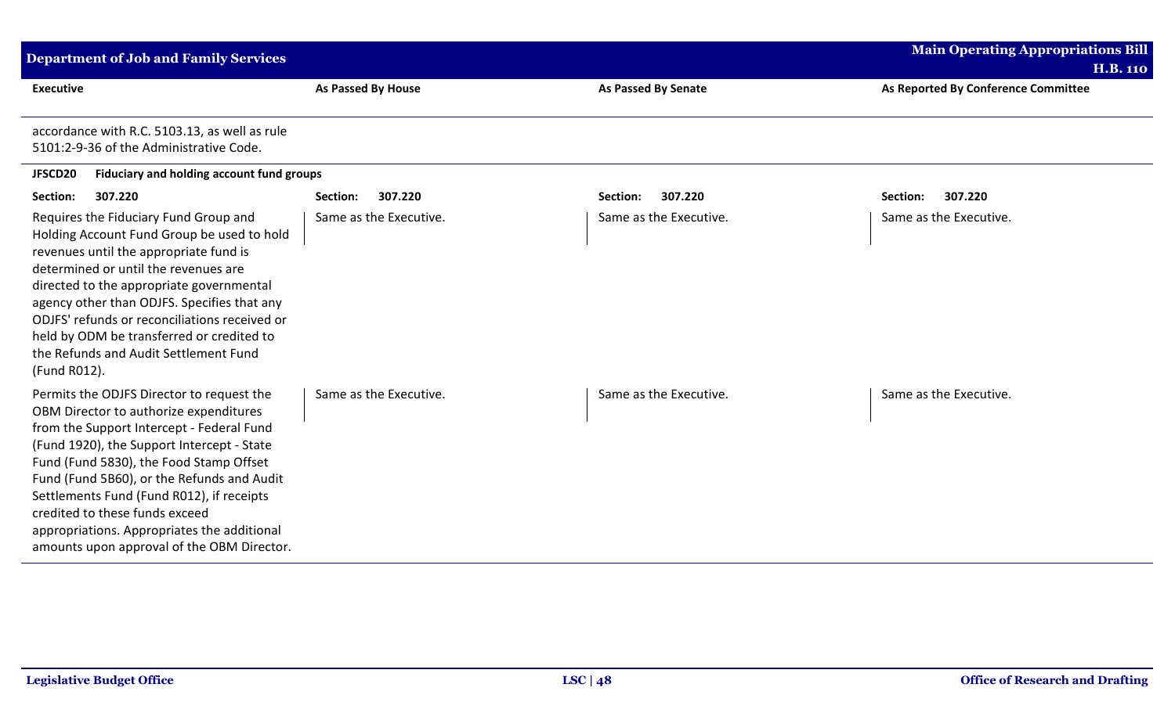| <b>Department of Job and Family Services</b>                                                                                                                                                                                                                                                                                                                                                                                                        |                        |                            | <b>Main Operating Appropriations Bill</b><br><b>H.B. 110</b> |
|-----------------------------------------------------------------------------------------------------------------------------------------------------------------------------------------------------------------------------------------------------------------------------------------------------------------------------------------------------------------------------------------------------------------------------------------------------|------------------------|----------------------------|--------------------------------------------------------------|
| <b>Executive</b>                                                                                                                                                                                                                                                                                                                                                                                                                                    | As Passed By House     | <b>As Passed By Senate</b> | As Reported By Conference Committee                          |
| accordance with R.C. 5103.13, as well as rule<br>5101:2-9-36 of the Administrative Code.                                                                                                                                                                                                                                                                                                                                                            |                        |                            |                                                              |
| Fiduciary and holding account fund groups<br>JFSCD20                                                                                                                                                                                                                                                                                                                                                                                                |                        |                            |                                                              |
| 307.220<br>Section:                                                                                                                                                                                                                                                                                                                                                                                                                                 | 307.220<br>Section:    | 307.220<br>Section:        | 307.220<br>Section:                                          |
| Requires the Fiduciary Fund Group and<br>Holding Account Fund Group be used to hold<br>revenues until the appropriate fund is<br>determined or until the revenues are<br>directed to the appropriate governmental<br>agency other than ODJFS. Specifies that any<br>ODJFS' refunds or reconciliations received or<br>held by ODM be transferred or credited to<br>the Refunds and Audit Settlement Fund<br>(Fund R012).                             | Same as the Executive. | Same as the Executive.     | Same as the Executive.                                       |
| Permits the ODJFS Director to request the<br>OBM Director to authorize expenditures<br>from the Support Intercept - Federal Fund<br>(Fund 1920), the Support Intercept - State<br>Fund (Fund 5830), the Food Stamp Offset<br>Fund (Fund 5B60), or the Refunds and Audit<br>Settlements Fund (Fund R012), if receipts<br>credited to these funds exceed<br>appropriations. Appropriates the additional<br>amounts upon approval of the OBM Director. | Same as the Executive. | Same as the Executive.     | Same as the Executive.                                       |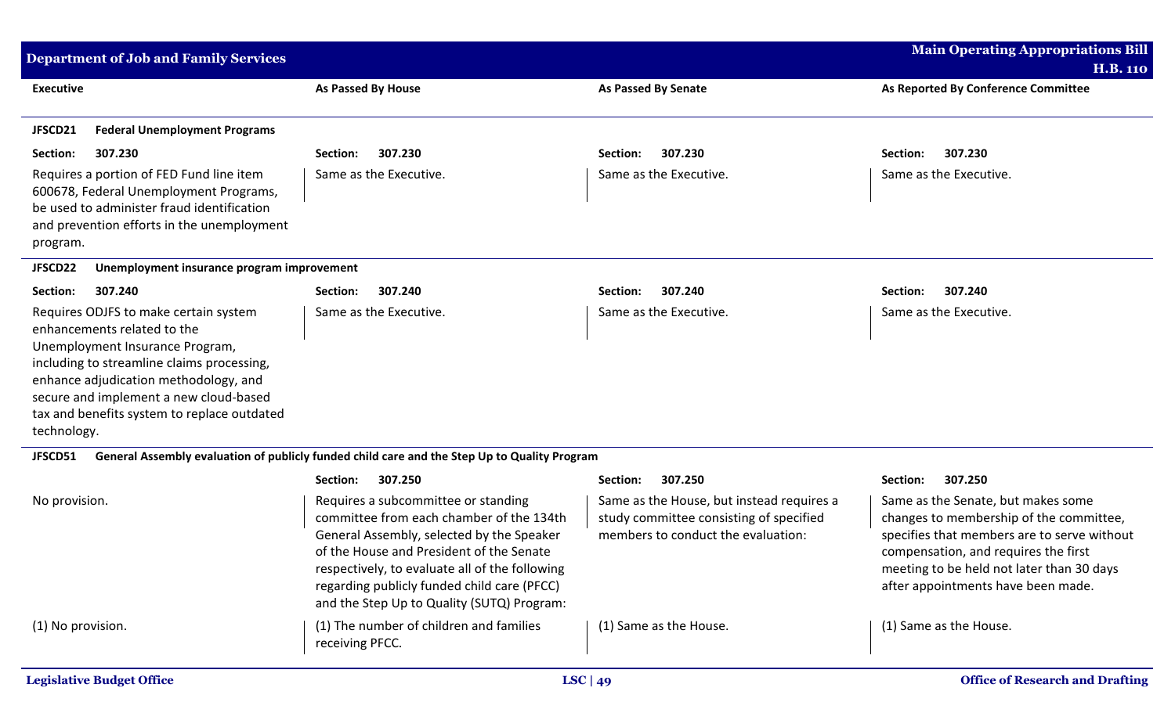| <b>Department of Job and Family Services</b>                                                                                                                                                                                                                                                           |                                                                                              |                                           | <b>Main Operating Appropriations Bill</b> |
|--------------------------------------------------------------------------------------------------------------------------------------------------------------------------------------------------------------------------------------------------------------------------------------------------------|----------------------------------------------------------------------------------------------|-------------------------------------------|-------------------------------------------|
|                                                                                                                                                                                                                                                                                                        |                                                                                              |                                           | <b>H.B. 110</b>                           |
| <b>Executive</b>                                                                                                                                                                                                                                                                                       | <b>As Passed By House</b>                                                                    | <b>As Passed By Senate</b>                | As Reported By Conference Committee       |
| <b>Federal Unemployment Programs</b><br>JFSCD21                                                                                                                                                                                                                                                        |                                                                                              |                                           |                                           |
| Section:<br>307.230                                                                                                                                                                                                                                                                                    | 307.230<br>Section:                                                                          | 307.230<br>Section:                       | 307.230<br>Section:                       |
| Requires a portion of FED Fund line item<br>600678, Federal Unemployment Programs,<br>be used to administer fraud identification<br>and prevention efforts in the unemployment<br>program.                                                                                                             | Same as the Executive.                                                                       | Same as the Executive.                    | Same as the Executive.                    |
| JFSCD22<br>Unemployment insurance program improvement                                                                                                                                                                                                                                                  |                                                                                              |                                           |                                           |
| Section:<br>307.240                                                                                                                                                                                                                                                                                    | 307.240<br>Section:                                                                          | 307.240<br>Section:                       | 307.240<br>Section:                       |
| Requires ODJFS to make certain system<br>enhancements related to the<br>Unemployment Insurance Program,<br>including to streamline claims processing,<br>enhance adjudication methodology, and<br>secure and implement a new cloud-based<br>tax and benefits system to replace outdated<br>technology. | Same as the Executive.                                                                       | Same as the Executive.                    | Same as the Executive.                    |
| JFSCD51                                                                                                                                                                                                                                                                                                | General Assembly evaluation of publicly funded child care and the Step Up to Quality Program |                                           |                                           |
|                                                                                                                                                                                                                                                                                                        | 307.250<br>Section:                                                                          | 307.250<br>Section:                       | 307.250<br>Section:                       |
| No provision.                                                                                                                                                                                                                                                                                          | Requires a subcommittee or standing                                                          | Same as the House, but instead requires a | Same as the Senate, but makes some        |

| Same as the House, but instead requires a<br>study committee consisting of specified<br>members to conduct the evaluation: | Same as the Senate, but makes some<br>changes to membership of the committee,<br>specifies that members are to serve without<br>compensation, and requires the first<br>meeting to be held not later than 30 days<br>after appointments have been made. |
|----------------------------------------------------------------------------------------------------------------------------|---------------------------------------------------------------------------------------------------------------------------------------------------------------------------------------------------------------------------------------------------------|
|                                                                                                                            |                                                                                                                                                                                                                                                         |

(1) Same as the House. (1) Same as the House.

committee from each chamber of the 134th General Assembly, selected by the Speaker of the House and President of the Senate respectively, to evaluate all of the following regarding publicly funded child care (PFCC) and the Step Up to Quality (SUTQ) Program:

(1) No provision. (1) The number of children and families

receiving PFCC.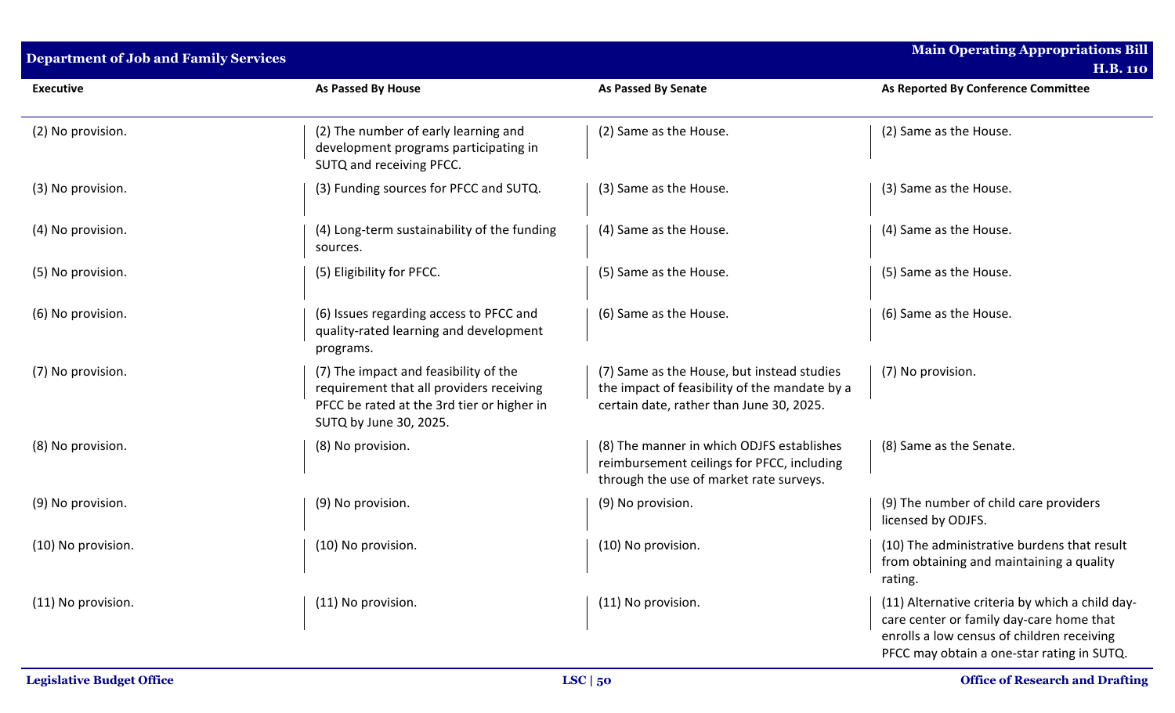| <b>Department of Job and Family Services</b> |                                                                                                                                                           |                                                                                                                                         | <b>Main Operating Appropriations Bill</b><br><b>H.B. 110</b>                                                                                                                            |
|----------------------------------------------|-----------------------------------------------------------------------------------------------------------------------------------------------------------|-----------------------------------------------------------------------------------------------------------------------------------------|-----------------------------------------------------------------------------------------------------------------------------------------------------------------------------------------|
| <b>Executive</b>                             | As Passed By House                                                                                                                                        | <b>As Passed By Senate</b>                                                                                                              | As Reported By Conference Committee                                                                                                                                                     |
| (2) No provision.                            | (2) The number of early learning and<br>development programs participating in<br>SUTQ and receiving PFCC.                                                 | (2) Same as the House.                                                                                                                  | (2) Same as the House.                                                                                                                                                                  |
| (3) No provision.                            | (3) Funding sources for PFCC and SUTQ.                                                                                                                    | (3) Same as the House.                                                                                                                  | (3) Same as the House.                                                                                                                                                                  |
| (4) No provision.                            | (4) Long-term sustainability of the funding<br>sources.                                                                                                   | (4) Same as the House.                                                                                                                  | (4) Same as the House.                                                                                                                                                                  |
| (5) No provision.                            | (5) Eligibility for PFCC.                                                                                                                                 | (5) Same as the House.                                                                                                                  | (5) Same as the House.                                                                                                                                                                  |
| (6) No provision.                            | (6) Issues regarding access to PFCC and<br>quality-rated learning and development<br>programs.                                                            | (6) Same as the House.                                                                                                                  | (6) Same as the House.                                                                                                                                                                  |
| (7) No provision.                            | (7) The impact and feasibility of the<br>requirement that all providers receiving<br>PFCC be rated at the 3rd tier or higher in<br>SUTQ by June 30, 2025. | (7) Same as the House, but instead studies<br>the impact of feasibility of the mandate by a<br>certain date, rather than June 30, 2025. | (7) No provision.                                                                                                                                                                       |
| (8) No provision.                            | (8) No provision.                                                                                                                                         | (8) The manner in which ODJFS establishes<br>reimbursement ceilings for PFCC, including<br>through the use of market rate surveys.      | (8) Same as the Senate.                                                                                                                                                                 |
| (9) No provision.                            | (9) No provision.                                                                                                                                         | (9) No provision.                                                                                                                       | (9) The number of child care providers<br>licensed by ODJFS.                                                                                                                            |
| (10) No provision.                           | (10) No provision.                                                                                                                                        | (10) No provision.                                                                                                                      | (10) The administrative burdens that result<br>from obtaining and maintaining a quality<br>rating.                                                                                      |
| (11) No provision.                           | (11) No provision.                                                                                                                                        | (11) No provision.                                                                                                                      | (11) Alternative criteria by which a child day-<br>care center or family day-care home that<br>enrolls a low census of children receiving<br>PFCC may obtain a one-star rating in SUTQ. |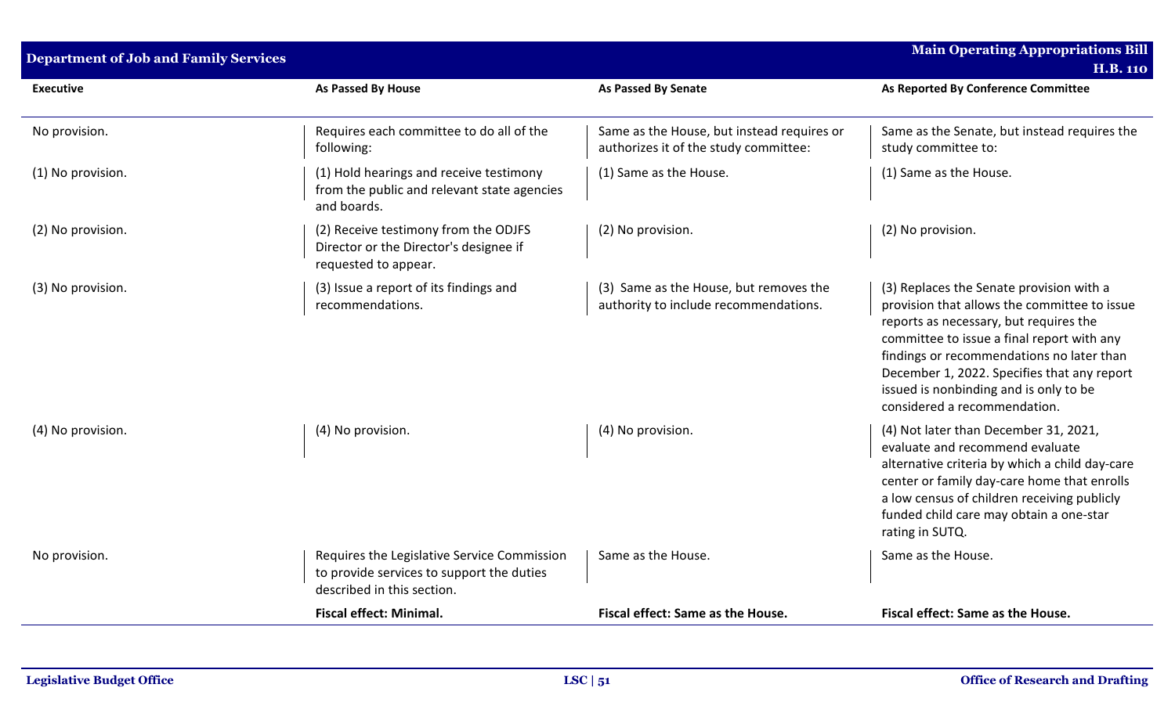| <b>Department of Job and Family Services</b> |                                                                                                                        |                                                                                     | <b>Main Operating Appropriations Bill</b><br><b>H.B. 110</b>                                                                                                                                                                                                                                                                                           |
|----------------------------------------------|------------------------------------------------------------------------------------------------------------------------|-------------------------------------------------------------------------------------|--------------------------------------------------------------------------------------------------------------------------------------------------------------------------------------------------------------------------------------------------------------------------------------------------------------------------------------------------------|
| <b>Executive</b>                             | As Passed By House                                                                                                     | <b>As Passed By Senate</b>                                                          | As Reported By Conference Committee                                                                                                                                                                                                                                                                                                                    |
| No provision.                                | Requires each committee to do all of the<br>following:                                                                 | Same as the House, but instead requires or<br>authorizes it of the study committee: | Same as the Senate, but instead requires the<br>study committee to:                                                                                                                                                                                                                                                                                    |
| (1) No provision.                            | (1) Hold hearings and receive testimony<br>from the public and relevant state agencies<br>and boards.                  | (1) Same as the House.                                                              | (1) Same as the House.                                                                                                                                                                                                                                                                                                                                 |
| (2) No provision.                            | (2) Receive testimony from the ODJFS<br>Director or the Director's designee if<br>requested to appear.                 | (2) No provision.                                                                   | (2) No provision.                                                                                                                                                                                                                                                                                                                                      |
| (3) No provision.                            | (3) Issue a report of its findings and<br>recommendations.                                                             | (3) Same as the House, but removes the<br>authority to include recommendations.     | (3) Replaces the Senate provision with a<br>provision that allows the committee to issue<br>reports as necessary, but requires the<br>committee to issue a final report with any<br>findings or recommendations no later than<br>December 1, 2022. Specifies that any report<br>issued is nonbinding and is only to be<br>considered a recommendation. |
| (4) No provision.                            | (4) No provision.                                                                                                      | (4) No provision.                                                                   | (4) Not later than December 31, 2021,<br>evaluate and recommend evaluate<br>alternative criteria by which a child day-care<br>center or family day-care home that enrolls<br>a low census of children receiving publicly<br>funded child care may obtain a one-star<br>rating in SUTQ.                                                                 |
| No provision.                                | Requires the Legislative Service Commission<br>to provide services to support the duties<br>described in this section. | Same as the House.                                                                  | Same as the House.                                                                                                                                                                                                                                                                                                                                     |
|                                              | <b>Fiscal effect: Minimal.</b>                                                                                         | Fiscal effect: Same as the House.                                                   | Fiscal effect: Same as the House.                                                                                                                                                                                                                                                                                                                      |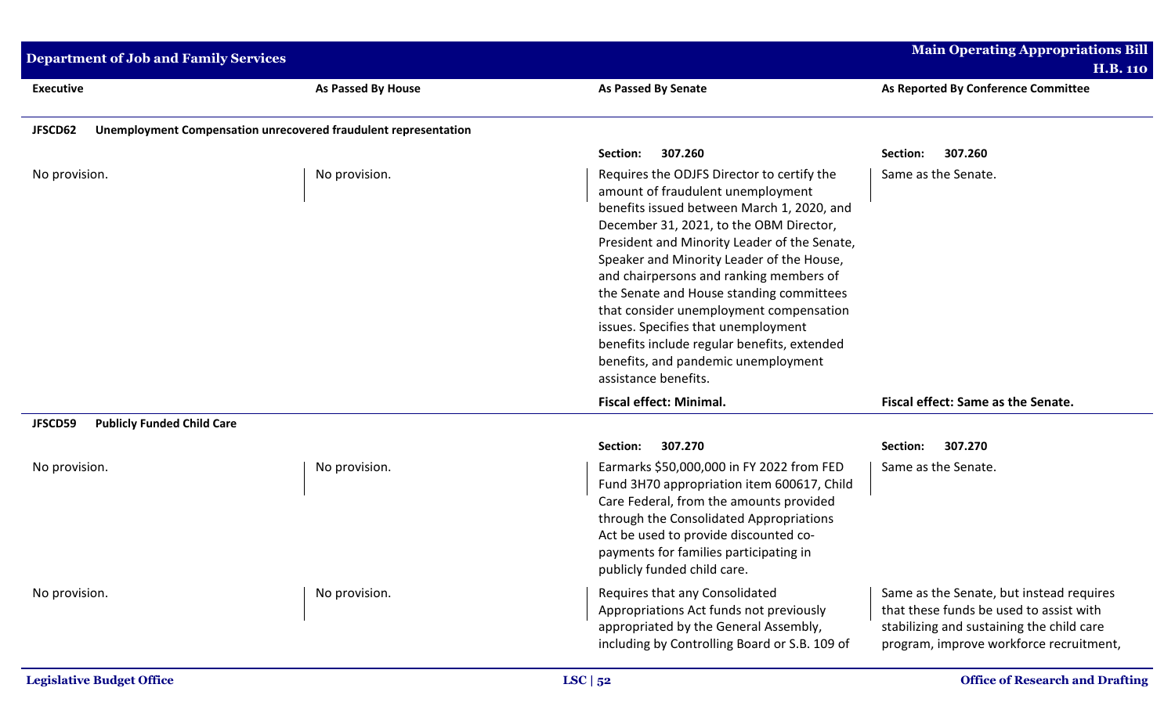| <b>Main Operating Appropriations Bill</b><br>Department of Job and Family Services<br><b>H.B. 110</b> |                                                                 |                                                                                                                                                                                                                                                                                                                                                                                                                                                                                                                                                              |                                                                                                                                                                             |
|-------------------------------------------------------------------------------------------------------|-----------------------------------------------------------------|--------------------------------------------------------------------------------------------------------------------------------------------------------------------------------------------------------------------------------------------------------------------------------------------------------------------------------------------------------------------------------------------------------------------------------------------------------------------------------------------------------------------------------------------------------------|-----------------------------------------------------------------------------------------------------------------------------------------------------------------------------|
| <b>Executive</b>                                                                                      | As Passed By House                                              | <b>As Passed By Senate</b>                                                                                                                                                                                                                                                                                                                                                                                                                                                                                                                                   | As Reported By Conference Committee                                                                                                                                         |
| JFSCD62                                                                                               | Unemployment Compensation unrecovered fraudulent representation |                                                                                                                                                                                                                                                                                                                                                                                                                                                                                                                                                              |                                                                                                                                                                             |
|                                                                                                       |                                                                 | 307.260<br>Section:                                                                                                                                                                                                                                                                                                                                                                                                                                                                                                                                          | 307.260<br>Section:                                                                                                                                                         |
| No provision.                                                                                         | No provision.                                                   | Requires the ODJFS Director to certify the<br>amount of fraudulent unemployment<br>benefits issued between March 1, 2020, and<br>December 31, 2021, to the OBM Director,<br>President and Minority Leader of the Senate,<br>Speaker and Minority Leader of the House,<br>and chairpersons and ranking members of<br>the Senate and House standing committees<br>that consider unemployment compensation<br>issues. Specifies that unemployment<br>benefits include regular benefits, extended<br>benefits, and pandemic unemployment<br>assistance benefits. | Same as the Senate.                                                                                                                                                         |
|                                                                                                       |                                                                 | <b>Fiscal effect: Minimal.</b>                                                                                                                                                                                                                                                                                                                                                                                                                                                                                                                               | Fiscal effect: Same as the Senate.                                                                                                                                          |
| <b>Publicly Funded Child Care</b><br>JFSCD59                                                          |                                                                 |                                                                                                                                                                                                                                                                                                                                                                                                                                                                                                                                                              |                                                                                                                                                                             |
| No provision.                                                                                         | No provision.                                                   | 307.270<br>Section:<br>Earmarks \$50,000,000 in FY 2022 from FED<br>Fund 3H70 appropriation item 600617, Child<br>Care Federal, from the amounts provided<br>through the Consolidated Appropriations<br>Act be used to provide discounted co-<br>payments for families participating in<br>publicly funded child care.                                                                                                                                                                                                                                       | 307.270<br>Section:<br>Same as the Senate.                                                                                                                                  |
| No provision.                                                                                         | No provision.                                                   | Requires that any Consolidated<br>Appropriations Act funds not previously<br>appropriated by the General Assembly,<br>including by Controlling Board or S.B. 109 of                                                                                                                                                                                                                                                                                                                                                                                          | Same as the Senate, but instead requires<br>that these funds be used to assist with<br>stabilizing and sustaining the child care<br>program, improve workforce recruitment, |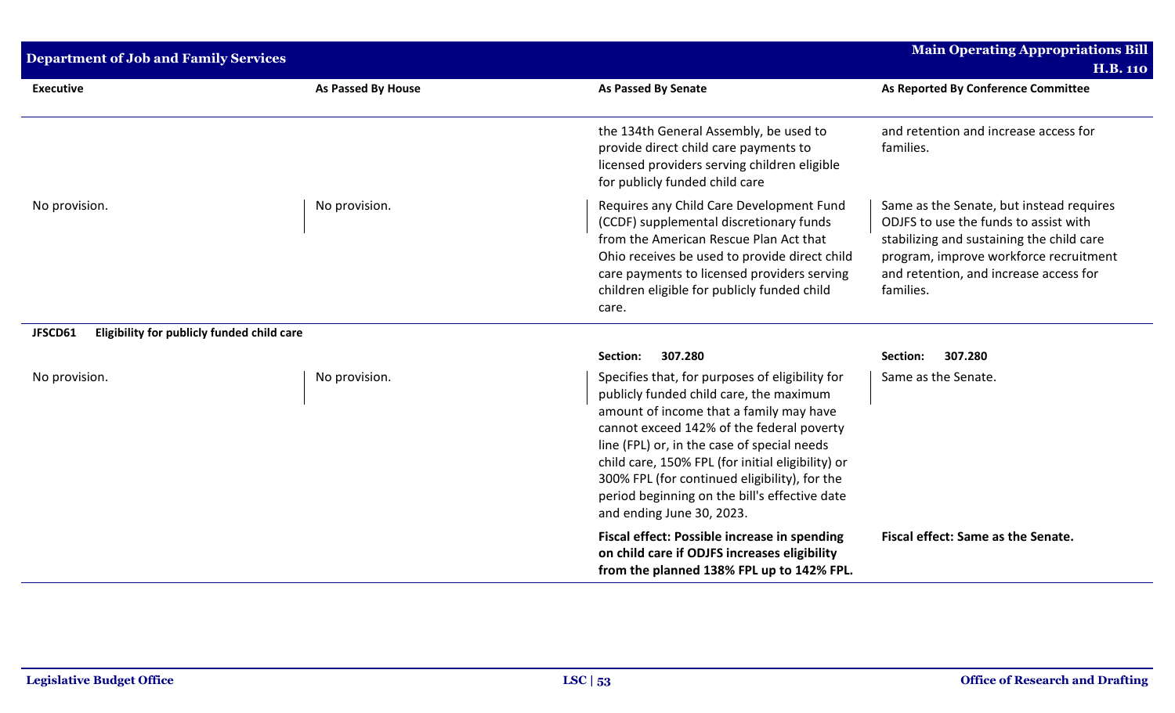| <b>Department of Job and Family Services</b>          |                    |                                                                                                                                                                                                                                                                                                                                                                                                                       | <b>Main Operating Appropriations Bill</b>                                                                                                                                                                                       |
|-------------------------------------------------------|--------------------|-----------------------------------------------------------------------------------------------------------------------------------------------------------------------------------------------------------------------------------------------------------------------------------------------------------------------------------------------------------------------------------------------------------------------|---------------------------------------------------------------------------------------------------------------------------------------------------------------------------------------------------------------------------------|
|                                                       |                    |                                                                                                                                                                                                                                                                                                                                                                                                                       | <b>H.B. 110</b>                                                                                                                                                                                                                 |
| <b>Executive</b>                                      | As Passed By House | <b>As Passed By Senate</b>                                                                                                                                                                                                                                                                                                                                                                                            | As Reported By Conference Committee                                                                                                                                                                                             |
|                                                       |                    | the 134th General Assembly, be used to<br>provide direct child care payments to<br>licensed providers serving children eligible<br>for publicly funded child care                                                                                                                                                                                                                                                     | and retention and increase access for<br>families.                                                                                                                                                                              |
| No provision.                                         | No provision.      | Requires any Child Care Development Fund<br>(CCDF) supplemental discretionary funds<br>from the American Rescue Plan Act that<br>Ohio receives be used to provide direct child<br>care payments to licensed providers serving<br>children eligible for publicly funded child<br>care.                                                                                                                                 | Same as the Senate, but instead requires<br>ODJFS to use the funds to assist with<br>stabilizing and sustaining the child care<br>program, improve workforce recruitment<br>and retention, and increase access for<br>families. |
| JFSCD61<br>Eligibility for publicly funded child care |                    |                                                                                                                                                                                                                                                                                                                                                                                                                       |                                                                                                                                                                                                                                 |
|                                                       |                    | 307.280<br>Section:                                                                                                                                                                                                                                                                                                                                                                                                   | 307.280<br>Section:                                                                                                                                                                                                             |
| No provision.                                         | No provision.      | Specifies that, for purposes of eligibility for<br>publicly funded child care, the maximum<br>amount of income that a family may have<br>cannot exceed 142% of the federal poverty<br>line (FPL) or, in the case of special needs<br>child care, 150% FPL (for initial eligibility) or<br>300% FPL (for continued eligibility), for the<br>period beginning on the bill's effective date<br>and ending June 30, 2023. | Same as the Senate.                                                                                                                                                                                                             |
|                                                       |                    | Fiscal effect: Possible increase in spending<br>on child care if ODJFS increases eligibility<br>from the planned 138% FPL up to 142% FPL.                                                                                                                                                                                                                                                                             | Fiscal effect: Same as the Senate.                                                                                                                                                                                              |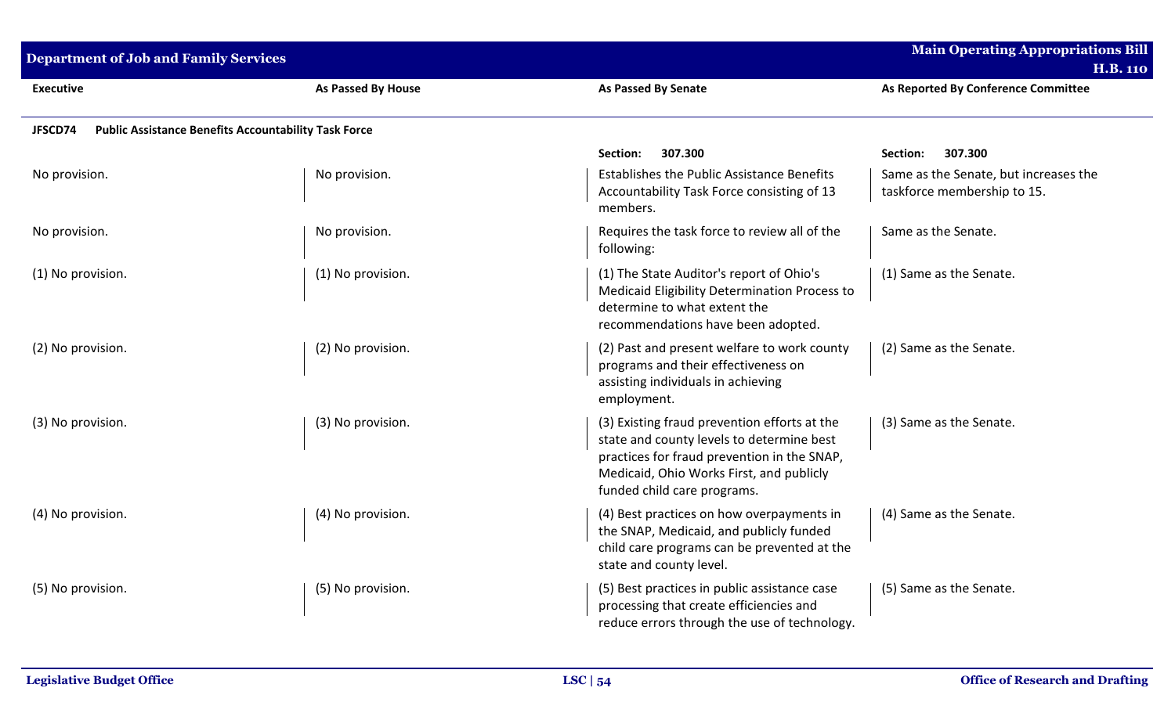| <b>Department of Job and Family Services</b>                           |                    |                                                                                                                                                                                                                     | <b>Main Operating Appropriations Bill</b><br><b>H.B. 110</b>         |
|------------------------------------------------------------------------|--------------------|---------------------------------------------------------------------------------------------------------------------------------------------------------------------------------------------------------------------|----------------------------------------------------------------------|
| <b>Executive</b>                                                       | As Passed By House | <b>As Passed By Senate</b>                                                                                                                                                                                          | As Reported By Conference Committee                                  |
| <b>Public Assistance Benefits Accountability Task Force</b><br>JFSCD74 |                    |                                                                                                                                                                                                                     |                                                                      |
|                                                                        |                    | Section:<br>307.300                                                                                                                                                                                                 | 307.300<br>Section:                                                  |
| No provision.                                                          | No provision.      | <b>Establishes the Public Assistance Benefits</b><br>Accountability Task Force consisting of 13<br>members.                                                                                                         | Same as the Senate, but increases the<br>taskforce membership to 15. |
| No provision.                                                          | No provision.      | Requires the task force to review all of the<br>following:                                                                                                                                                          | Same as the Senate.                                                  |
| (1) No provision.                                                      | (1) No provision.  | (1) The State Auditor's report of Ohio's<br>Medicaid Eligibility Determination Process to<br>determine to what extent the<br>recommendations have been adopted.                                                     | (1) Same as the Senate.                                              |
| (2) No provision.                                                      | (2) No provision.  | (2) Past and present welfare to work county<br>programs and their effectiveness on<br>assisting individuals in achieving<br>employment.                                                                             | (2) Same as the Senate.                                              |
| (3) No provision.                                                      | (3) No provision.  | (3) Existing fraud prevention efforts at the<br>state and county levels to determine best<br>practices for fraud prevention in the SNAP,<br>Medicaid, Ohio Works First, and publicly<br>funded child care programs. | (3) Same as the Senate.                                              |
| (4) No provision.                                                      | (4) No provision.  | (4) Best practices on how overpayments in<br>the SNAP, Medicaid, and publicly funded<br>child care programs can be prevented at the<br>state and county level.                                                      | (4) Same as the Senate.                                              |
| (5) No provision.                                                      | (5) No provision.  | (5) Best practices in public assistance case<br>processing that create efficiencies and<br>reduce errors through the use of technology.                                                                             | (5) Same as the Senate.                                              |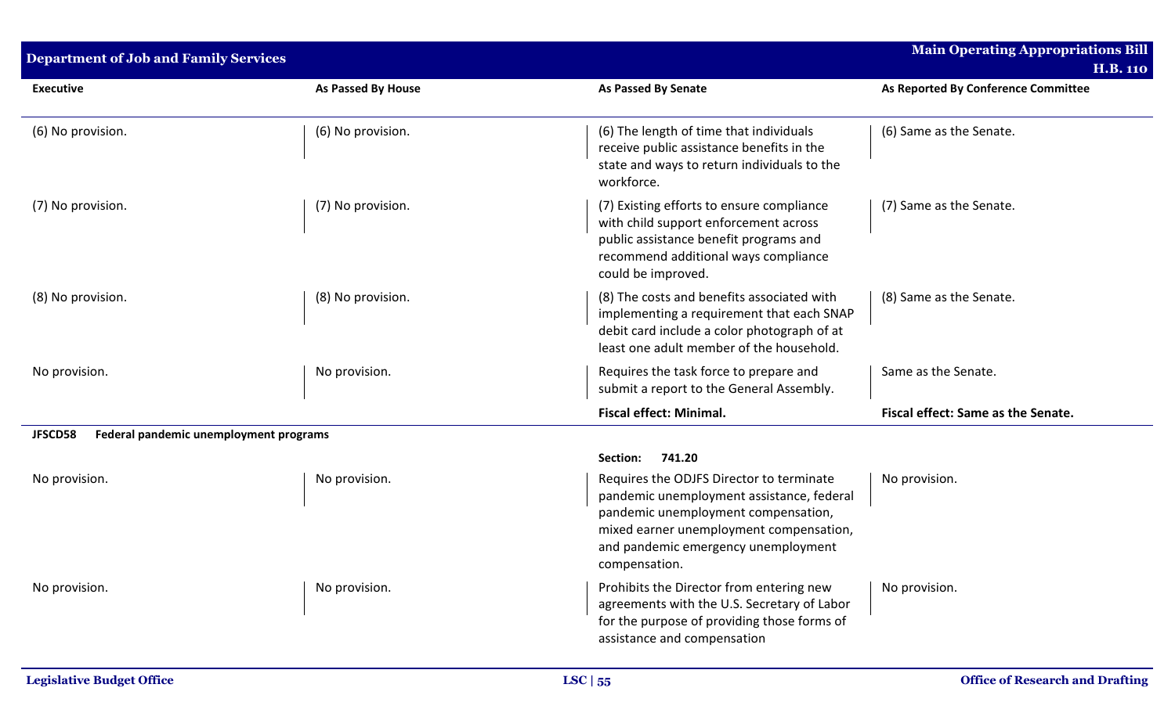| <b>Department of Job and Family Services</b>      |                    |                                                                                                                                                                                                                                 | <b>Main Operating Appropriations Bill</b>              |
|---------------------------------------------------|--------------------|---------------------------------------------------------------------------------------------------------------------------------------------------------------------------------------------------------------------------------|--------------------------------------------------------|
| <b>Executive</b>                                  | As Passed By House | <b>As Passed By Senate</b>                                                                                                                                                                                                      | <b>H.B. 110</b><br>As Reported By Conference Committee |
|                                                   |                    |                                                                                                                                                                                                                                 |                                                        |
| (6) No provision.                                 | (6) No provision.  | (6) The length of time that individuals<br>receive public assistance benefits in the<br>state and ways to return individuals to the<br>workforce.                                                                               | (6) Same as the Senate.                                |
| (7) No provision.                                 | (7) No provision.  | (7) Existing efforts to ensure compliance<br>with child support enforcement across<br>public assistance benefit programs and<br>recommend additional ways compliance<br>could be improved.                                      | (7) Same as the Senate.                                |
| (8) No provision.                                 | (8) No provision.  | (8) The costs and benefits associated with<br>implementing a requirement that each SNAP<br>debit card include a color photograph of at<br>least one adult member of the household.                                              | (8) Same as the Senate.                                |
| No provision.                                     | No provision.      | Requires the task force to prepare and<br>submit a report to the General Assembly.                                                                                                                                              | Same as the Senate.                                    |
|                                                   |                    | <b>Fiscal effect: Minimal.</b>                                                                                                                                                                                                  | Fiscal effect: Same as the Senate.                     |
| JFSCD58<br>Federal pandemic unemployment programs |                    |                                                                                                                                                                                                                                 |                                                        |
|                                                   |                    | 741.20<br>Section:                                                                                                                                                                                                              |                                                        |
| No provision.                                     | No provision.      | Requires the ODJFS Director to terminate<br>pandemic unemployment assistance, federal<br>pandemic unemployment compensation,<br>mixed earner unemployment compensation,<br>and pandemic emergency unemployment<br>compensation. | No provision.                                          |
| No provision.                                     | No provision.      | Prohibits the Director from entering new<br>agreements with the U.S. Secretary of Labor<br>for the purpose of providing those forms of<br>assistance and compensation                                                           | No provision.                                          |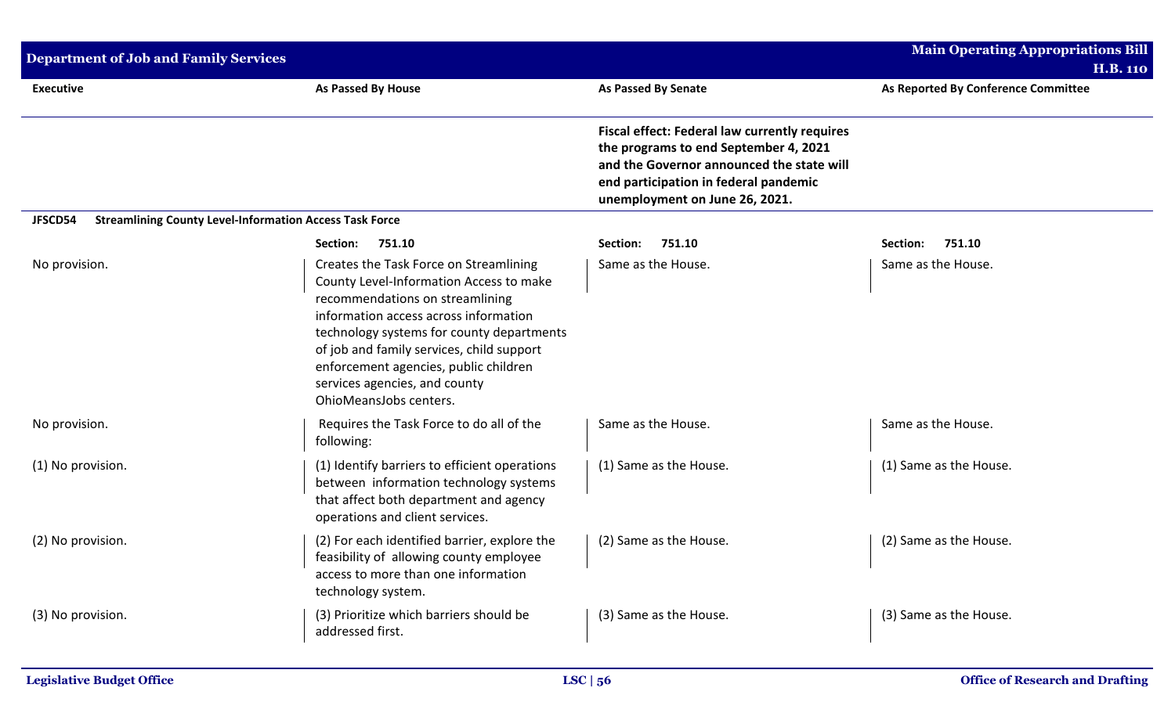| <b>Department of Job and Family Services</b>                              |                                                                                                                                                                                                                                                                                                                                                             |                                                                                                                                                                                                                       | <b>Main Operating Appropriations Bill</b> |
|---------------------------------------------------------------------------|-------------------------------------------------------------------------------------------------------------------------------------------------------------------------------------------------------------------------------------------------------------------------------------------------------------------------------------------------------------|-----------------------------------------------------------------------------------------------------------------------------------------------------------------------------------------------------------------------|-------------------------------------------|
|                                                                           |                                                                                                                                                                                                                                                                                                                                                             |                                                                                                                                                                                                                       | <b>H.B. 110</b>                           |
| <b>Executive</b>                                                          | As Passed By House                                                                                                                                                                                                                                                                                                                                          | <b>As Passed By Senate</b>                                                                                                                                                                                            | As Reported By Conference Committee       |
|                                                                           |                                                                                                                                                                                                                                                                                                                                                             | <b>Fiscal effect: Federal law currently requires</b><br>the programs to end September 4, 2021<br>and the Governor announced the state will<br>end participation in federal pandemic<br>unemployment on June 26, 2021. |                                           |
| <b>Streamlining County Level-Information Access Task Force</b><br>JFSCD54 |                                                                                                                                                                                                                                                                                                                                                             |                                                                                                                                                                                                                       |                                           |
|                                                                           | 751.10<br>Section:                                                                                                                                                                                                                                                                                                                                          | Section:<br>751.10                                                                                                                                                                                                    | Section:<br>751.10                        |
| No provision.                                                             | Creates the Task Force on Streamlining<br>County Level-Information Access to make<br>recommendations on streamlining<br>information access across information<br>technology systems for county departments<br>of job and family services, child support<br>enforcement agencies, public children<br>services agencies, and county<br>OhioMeansJobs centers. | Same as the House.                                                                                                                                                                                                    | Same as the House.                        |
| No provision.                                                             | Requires the Task Force to do all of the<br>following:                                                                                                                                                                                                                                                                                                      | Same as the House.                                                                                                                                                                                                    | Same as the House.                        |
| (1) No provision.                                                         | (1) Identify barriers to efficient operations<br>between information technology systems<br>that affect both department and agency<br>operations and client services.                                                                                                                                                                                        | (1) Same as the House.                                                                                                                                                                                                | (1) Same as the House.                    |
| (2) No provision.                                                         | (2) For each identified barrier, explore the<br>feasibility of allowing county employee<br>access to more than one information<br>technology system.                                                                                                                                                                                                        | (2) Same as the House.                                                                                                                                                                                                | (2) Same as the House.                    |
| (3) No provision.                                                         | (3) Prioritize which barriers should be<br>addressed first.                                                                                                                                                                                                                                                                                                 | (3) Same as the House.                                                                                                                                                                                                | (3) Same as the House.                    |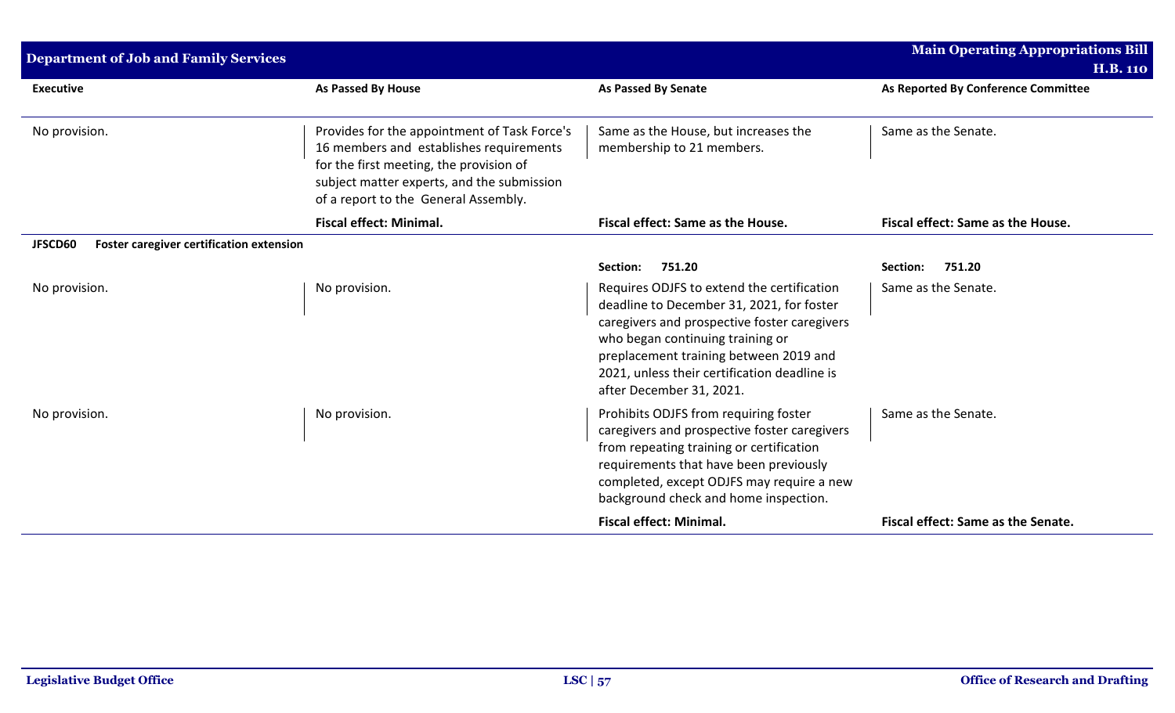| <b>Department of Job and Family Services</b>        |                                                                                                                                                                                                                          |                                                                                                                                                                                                                                                                                                   | <b>Main Operating Appropriations Bill</b><br><b>H.B. 110</b> |
|-----------------------------------------------------|--------------------------------------------------------------------------------------------------------------------------------------------------------------------------------------------------------------------------|---------------------------------------------------------------------------------------------------------------------------------------------------------------------------------------------------------------------------------------------------------------------------------------------------|--------------------------------------------------------------|
| <b>Executive</b>                                    | <b>As Passed By House</b>                                                                                                                                                                                                | <b>As Passed By Senate</b>                                                                                                                                                                                                                                                                        | As Reported By Conference Committee                          |
| No provision.                                       | Provides for the appointment of Task Force's<br>16 members and establishes requirements<br>for the first meeting, the provision of<br>subject matter experts, and the submission<br>of a report to the General Assembly. | Same as the House, but increases the<br>membership to 21 members.                                                                                                                                                                                                                                 | Same as the Senate.                                          |
|                                                     | <b>Fiscal effect: Minimal.</b>                                                                                                                                                                                           | Fiscal effect: Same as the House.                                                                                                                                                                                                                                                                 | Fiscal effect: Same as the House.                            |
| JFSCD60<br>Foster caregiver certification extension |                                                                                                                                                                                                                          |                                                                                                                                                                                                                                                                                                   |                                                              |
|                                                     |                                                                                                                                                                                                                          | 751.20<br>Section:                                                                                                                                                                                                                                                                                | 751.20<br>Section:                                           |
| No provision.                                       | No provision.                                                                                                                                                                                                            | Requires ODJFS to extend the certification<br>deadline to December 31, 2021, for foster<br>caregivers and prospective foster caregivers<br>who began continuing training or<br>preplacement training between 2019 and<br>2021, unless their certification deadline is<br>after December 31, 2021. | Same as the Senate.                                          |
| No provision.                                       | No provision.                                                                                                                                                                                                            | Prohibits ODJFS from requiring foster<br>caregivers and prospective foster caregivers<br>from repeating training or certification<br>requirements that have been previously<br>completed, except ODJFS may require a new<br>background check and home inspection.                                 | Same as the Senate.                                          |
|                                                     |                                                                                                                                                                                                                          | <b>Fiscal effect: Minimal.</b>                                                                                                                                                                                                                                                                    | Fiscal effect: Same as the Senate.                           |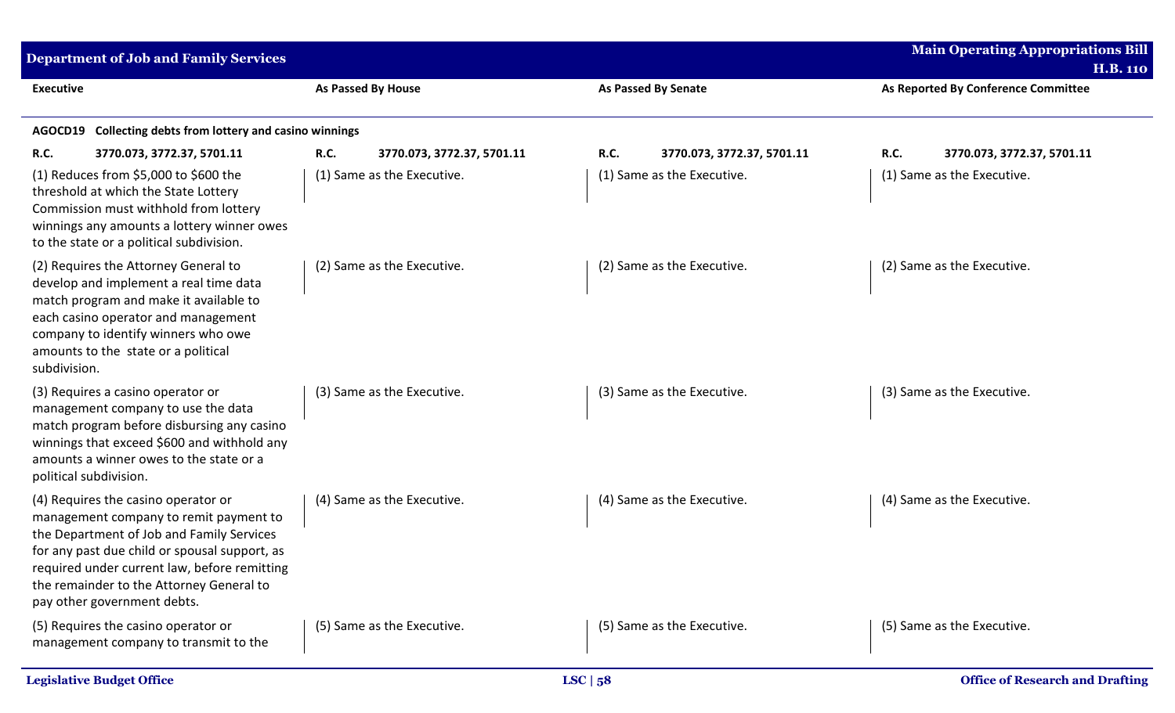| <b>Department of Job and Family Services</b>                                                                                                                                                                                                                                                           |                                           |                                    | <b>Main Operating Appropriations Bill</b><br><b>H.B. 110</b> |
|--------------------------------------------------------------------------------------------------------------------------------------------------------------------------------------------------------------------------------------------------------------------------------------------------------|-------------------------------------------|------------------------------------|--------------------------------------------------------------|
| <b>Executive</b>                                                                                                                                                                                                                                                                                       | As Passed By House                        | <b>As Passed By Senate</b>         | As Reported By Conference Committee                          |
| Collecting debts from lottery and casino winnings<br>AGOCD19                                                                                                                                                                                                                                           |                                           |                                    |                                                              |
| <b>R.C.</b><br>3770.073, 3772.37, 5701.11                                                                                                                                                                                                                                                              | <b>R.C.</b><br>3770.073, 3772.37, 5701.11 | R.C.<br>3770.073, 3772.37, 5701.11 | R.C.<br>3770.073, 3772.37, 5701.11                           |
| (1) Reduces from \$5,000 to \$600 the<br>threshold at which the State Lottery<br>Commission must withhold from lottery<br>winnings any amounts a lottery winner owes<br>to the state or a political subdivision.                                                                                       | (1) Same as the Executive.                | (1) Same as the Executive.         | (1) Same as the Executive.                                   |
| (2) Requires the Attorney General to<br>develop and implement a real time data<br>match program and make it available to<br>each casino operator and management<br>company to identify winners who owe<br>amounts to the state or a political<br>subdivision.                                          | (2) Same as the Executive.                | (2) Same as the Executive.         | (2) Same as the Executive.                                   |
| (3) Requires a casino operator or<br>management company to use the data<br>match program before disbursing any casino<br>winnings that exceed \$600 and withhold any<br>amounts a winner owes to the state or a<br>political subdivision.                                                              | (3) Same as the Executive.                | (3) Same as the Executive.         | (3) Same as the Executive.                                   |
| (4) Requires the casino operator or<br>management company to remit payment to<br>the Department of Job and Family Services<br>for any past due child or spousal support, as<br>required under current law, before remitting<br>the remainder to the Attorney General to<br>pay other government debts. | (4) Same as the Executive.                | (4) Same as the Executive.         | (4) Same as the Executive.                                   |
| (5) Requires the casino operator or<br>management company to transmit to the                                                                                                                                                                                                                           | (5) Same as the Executive.                | (5) Same as the Executive.         | (5) Same as the Executive.                                   |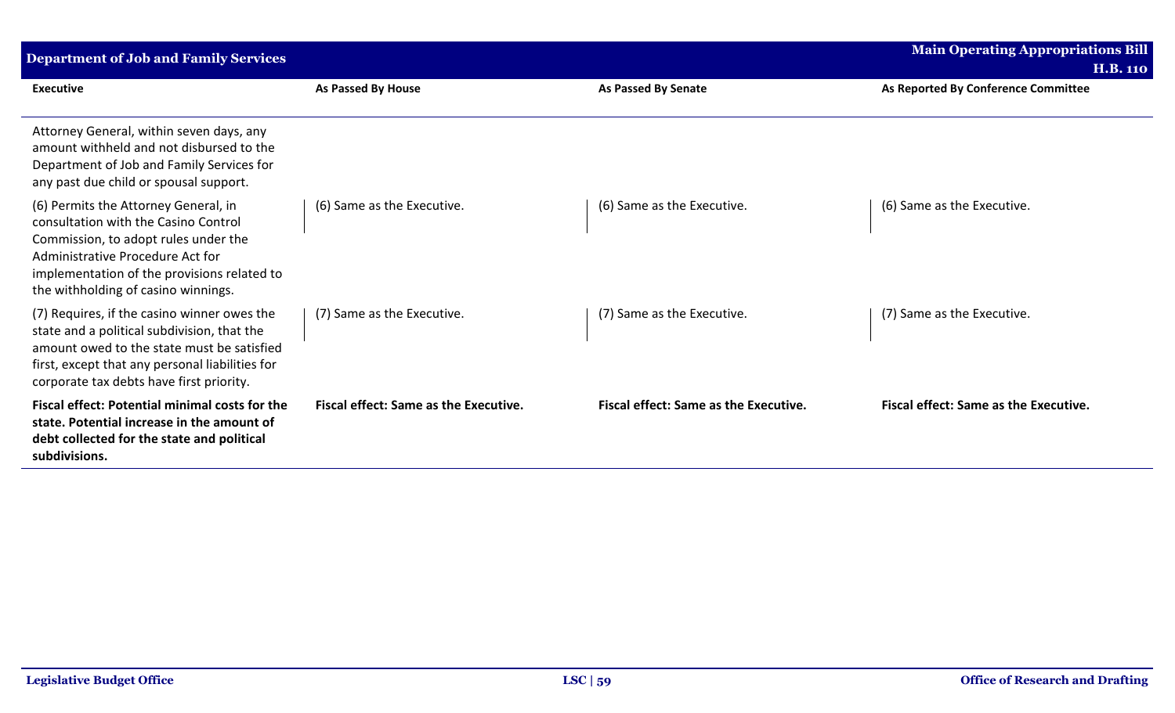| <b>Department of Job and Family Services</b>                                                                                                                                                                                                   |                                              |                                              | <b>Main Operating Appropriations Bill</b><br><b>H.B. 110</b> |
|------------------------------------------------------------------------------------------------------------------------------------------------------------------------------------------------------------------------------------------------|----------------------------------------------|----------------------------------------------|--------------------------------------------------------------|
| <b>Executive</b>                                                                                                                                                                                                                               | As Passed By House                           | <b>As Passed By Senate</b>                   | As Reported By Conference Committee                          |
| Attorney General, within seven days, any<br>amount withheld and not disbursed to the<br>Department of Job and Family Services for<br>any past due child or spousal support.                                                                    |                                              |                                              |                                                              |
| (6) Permits the Attorney General, in<br>consultation with the Casino Control<br>Commission, to adopt rules under the<br>Administrative Procedure Act for<br>implementation of the provisions related to<br>the withholding of casino winnings. | (6) Same as the Executive.                   | (6) Same as the Executive.                   | (6) Same as the Executive.                                   |
| (7) Requires, if the casino winner owes the<br>state and a political subdivision, that the<br>amount owed to the state must be satisfied<br>first, except that any personal liabilities for<br>corporate tax debts have first priority.        | (7) Same as the Executive.                   | (7) Same as the Executive.                   | (7) Same as the Executive.                                   |
| Fiscal effect: Potential minimal costs for the<br>state. Potential increase in the amount of<br>debt collected for the state and political<br>subdivisions.                                                                                    | <b>Fiscal effect: Same as the Executive.</b> | <b>Fiscal effect: Same as the Executive.</b> | <b>Fiscal effect: Same as the Executive.</b>                 |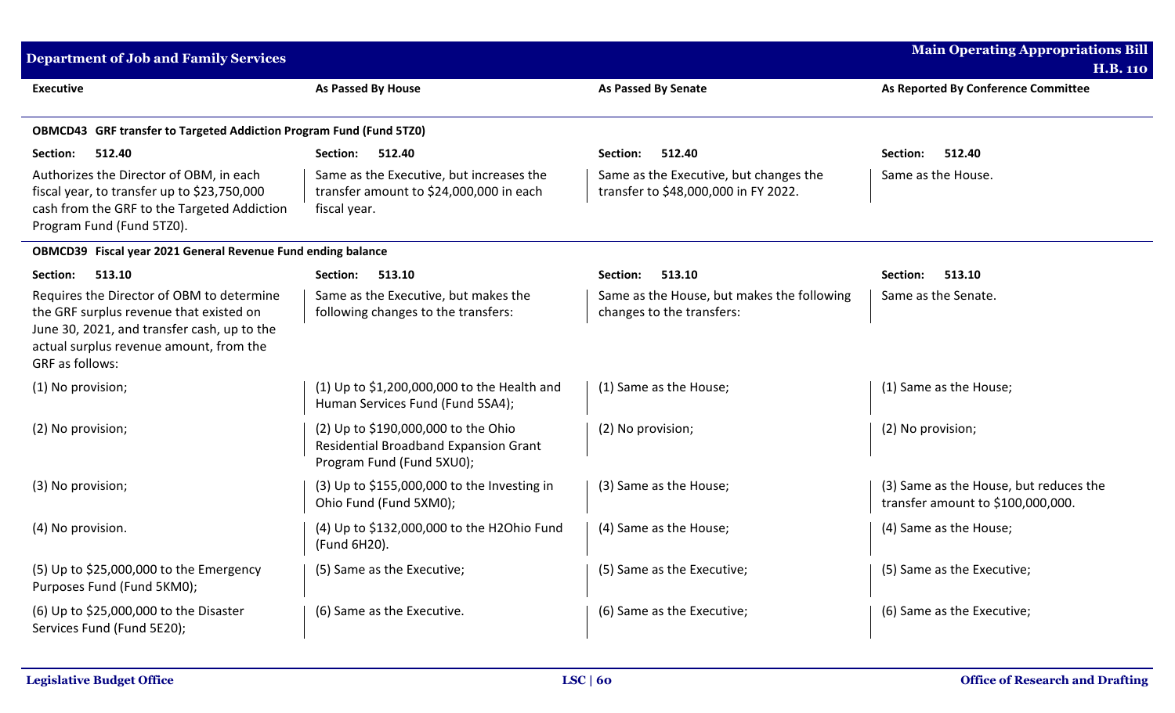| <b>Department of Job and Family Services</b>                                                                                                                                                      |                                                                                                           |                                                                                | <b>Main Operating Appropriations Bill</b>                                   |
|---------------------------------------------------------------------------------------------------------------------------------------------------------------------------------------------------|-----------------------------------------------------------------------------------------------------------|--------------------------------------------------------------------------------|-----------------------------------------------------------------------------|
|                                                                                                                                                                                                   |                                                                                                           |                                                                                | <b>H.B. 110</b>                                                             |
| <b>Executive</b>                                                                                                                                                                                  | As Passed By House                                                                                        | As Passed By Senate                                                            | As Reported By Conference Committee                                         |
| <b>OBMCD43</b> GRF transfer to Targeted Addiction Program Fund (Fund 5TZ0)                                                                                                                        |                                                                                                           |                                                                                |                                                                             |
| Section:<br>512.40                                                                                                                                                                                | Section:<br>512.40                                                                                        | Section:<br>512.40                                                             | Section:<br>512.40                                                          |
| Authorizes the Director of OBM, in each<br>fiscal year, to transfer up to \$23,750,000<br>cash from the GRF to the Targeted Addiction<br>Program Fund (Fund 5TZ0).                                | Same as the Executive, but increases the<br>transfer amount to \$24,000,000 in each<br>fiscal year.       | Same as the Executive, but changes the<br>transfer to \$48,000,000 in FY 2022. | Same as the House.                                                          |
| OBMCD39 Fiscal year 2021 General Revenue Fund ending balance                                                                                                                                      |                                                                                                           |                                                                                |                                                                             |
| Section:<br>513.10                                                                                                                                                                                | 513.10<br><b>Section:</b>                                                                                 | 513.10<br>Section:                                                             | 513.10<br>Section:                                                          |
| Requires the Director of OBM to determine<br>the GRF surplus revenue that existed on<br>June 30, 2021, and transfer cash, up to the<br>actual surplus revenue amount, from the<br>GRF as follows: | Same as the Executive, but makes the<br>following changes to the transfers:                               | Same as the House, but makes the following<br>changes to the transfers:        | Same as the Senate.                                                         |
| (1) No provision;                                                                                                                                                                                 | (1) Up to \$1,200,000,000 to the Health and<br>Human Services Fund (Fund 5SA4);                           | (1) Same as the House;                                                         | (1) Same as the House;                                                      |
| (2) No provision;                                                                                                                                                                                 | (2) Up to \$190,000,000 to the Ohio<br>Residential Broadband Expansion Grant<br>Program Fund (Fund 5XU0); | (2) No provision;                                                              | (2) No provision;                                                           |
| (3) No provision;                                                                                                                                                                                 | (3) Up to \$155,000,000 to the Investing in<br>Ohio Fund (Fund 5XM0);                                     | (3) Same as the House;                                                         | (3) Same as the House, but reduces the<br>transfer amount to \$100,000,000. |
| (4) No provision.                                                                                                                                                                                 | (4) Up to \$132,000,000 to the H2Ohio Fund<br>(Fund 6H20).                                                | (4) Same as the House;                                                         | (4) Same as the House;                                                      |
| (5) Up to \$25,000,000 to the Emergency<br>Purposes Fund (Fund 5KM0);                                                                                                                             | (5) Same as the Executive;                                                                                | (5) Same as the Executive;                                                     | (5) Same as the Executive;                                                  |
| (6) Up to \$25,000,000 to the Disaster<br>Services Fund (Fund 5E20);                                                                                                                              | (6) Same as the Executive.                                                                                | (6) Same as the Executive;                                                     | (6) Same as the Executive;                                                  |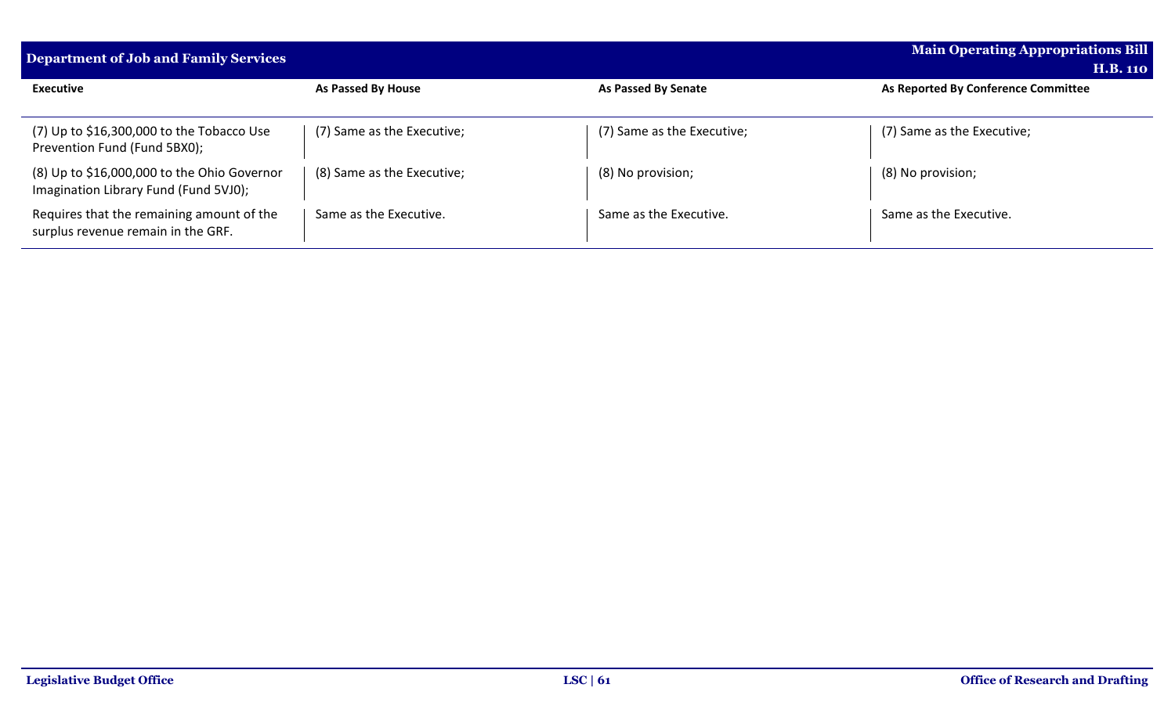| <b>Department of Job and Family Services</b>                                         |                            |                            | <b>Main Operating Appropriations Bill</b><br><b>H.B. 110</b> |
|--------------------------------------------------------------------------------------|----------------------------|----------------------------|--------------------------------------------------------------|
| <b>Executive</b>                                                                     | As Passed By House         | As Passed By Senate        | As Reported By Conference Committee                          |
| $(7)$ Up to \$16,300,000 to the Tobacco Use<br>Prevention Fund (Fund 5BX0);          | (7) Same as the Executive; | (7) Same as the Executive; | (7) Same as the Executive;                                   |
| (8) Up to \$16,000,000 to the Ohio Governor<br>Imagination Library Fund (Fund 5VJ0); | (8) Same as the Executive; | (8) No provision;          | (8) No provision;                                            |
| Requires that the remaining amount of the<br>surplus revenue remain in the GRF.      | Same as the Executive.     | Same as the Executive.     | Same as the Executive.                                       |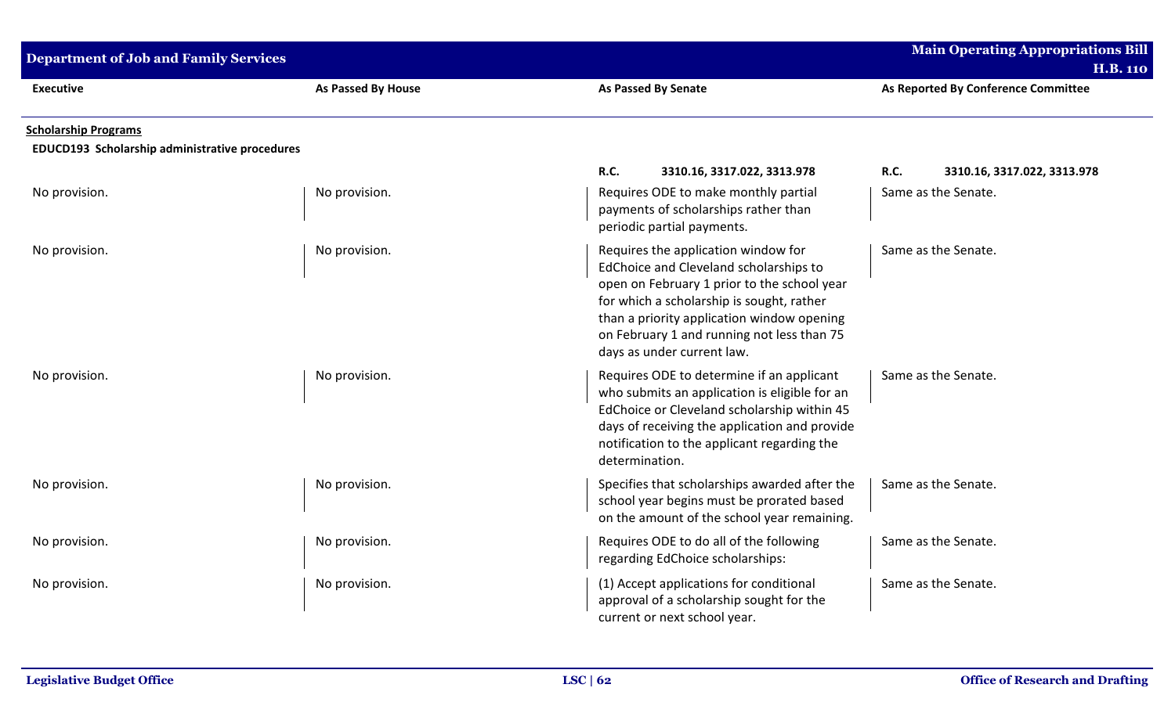| <b>Department of Job and Family Services</b>   |                    |                                                                                                                                                                                                                                                                                                     | <b>Main Operating Appropriations Bill</b><br><b>H.B. 110</b> |
|------------------------------------------------|--------------------|-----------------------------------------------------------------------------------------------------------------------------------------------------------------------------------------------------------------------------------------------------------------------------------------------------|--------------------------------------------------------------|
| <b>Executive</b>                               | As Passed By House | <b>As Passed By Senate</b>                                                                                                                                                                                                                                                                          | As Reported By Conference Committee                          |
| <b>Scholarship Programs</b>                    |                    |                                                                                                                                                                                                                                                                                                     |                                                              |
| EDUCD193 Scholarship administrative procedures |                    |                                                                                                                                                                                                                                                                                                     |                                                              |
| No provision.                                  | No provision.      | <b>R.C.</b><br>3310.16, 3317.022, 3313.978<br>Requires ODE to make monthly partial<br>payments of scholarships rather than<br>periodic partial payments.                                                                                                                                            | R.C.<br>3310.16, 3317.022, 3313.978<br>Same as the Senate.   |
| No provision.                                  | No provision.      | Requires the application window for<br>EdChoice and Cleveland scholarships to<br>open on February 1 prior to the school year<br>for which a scholarship is sought, rather<br>than a priority application window opening<br>on February 1 and running not less than 75<br>days as under current law. | Same as the Senate.                                          |
| No provision.                                  | No provision.      | Requires ODE to determine if an applicant<br>who submits an application is eligible for an<br>EdChoice or Cleveland scholarship within 45<br>days of receiving the application and provide<br>notification to the applicant regarding the<br>determination.                                         | Same as the Senate.                                          |
| No provision.                                  | No provision.      | Specifies that scholarships awarded after the<br>school year begins must be prorated based<br>on the amount of the school year remaining.                                                                                                                                                           | Same as the Senate.                                          |
| No provision.                                  | No provision.      | Requires ODE to do all of the following<br>regarding EdChoice scholarships:                                                                                                                                                                                                                         | Same as the Senate.                                          |
| No provision.                                  | No provision.      | (1) Accept applications for conditional<br>approval of a scholarship sought for the<br>current or next school year.                                                                                                                                                                                 | Same as the Senate.                                          |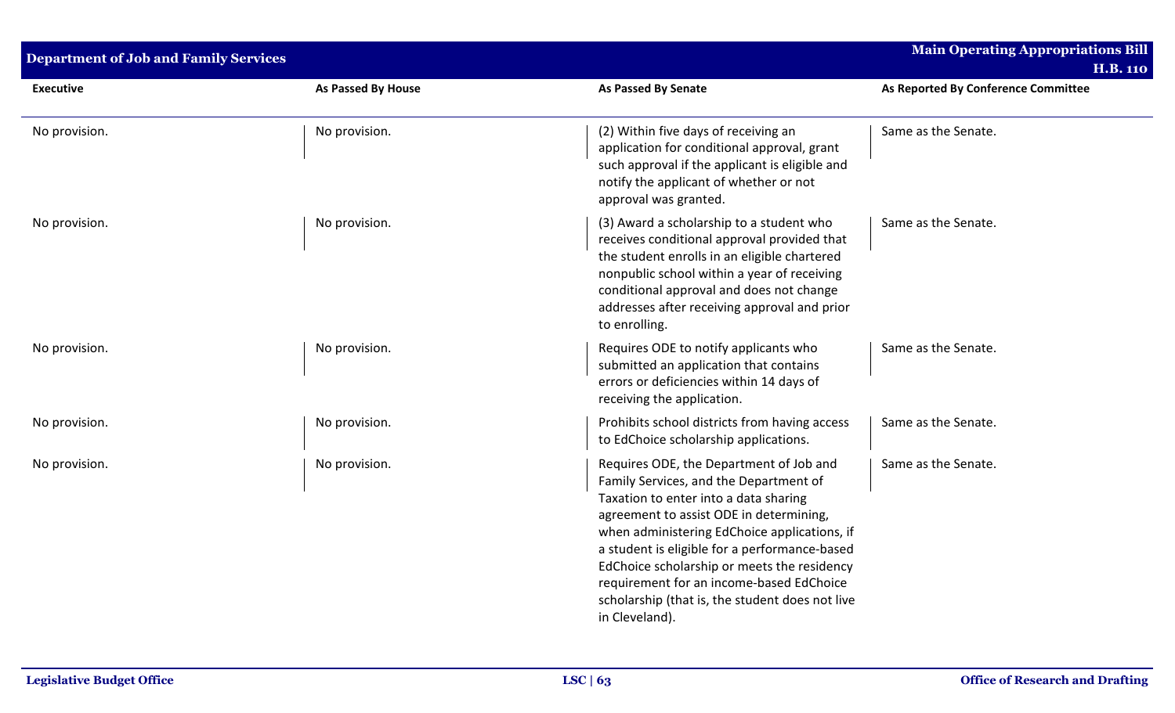| <b>Department of Job and Family Services</b> |                    |                                                                                                                                                                                                                                                                                                                                                                                                                                        | <b>Main Operating Appropriations Bill</b><br><b>H.B. 110</b> |
|----------------------------------------------|--------------------|----------------------------------------------------------------------------------------------------------------------------------------------------------------------------------------------------------------------------------------------------------------------------------------------------------------------------------------------------------------------------------------------------------------------------------------|--------------------------------------------------------------|
| <b>Executive</b>                             | As Passed By House | <b>As Passed By Senate</b>                                                                                                                                                                                                                                                                                                                                                                                                             | As Reported By Conference Committee                          |
| No provision.                                | No provision.      | (2) Within five days of receiving an<br>application for conditional approval, grant<br>such approval if the applicant is eligible and<br>notify the applicant of whether or not<br>approval was granted.                                                                                                                                                                                                                               | Same as the Senate.                                          |
| No provision.                                | No provision.      | (3) Award a scholarship to a student who<br>receives conditional approval provided that<br>the student enrolls in an eligible chartered<br>nonpublic school within a year of receiving<br>conditional approval and does not change<br>addresses after receiving approval and prior<br>to enrolling.                                                                                                                                    | Same as the Senate.                                          |
| No provision.                                | No provision.      | Requires ODE to notify applicants who<br>submitted an application that contains<br>errors or deficiencies within 14 days of<br>receiving the application.                                                                                                                                                                                                                                                                              | Same as the Senate.                                          |
| No provision.                                | No provision.      | Prohibits school districts from having access<br>to EdChoice scholarship applications.                                                                                                                                                                                                                                                                                                                                                 | Same as the Senate.                                          |
| No provision.                                | No provision.      | Requires ODE, the Department of Job and<br>Family Services, and the Department of<br>Taxation to enter into a data sharing<br>agreement to assist ODE in determining,<br>when administering EdChoice applications, if<br>a student is eligible for a performance-based<br>EdChoice scholarship or meets the residency<br>requirement for an income-based EdChoice<br>scholarship (that is, the student does not live<br>in Cleveland). | Same as the Senate.                                          |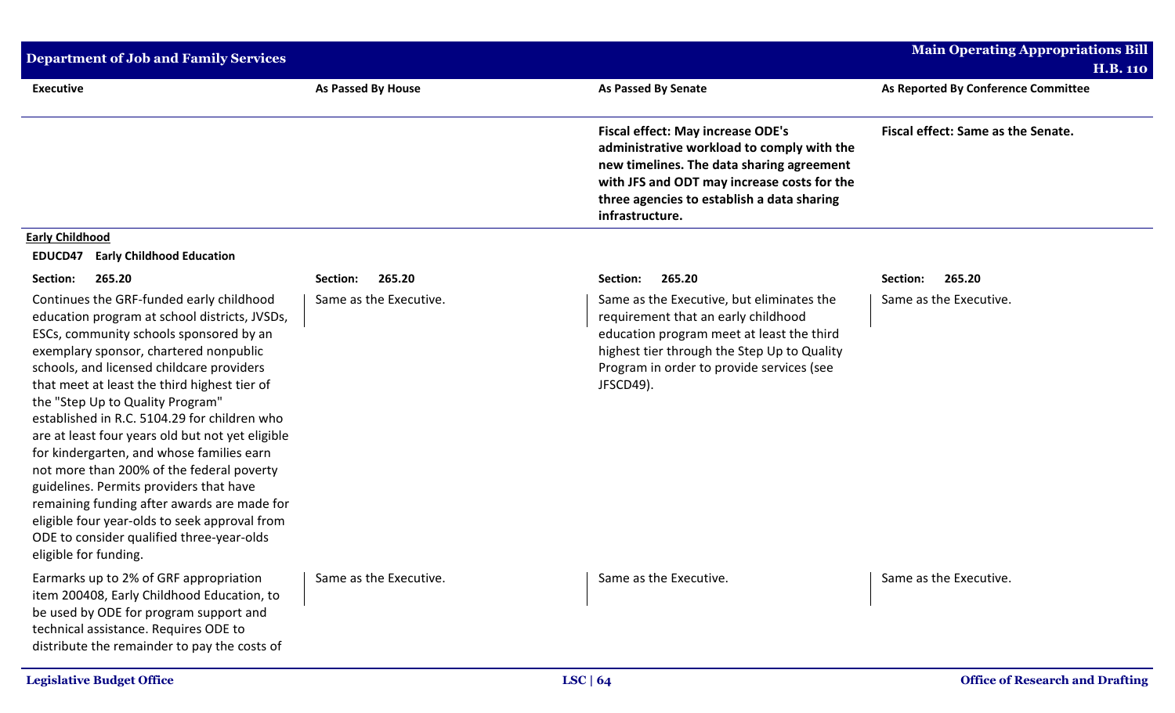| <b>Department of Job and Family Services</b>                                                                                                                                                                                                                                                                                                                                                                                                                                                                                                                                                                                                                                                                                   |                           |                                                                                                                                                                                                                                                     | <b>Main Operating Appropriations Bill</b>              |
|--------------------------------------------------------------------------------------------------------------------------------------------------------------------------------------------------------------------------------------------------------------------------------------------------------------------------------------------------------------------------------------------------------------------------------------------------------------------------------------------------------------------------------------------------------------------------------------------------------------------------------------------------------------------------------------------------------------------------------|---------------------------|-----------------------------------------------------------------------------------------------------------------------------------------------------------------------------------------------------------------------------------------------------|--------------------------------------------------------|
| <b>Executive</b>                                                                                                                                                                                                                                                                                                                                                                                                                                                                                                                                                                                                                                                                                                               | <b>As Passed By House</b> | <b>As Passed By Senate</b>                                                                                                                                                                                                                          | <b>H.B. 110</b><br>As Reported By Conference Committee |
|                                                                                                                                                                                                                                                                                                                                                                                                                                                                                                                                                                                                                                                                                                                                |                           | <b>Fiscal effect: May increase ODE's</b><br>administrative workload to comply with the<br>new timelines. The data sharing agreement<br>with JFS and ODT may increase costs for the<br>three agencies to establish a data sharing<br>infrastructure. | Fiscal effect: Same as the Senate.                     |
| <b>Early Childhood</b><br><b>EDUCD47</b><br><b>Early Childhood Education</b>                                                                                                                                                                                                                                                                                                                                                                                                                                                                                                                                                                                                                                                   |                           |                                                                                                                                                                                                                                                     |                                                        |
| Section:<br>265.20                                                                                                                                                                                                                                                                                                                                                                                                                                                                                                                                                                                                                                                                                                             | 265.20<br>Section:        | Section:<br>265.20                                                                                                                                                                                                                                  | 265.20<br>Section:                                     |
| Continues the GRF-funded early childhood<br>education program at school districts, JVSDs,<br>ESCs, community schools sponsored by an<br>exemplary sponsor, chartered nonpublic<br>schools, and licensed childcare providers<br>that meet at least the third highest tier of<br>the "Step Up to Quality Program"<br>established in R.C. 5104.29 for children who<br>are at least four years old but not yet eligible<br>for kindergarten, and whose families earn<br>not more than 200% of the federal poverty<br>guidelines. Permits providers that have<br>remaining funding after awards are made for<br>eligible four year-olds to seek approval from<br>ODE to consider qualified three-year-olds<br>eligible for funding. | Same as the Executive.    | Same as the Executive, but eliminates the<br>requirement that an early childhood<br>education program meet at least the third<br>highest tier through the Step Up to Quality<br>Program in order to provide services (see<br>JFSCD49).              | Same as the Executive.                                 |
| Earmarks up to 2% of GRF appropriation<br>item 200408, Early Childhood Education, to<br>be used by ODE for program support and<br>technical assistance. Requires ODE to<br>distribute the remainder to pay the costs of                                                                                                                                                                                                                                                                                                                                                                                                                                                                                                        | Same as the Executive.    | Same as the Executive.                                                                                                                                                                                                                              | Same as the Executive.                                 |
| <b>Legislative Budget Office</b>                                                                                                                                                                                                                                                                                                                                                                                                                                                                                                                                                                                                                                                                                               |                           | LSC $\vert 64 \vert$                                                                                                                                                                                                                                | <b>Office of Research and Drafting</b>                 |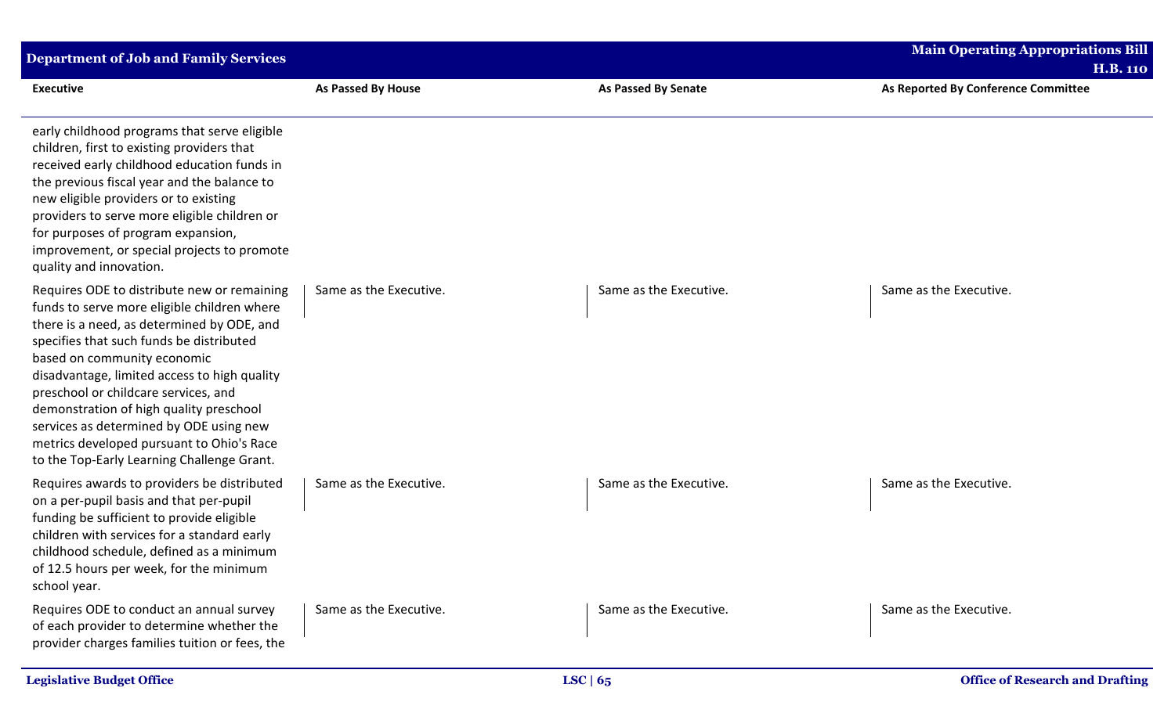| <b>Department of Job and Family Services</b>                                                                                                                                                                                                                                                                                                                                                                                                                                                 |                        |                            | <b>Main Operating Appropriations Bill</b>              |
|----------------------------------------------------------------------------------------------------------------------------------------------------------------------------------------------------------------------------------------------------------------------------------------------------------------------------------------------------------------------------------------------------------------------------------------------------------------------------------------------|------------------------|----------------------------|--------------------------------------------------------|
| <b>Executive</b>                                                                                                                                                                                                                                                                                                                                                                                                                                                                             | As Passed By House     | <b>As Passed By Senate</b> | <b>H.B. 110</b><br>As Reported By Conference Committee |
| early childhood programs that serve eligible<br>children, first to existing providers that<br>received early childhood education funds in<br>the previous fiscal year and the balance to<br>new eligible providers or to existing<br>providers to serve more eligible children or<br>for purposes of program expansion,<br>improvement, or special projects to promote<br>quality and innovation.                                                                                            |                        |                            |                                                        |
| Requires ODE to distribute new or remaining<br>funds to serve more eligible children where<br>there is a need, as determined by ODE, and<br>specifies that such funds be distributed<br>based on community economic<br>disadvantage, limited access to high quality<br>preschool or childcare services, and<br>demonstration of high quality preschool<br>services as determined by ODE using new<br>metrics developed pursuant to Ohio's Race<br>to the Top-Early Learning Challenge Grant. | Same as the Executive. | Same as the Executive.     | Same as the Executive.                                 |
| Requires awards to providers be distributed<br>on a per-pupil basis and that per-pupil<br>funding be sufficient to provide eligible<br>children with services for a standard early<br>childhood schedule, defined as a minimum<br>of 12.5 hours per week, for the minimum<br>school year.                                                                                                                                                                                                    | Same as the Executive. | Same as the Executive.     | Same as the Executive.                                 |
| Requires ODE to conduct an annual survey<br>of each provider to determine whether the<br>provider charges families tuition or fees, the                                                                                                                                                                                                                                                                                                                                                      | Same as the Executive. | Same as the Executive.     | Same as the Executive.                                 |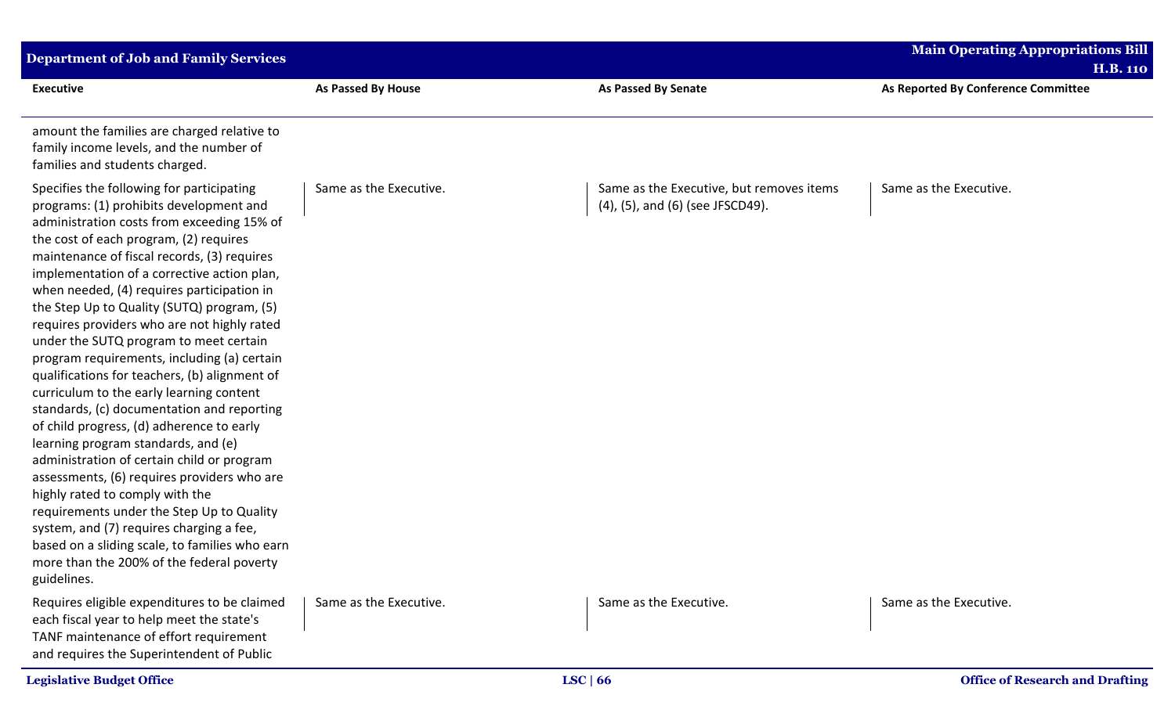| <b>Department of Job and Family Services</b>                                                                                                                                                                                                                                                                                                                                                                                                                                                                                                                                                                                                                                                                                                                                                                                                                                                                                                                                                                                                                                         |                        |                                                                              | <b>Main Operating Appropriations Bill</b><br><b>H.B. 110</b> |
|--------------------------------------------------------------------------------------------------------------------------------------------------------------------------------------------------------------------------------------------------------------------------------------------------------------------------------------------------------------------------------------------------------------------------------------------------------------------------------------------------------------------------------------------------------------------------------------------------------------------------------------------------------------------------------------------------------------------------------------------------------------------------------------------------------------------------------------------------------------------------------------------------------------------------------------------------------------------------------------------------------------------------------------------------------------------------------------|------------------------|------------------------------------------------------------------------------|--------------------------------------------------------------|
| <b>Executive</b>                                                                                                                                                                                                                                                                                                                                                                                                                                                                                                                                                                                                                                                                                                                                                                                                                                                                                                                                                                                                                                                                     | As Passed By House     | <b>As Passed By Senate</b>                                                   | As Reported By Conference Committee                          |
| amount the families are charged relative to<br>family income levels, and the number of<br>families and students charged.                                                                                                                                                                                                                                                                                                                                                                                                                                                                                                                                                                                                                                                                                                                                                                                                                                                                                                                                                             |                        |                                                                              |                                                              |
| Specifies the following for participating<br>programs: (1) prohibits development and<br>administration costs from exceeding 15% of<br>the cost of each program, (2) requires<br>maintenance of fiscal records, (3) requires<br>implementation of a corrective action plan,<br>when needed, (4) requires participation in<br>the Step Up to Quality (SUTQ) program, (5)<br>requires providers who are not highly rated<br>under the SUTQ program to meet certain<br>program requirements, including (a) certain<br>qualifications for teachers, (b) alignment of<br>curriculum to the early learning content<br>standards, (c) documentation and reporting<br>of child progress, (d) adherence to early<br>learning program standards, and (e)<br>administration of certain child or program<br>assessments, (6) requires providers who are<br>highly rated to comply with the<br>requirements under the Step Up to Quality<br>system, and (7) requires charging a fee,<br>based on a sliding scale, to families who earn<br>more than the 200% of the federal poverty<br>guidelines. | Same as the Executive. | Same as the Executive, but removes items<br>(4), (5), and (6) (see JFSCD49). | Same as the Executive.                                       |
| Requires eligible expenditures to be claimed<br>each fiscal year to help meet the state's<br>TANF maintenance of effort requirement<br>and requires the Superintendent of Public                                                                                                                                                                                                                                                                                                                                                                                                                                                                                                                                                                                                                                                                                                                                                                                                                                                                                                     | Same as the Executive. | Same as the Executive.                                                       | Same as the Executive.                                       |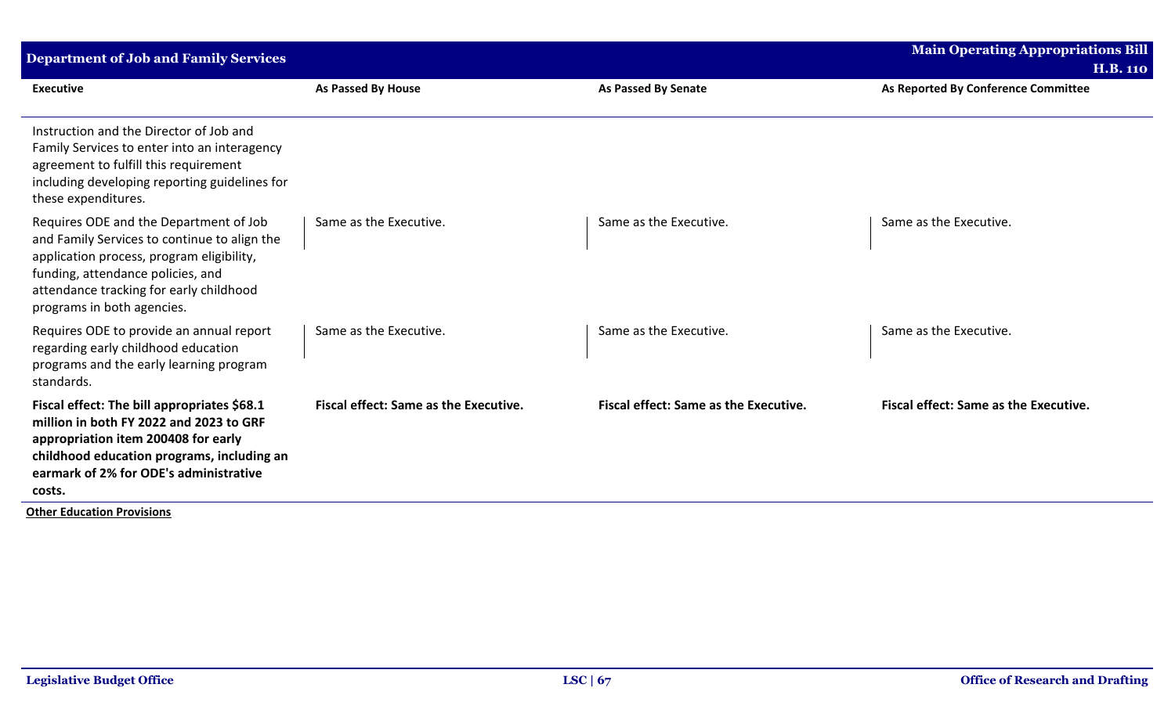| <b>Department of Job and Family Services</b>                                                                                                                                                                                                      |                                       |                                       | <b>Main Operating Appropriations Bill</b> |
|---------------------------------------------------------------------------------------------------------------------------------------------------------------------------------------------------------------------------------------------------|---------------------------------------|---------------------------------------|-------------------------------------------|
|                                                                                                                                                                                                                                                   |                                       |                                       | <b>H.B. 110</b>                           |
| <b>Executive</b>                                                                                                                                                                                                                                  | As Passed By House                    | As Passed By Senate                   | As Reported By Conference Committee       |
| Instruction and the Director of Job and<br>Family Services to enter into an interagency<br>agreement to fulfill this requirement<br>including developing reporting guidelines for<br>these expenditures.                                          |                                       |                                       |                                           |
| Requires ODE and the Department of Job<br>and Family Services to continue to align the<br>application process, program eligibility,<br>funding, attendance policies, and<br>attendance tracking for early childhood<br>programs in both agencies. | Same as the Executive.                | Same as the Executive.                | Same as the Executive.                    |
| Requires ODE to provide an annual report<br>regarding early childhood education<br>programs and the early learning program<br>standards.                                                                                                          | Same as the Executive.                | Same as the Executive.                | Same as the Executive.                    |
| Fiscal effect: The bill appropriates \$68.1<br>million in both FY 2022 and 2023 to GRF<br>appropriation item 200408 for early<br>childhood education programs, including an<br>earmark of 2% for ODE's administrative<br>costs.                   | Fiscal effect: Same as the Executive. | Fiscal effect: Same as the Executive. | Fiscal effect: Same as the Executive.     |

**Other Education Provisions**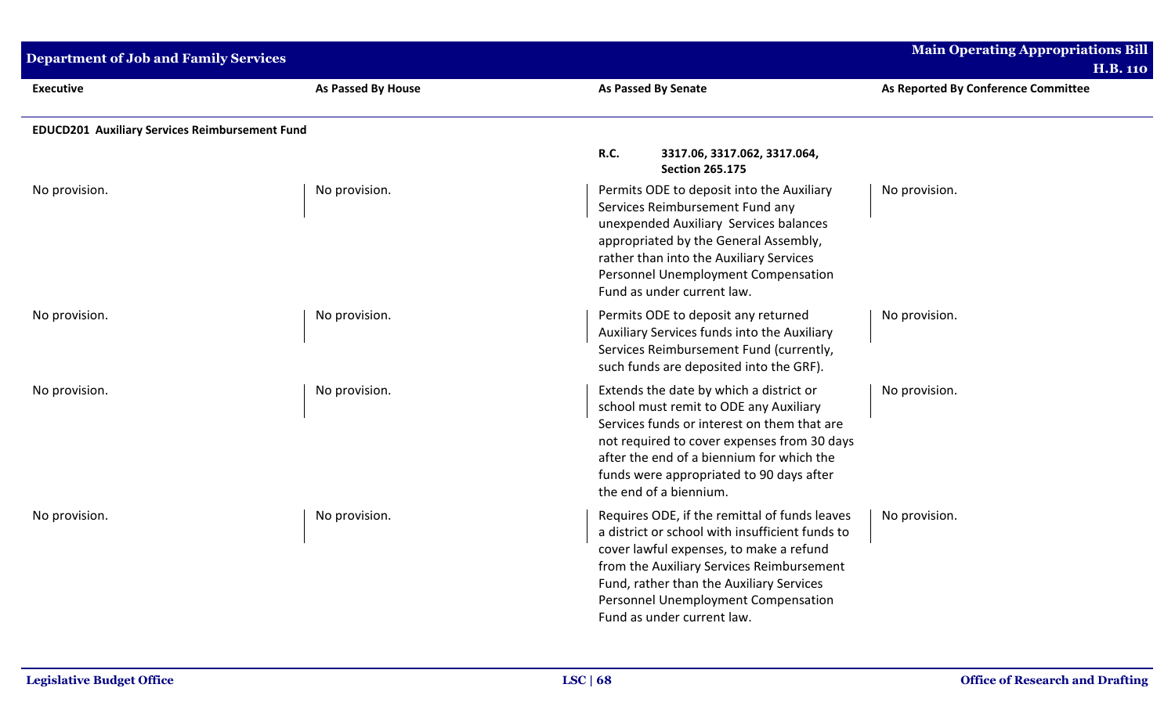| <b>Department of Job and Family Services</b>          |                    |                                                                                                                                                                                                                                                                                                           | <b>Main Operating Appropriations Bill</b><br><b>H.B. 110</b> |
|-------------------------------------------------------|--------------------|-----------------------------------------------------------------------------------------------------------------------------------------------------------------------------------------------------------------------------------------------------------------------------------------------------------|--------------------------------------------------------------|
| <b>Executive</b>                                      | As Passed By House | <b>As Passed By Senate</b>                                                                                                                                                                                                                                                                                | As Reported By Conference Committee                          |
| <b>EDUCD201 Auxiliary Services Reimbursement Fund</b> |                    |                                                                                                                                                                                                                                                                                                           |                                                              |
|                                                       |                    | R.C.<br>3317.06, 3317.062, 3317.064,<br><b>Section 265.175</b>                                                                                                                                                                                                                                            |                                                              |
| No provision.                                         | No provision.      | Permits ODE to deposit into the Auxiliary<br>Services Reimbursement Fund any<br>unexpended Auxiliary Services balances<br>appropriated by the General Assembly,<br>rather than into the Auxiliary Services<br>Personnel Unemployment Compensation<br>Fund as under current law.                           | No provision.                                                |
| No provision.                                         | No provision.      | Permits ODE to deposit any returned<br>Auxiliary Services funds into the Auxiliary<br>Services Reimbursement Fund (currently,<br>such funds are deposited into the GRF).                                                                                                                                  | No provision.                                                |
| No provision.                                         | No provision.      | Extends the date by which a district or<br>school must remit to ODE any Auxiliary<br>Services funds or interest on them that are<br>not required to cover expenses from 30 days<br>after the end of a biennium for which the<br>funds were appropriated to 90 days after<br>the end of a biennium.        | No provision.                                                |
| No provision.                                         | No provision.      | Requires ODE, if the remittal of funds leaves<br>a district or school with insufficient funds to<br>cover lawful expenses, to make a refund<br>from the Auxiliary Services Reimbursement<br>Fund, rather than the Auxiliary Services<br>Personnel Unemployment Compensation<br>Fund as under current law. | No provision.                                                |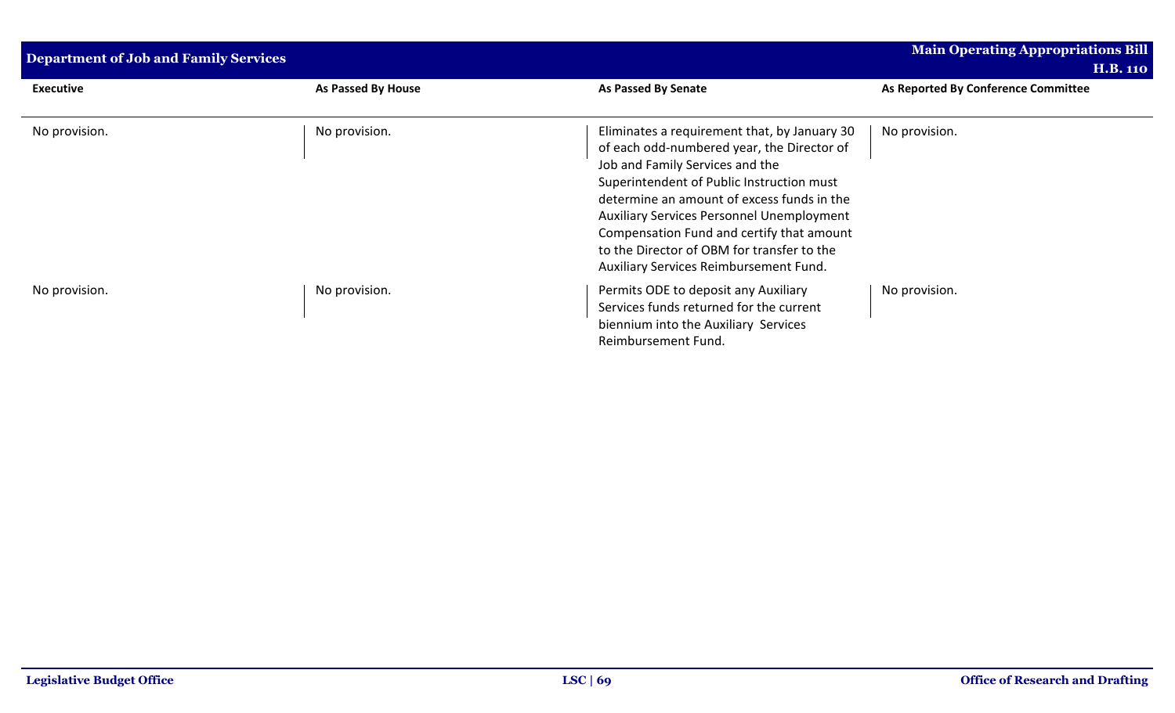| <b>Department of Job and Family Services</b> |                    | <b>Main Operating Appropriations Bill</b><br><b>H.B. 110</b>                                                                                                                                                                                                                                                                                                                                                      |                                     |
|----------------------------------------------|--------------------|-------------------------------------------------------------------------------------------------------------------------------------------------------------------------------------------------------------------------------------------------------------------------------------------------------------------------------------------------------------------------------------------------------------------|-------------------------------------|
| <b>Executive</b>                             | As Passed By House | <b>As Passed By Senate</b>                                                                                                                                                                                                                                                                                                                                                                                        | As Reported By Conference Committee |
| No provision.                                | No provision.      | Eliminates a requirement that, by January 30<br>of each odd-numbered year, the Director of<br>Job and Family Services and the<br>Superintendent of Public Instruction must<br>determine an amount of excess funds in the<br><b>Auxiliary Services Personnel Unemployment</b><br>Compensation Fund and certify that amount<br>to the Director of OBM for transfer to the<br>Auxiliary Services Reimbursement Fund. | No provision.                       |
| No provision.                                | No provision.      | Permits ODE to deposit any Auxiliary<br>Services funds returned for the current<br>biennium into the Auxiliary Services<br>Reimbursement Fund.                                                                                                                                                                                                                                                                    | No provision.                       |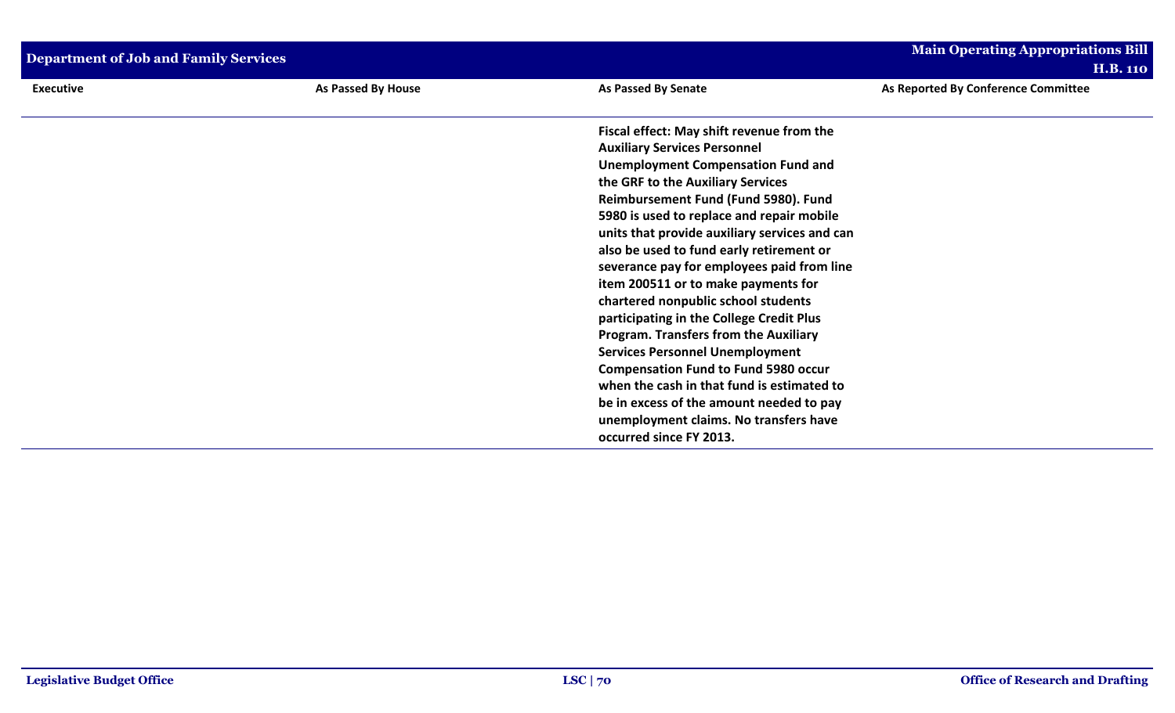| <b>Department of Job and Family Services</b> |                    |                                                                                                                                                                                                                                                                                                                                                                                                                                                                                                                                                                                                                                                                                                                                                                                                           | <b>Main Operating Appropriations Bill</b><br><b>H.B. 110</b> |
|----------------------------------------------|--------------------|-----------------------------------------------------------------------------------------------------------------------------------------------------------------------------------------------------------------------------------------------------------------------------------------------------------------------------------------------------------------------------------------------------------------------------------------------------------------------------------------------------------------------------------------------------------------------------------------------------------------------------------------------------------------------------------------------------------------------------------------------------------------------------------------------------------|--------------------------------------------------------------|
| <b>Executive</b>                             | As Passed By House | <b>As Passed By Senate</b>                                                                                                                                                                                                                                                                                                                                                                                                                                                                                                                                                                                                                                                                                                                                                                                | As Reported By Conference Committee                          |
|                                              |                    | Fiscal effect: May shift revenue from the<br><b>Auxiliary Services Personnel</b><br><b>Unemployment Compensation Fund and</b><br>the GRF to the Auxiliary Services<br>Reimbursement Fund (Fund 5980). Fund<br>5980 is used to replace and repair mobile<br>units that provide auxiliary services and can<br>also be used to fund early retirement or<br>severance pay for employees paid from line<br>item 200511 or to make payments for<br>chartered nonpublic school students<br>participating in the College Credit Plus<br><b>Program. Transfers from the Auxiliary</b><br><b>Services Personnel Unemployment</b><br><b>Compensation Fund to Fund 5980 occur</b><br>when the cash in that fund is estimated to<br>be in excess of the amount needed to pay<br>unemployment claims. No transfers have |                                                              |
|                                              |                    | occurred since FY 2013.                                                                                                                                                                                                                                                                                                                                                                                                                                                                                                                                                                                                                                                                                                                                                                                   |                                                              |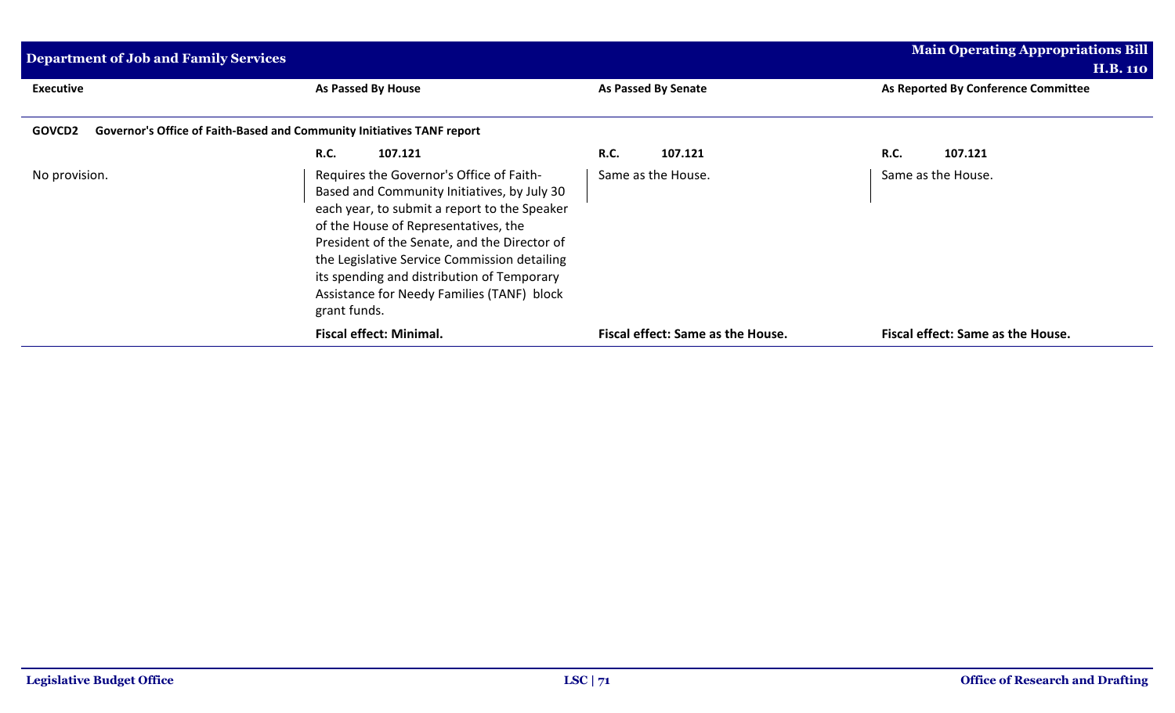| <b>Department of Job and Family Services</b> |                                                                                                                                                                                                                                                                                                                                                                                             |                                   | Main Operating Appropriations Bill<br><b>H.B. 110</b> |  |
|----------------------------------------------|---------------------------------------------------------------------------------------------------------------------------------------------------------------------------------------------------------------------------------------------------------------------------------------------------------------------------------------------------------------------------------------------|-----------------------------------|-------------------------------------------------------|--|
| <b>Executive</b>                             | As Passed By House                                                                                                                                                                                                                                                                                                                                                                          | As Passed By Senate               | As Reported By Conference Committee                   |  |
| GOVCD2                                       | Governor's Office of Faith-Based and Community Initiatives TANF report                                                                                                                                                                                                                                                                                                                      |                                   |                                                       |  |
|                                              | 107.121<br><b>R.C.</b>                                                                                                                                                                                                                                                                                                                                                                      | <b>R.C.</b><br>107.121            | 107.121<br><b>R.C.</b>                                |  |
| No provision.                                | Requires the Governor's Office of Faith-<br>Based and Community Initiatives, by July 30<br>each year, to submit a report to the Speaker<br>of the House of Representatives, the<br>President of the Senate, and the Director of<br>the Legislative Service Commission detailing<br>its spending and distribution of Temporary<br>Assistance for Needy Families (TANF) block<br>grant funds. | Same as the House.                | Same as the House.                                    |  |
|                                              | <b>Fiscal effect: Minimal.</b>                                                                                                                                                                                                                                                                                                                                                              | Fiscal effect: Same as the House. | Fiscal effect: Same as the House.                     |  |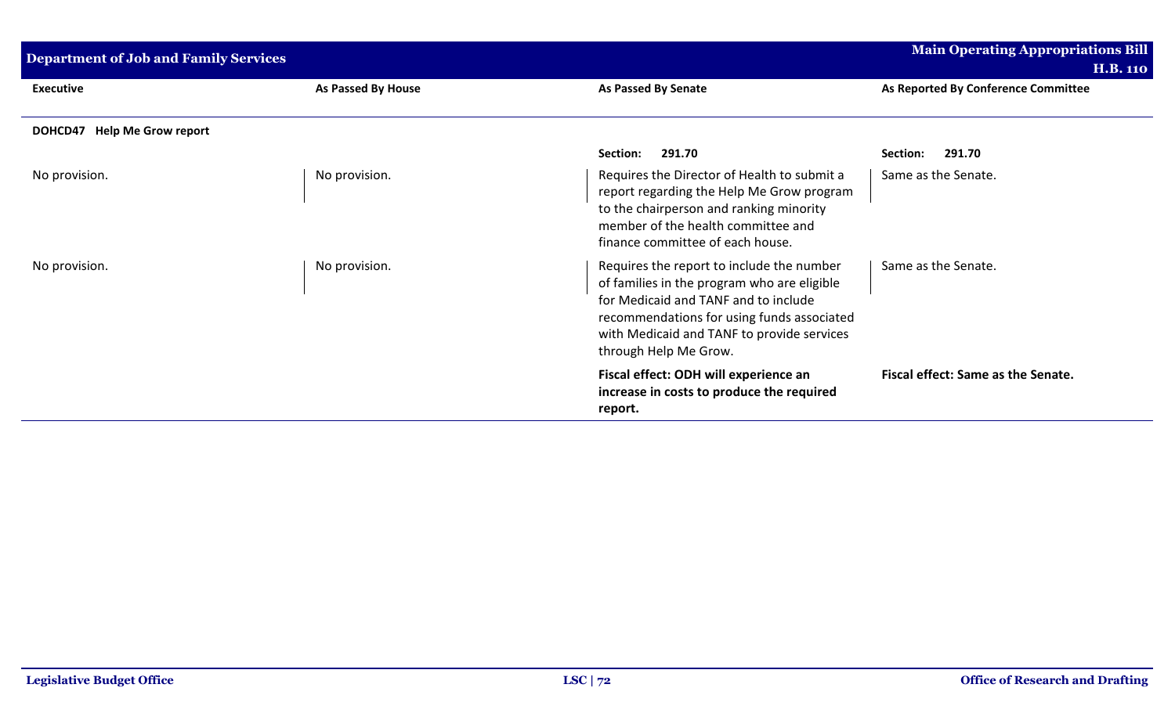| <b>Department of Job and Family Services</b> |                           |                                                                                                                                                                                                                                                       | <b>Main Operating Appropriations Bill</b>              |
|----------------------------------------------|---------------------------|-------------------------------------------------------------------------------------------------------------------------------------------------------------------------------------------------------------------------------------------------------|--------------------------------------------------------|
| <b>Executive</b>                             | <b>As Passed By House</b> | <b>As Passed By Senate</b>                                                                                                                                                                                                                            | <b>H.B. 110</b><br>As Reported By Conference Committee |
| DOHCD47 Help Me Grow report                  |                           |                                                                                                                                                                                                                                                       |                                                        |
|                                              |                           | 291.70<br>Section:                                                                                                                                                                                                                                    | 291.70<br>Section:                                     |
| No provision.                                | No provision.             | Requires the Director of Health to submit a<br>report regarding the Help Me Grow program<br>to the chairperson and ranking minority<br>member of the health committee and<br>finance committee of each house.                                         | Same as the Senate.                                    |
| No provision.                                | No provision.             | Requires the report to include the number<br>of families in the program who are eligible<br>for Medicaid and TANF and to include<br>recommendations for using funds associated<br>with Medicaid and TANF to provide services<br>through Help Me Grow. | Same as the Senate.                                    |
|                                              |                           | Fiscal effect: ODH will experience an<br>increase in costs to produce the required<br>report.                                                                                                                                                         | Fiscal effect: Same as the Senate.                     |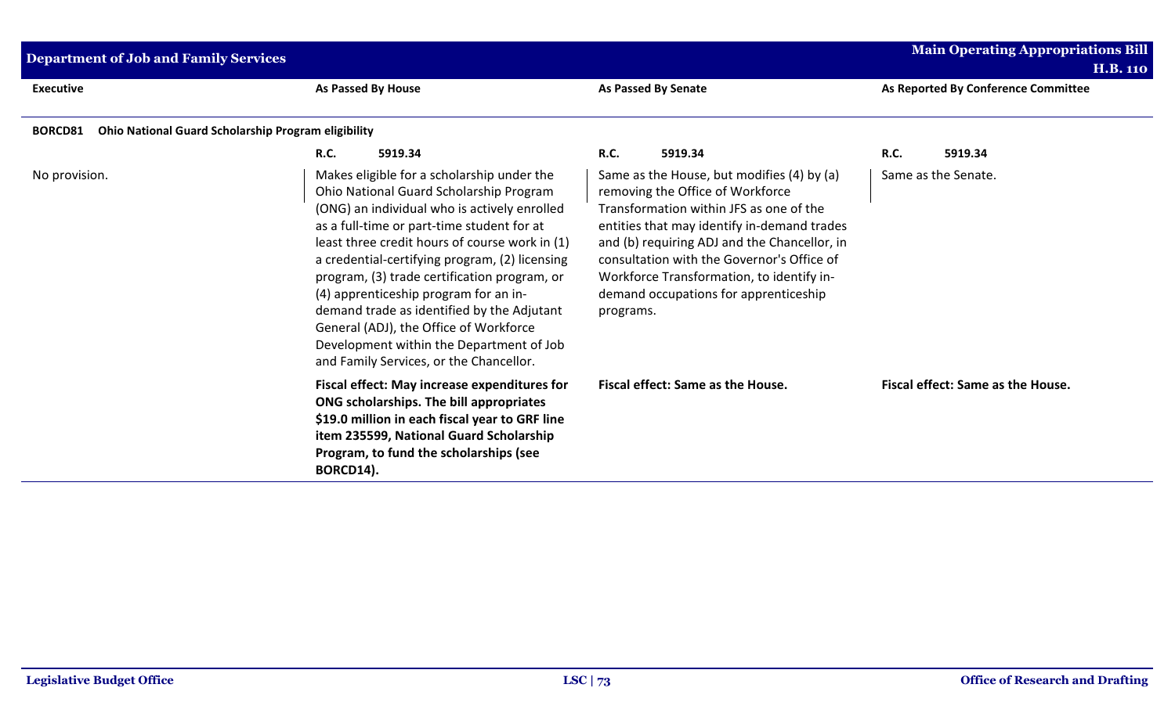| Department of Job and Family Services                                        |                                                                                                                                                                                                                                                                                                                                                                                                                                                                                                                                                                 |                                                                                                                                                                                                                                                                                                                                                                           | <b>Main Operating Appropriations Bill</b><br><b>H.B. 110</b> |
|------------------------------------------------------------------------------|-----------------------------------------------------------------------------------------------------------------------------------------------------------------------------------------------------------------------------------------------------------------------------------------------------------------------------------------------------------------------------------------------------------------------------------------------------------------------------------------------------------------------------------------------------------------|---------------------------------------------------------------------------------------------------------------------------------------------------------------------------------------------------------------------------------------------------------------------------------------------------------------------------------------------------------------------------|--------------------------------------------------------------|
| <b>Executive</b>                                                             | <b>As Passed By House</b>                                                                                                                                                                                                                                                                                                                                                                                                                                                                                                                                       | <b>As Passed By Senate</b>                                                                                                                                                                                                                                                                                                                                                | As Reported By Conference Committee                          |
| <b>Ohio National Guard Scholarship Program eligibility</b><br><b>BORCD81</b> |                                                                                                                                                                                                                                                                                                                                                                                                                                                                                                                                                                 |                                                                                                                                                                                                                                                                                                                                                                           |                                                              |
|                                                                              | <b>R.C.</b><br>5919.34                                                                                                                                                                                                                                                                                                                                                                                                                                                                                                                                          | <b>R.C.</b><br>5919.34                                                                                                                                                                                                                                                                                                                                                    | <b>R.C.</b><br>5919.34                                       |
| No provision.                                                                | Makes eligible for a scholarship under the<br>Ohio National Guard Scholarship Program<br>(ONG) an individual who is actively enrolled<br>as a full-time or part-time student for at<br>least three credit hours of course work in (1)<br>a credential-certifying program, (2) licensing<br>program, (3) trade certification program, or<br>(4) apprenticeship program for an in-<br>demand trade as identified by the Adjutant<br>General (ADJ), the Office of Workforce<br>Development within the Department of Job<br>and Family Services, or the Chancellor. | Same as the House, but modifies (4) by (a)<br>removing the Office of Workforce<br>Transformation within JFS as one of the<br>entities that may identify in-demand trades<br>and (b) requiring ADJ and the Chancellor, in<br>consultation with the Governor's Office of<br>Workforce Transformation, to identify in-<br>demand occupations for apprenticeship<br>programs. | Same as the Senate.                                          |
|                                                                              | Fiscal effect: May increase expenditures for<br>ONG scholarships. The bill appropriates<br>\$19.0 million in each fiscal year to GRF line<br>item 235599, National Guard Scholarship<br>Program, to fund the scholarships (see<br>BORCD14).                                                                                                                                                                                                                                                                                                                     | Fiscal effect: Same as the House.                                                                                                                                                                                                                                                                                                                                         | Fiscal effect: Same as the House.                            |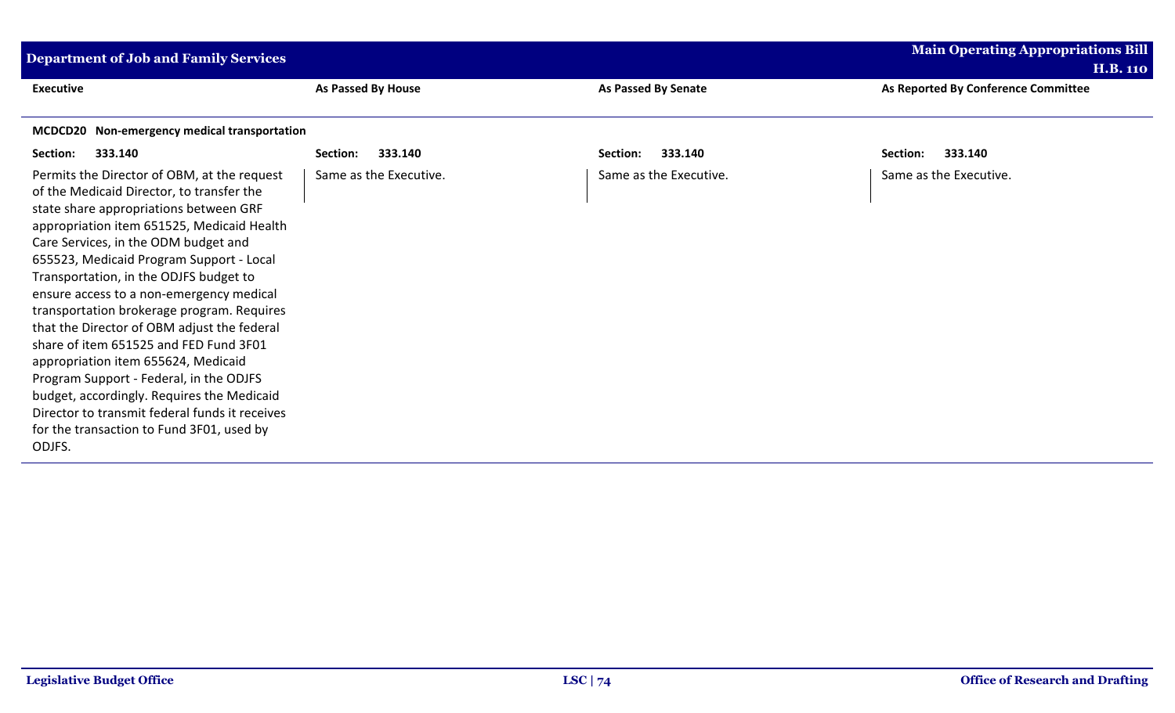| <b>Department of Job and Family Services</b>   |                        |                            | <b>Main Operating Appropriations Bill</b> |  |
|------------------------------------------------|------------------------|----------------------------|-------------------------------------------|--|
|                                                |                        |                            | <b>H.B. 110</b>                           |  |
| <b>Executive</b>                               | As Passed By House     | <b>As Passed By Senate</b> | As Reported By Conference Committee       |  |
| MCDCD20 Non-emergency medical transportation   |                        |                            |                                           |  |
|                                                |                        |                            |                                           |  |
| 333.140<br>Section:                            | 333.140<br>Section:    | 333.140<br>Section:        | 333.140<br>Section:                       |  |
| Permits the Director of OBM, at the request    | Same as the Executive. | Same as the Executive.     | Same as the Executive.                    |  |
| of the Medicaid Director, to transfer the      |                        |                            |                                           |  |
| state share appropriations between GRF         |                        |                            |                                           |  |
| appropriation item 651525, Medicaid Health     |                        |                            |                                           |  |
| Care Services, in the ODM budget and           |                        |                            |                                           |  |
| 655523, Medicaid Program Support - Local       |                        |                            |                                           |  |
| Transportation, in the ODJFS budget to         |                        |                            |                                           |  |
| ensure access to a non-emergency medical       |                        |                            |                                           |  |
| transportation brokerage program. Requires     |                        |                            |                                           |  |
| that the Director of OBM adjust the federal    |                        |                            |                                           |  |
| share of item 651525 and FED Fund 3F01         |                        |                            |                                           |  |
| appropriation item 655624, Medicaid            |                        |                            |                                           |  |
| Program Support - Federal, in the ODJFS        |                        |                            |                                           |  |
| budget, accordingly. Requires the Medicaid     |                        |                            |                                           |  |
| Director to transmit federal funds it receives |                        |                            |                                           |  |
| for the transaction to Fund 3F01, used by      |                        |                            |                                           |  |
| ODJFS.                                         |                        |                            |                                           |  |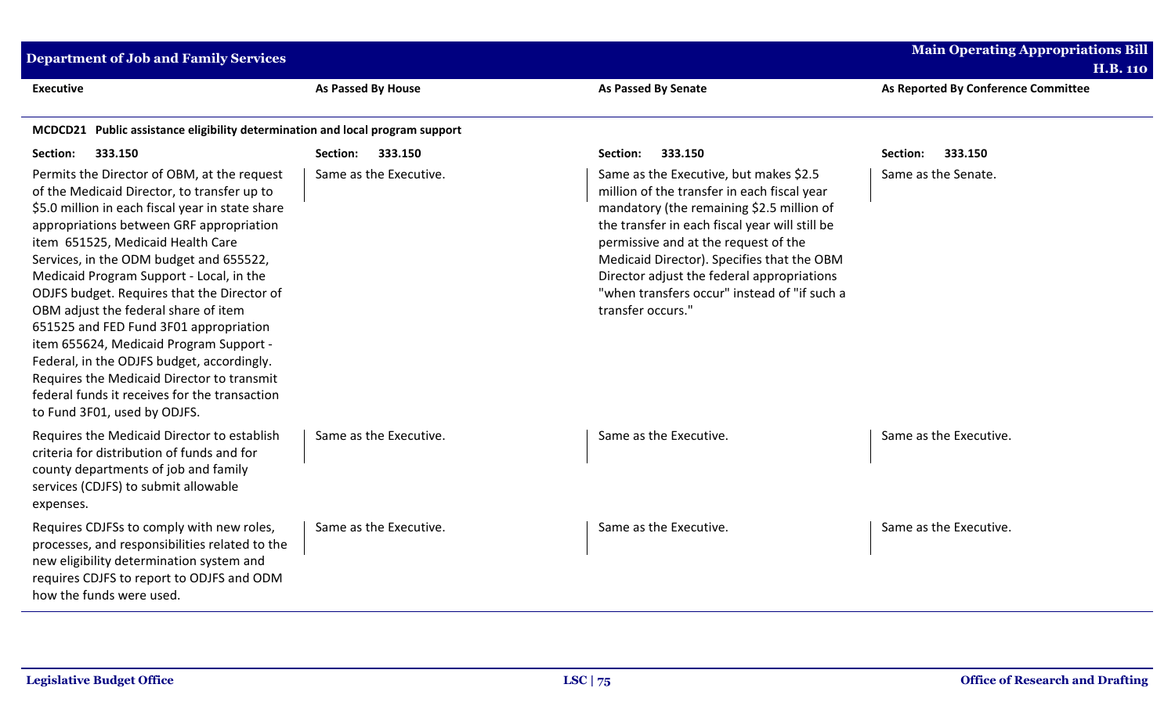| <b>Main Operating Appropriations Bill</b><br><b>Department of Job and Family Services</b><br><b>H.B. 110</b>                                                                                                                                                                                                                                                                                                                                                                                                                                                                                                                                                                    |                           |                                                                                                                                                                                                                                                                                                                                                                                               |                                     |
|---------------------------------------------------------------------------------------------------------------------------------------------------------------------------------------------------------------------------------------------------------------------------------------------------------------------------------------------------------------------------------------------------------------------------------------------------------------------------------------------------------------------------------------------------------------------------------------------------------------------------------------------------------------------------------|---------------------------|-----------------------------------------------------------------------------------------------------------------------------------------------------------------------------------------------------------------------------------------------------------------------------------------------------------------------------------------------------------------------------------------------|-------------------------------------|
| <b>Executive</b>                                                                                                                                                                                                                                                                                                                                                                                                                                                                                                                                                                                                                                                                | <b>As Passed By House</b> | <b>As Passed By Senate</b>                                                                                                                                                                                                                                                                                                                                                                    | As Reported By Conference Committee |
| MCDCD21 Public assistance eligibility determination and local program support                                                                                                                                                                                                                                                                                                                                                                                                                                                                                                                                                                                                   |                           |                                                                                                                                                                                                                                                                                                                                                                                               |                                     |
| Section:<br>333.150                                                                                                                                                                                                                                                                                                                                                                                                                                                                                                                                                                                                                                                             | Section:<br>333.150       | 333.150<br>Section:                                                                                                                                                                                                                                                                                                                                                                           | 333.150<br>Section:                 |
| Permits the Director of OBM, at the request<br>of the Medicaid Director, to transfer up to<br>\$5.0 million in each fiscal year in state share<br>appropriations between GRF appropriation<br>item 651525, Medicaid Health Care<br>Services, in the ODM budget and 655522,<br>Medicaid Program Support - Local, in the<br>ODJFS budget. Requires that the Director of<br>OBM adjust the federal share of item<br>651525 and FED Fund 3F01 appropriation<br>item 655624, Medicaid Program Support -<br>Federal, in the ODJFS budget, accordingly.<br>Requires the Medicaid Director to transmit<br>federal funds it receives for the transaction<br>to Fund 3F01, used by ODJFS. | Same as the Executive.    | Same as the Executive, but makes \$2.5<br>million of the transfer in each fiscal year<br>mandatory (the remaining \$2.5 million of<br>the transfer in each fiscal year will still be<br>permissive and at the request of the<br>Medicaid Director). Specifies that the OBM<br>Director adjust the federal appropriations<br>"when transfers occur" instead of "if such a<br>transfer occurs." | Same as the Senate.                 |
| Requires the Medicaid Director to establish<br>criteria for distribution of funds and for<br>county departments of job and family<br>services (CDJFS) to submit allowable<br>expenses.                                                                                                                                                                                                                                                                                                                                                                                                                                                                                          | Same as the Executive.    | Same as the Executive.                                                                                                                                                                                                                                                                                                                                                                        | Same as the Executive.              |
| Requires CDJFSs to comply with new roles,<br>processes, and responsibilities related to the<br>new eligibility determination system and<br>requires CDJFS to report to ODJFS and ODM<br>how the funds were used.                                                                                                                                                                                                                                                                                                                                                                                                                                                                | Same as the Executive.    | Same as the Executive.                                                                                                                                                                                                                                                                                                                                                                        | Same as the Executive.              |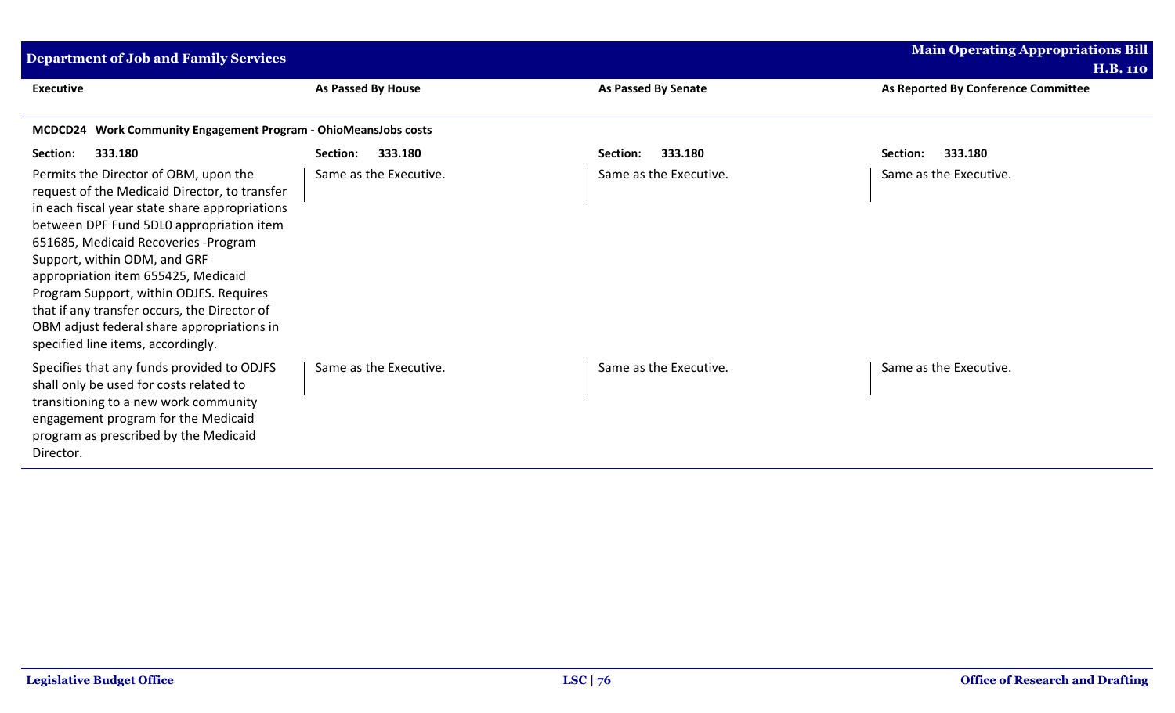| <b>Department of Job and Family Services</b>                                                                                                                                                                                                                                                                                                                                                                                                                                        |                        |                            | <b>Main Operating Appropriations Bill</b> |  |
|-------------------------------------------------------------------------------------------------------------------------------------------------------------------------------------------------------------------------------------------------------------------------------------------------------------------------------------------------------------------------------------------------------------------------------------------------------------------------------------|------------------------|----------------------------|-------------------------------------------|--|
|                                                                                                                                                                                                                                                                                                                                                                                                                                                                                     |                        |                            | <b>H.B. 110</b>                           |  |
| <b>Executive</b>                                                                                                                                                                                                                                                                                                                                                                                                                                                                    | As Passed By House     | <b>As Passed By Senate</b> | As Reported By Conference Committee       |  |
| MCDCD24 Work Community Engagement Program - OhioMeansJobs costs                                                                                                                                                                                                                                                                                                                                                                                                                     |                        |                            |                                           |  |
| 333.180<br>Section:                                                                                                                                                                                                                                                                                                                                                                                                                                                                 | 333.180<br>Section:    | 333.180<br>Section:        | 333.180<br>Section:                       |  |
| Permits the Director of OBM, upon the<br>request of the Medicaid Director, to transfer<br>in each fiscal year state share appropriations<br>between DPF Fund 5DL0 appropriation item<br>651685, Medicaid Recoveries - Program<br>Support, within ODM, and GRF<br>appropriation item 655425, Medicaid<br>Program Support, within ODJFS. Requires<br>that if any transfer occurs, the Director of<br>OBM adjust federal share appropriations in<br>specified line items, accordingly. | Same as the Executive. | Same as the Executive.     | Same as the Executive.                    |  |
| Specifies that any funds provided to ODJFS<br>shall only be used for costs related to<br>transitioning to a new work community<br>engagement program for the Medicaid<br>program as prescribed by the Medicaid<br>Director.                                                                                                                                                                                                                                                         | Same as the Executive. | Same as the Executive.     | Same as the Executive.                    |  |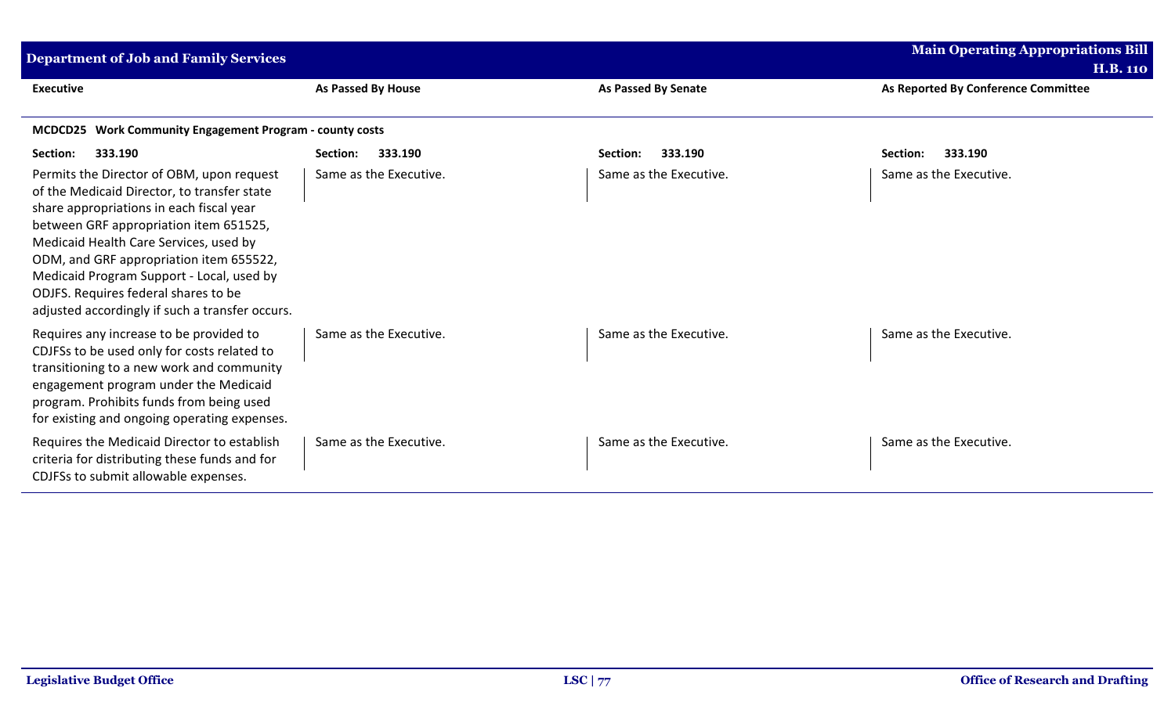| <b>Department of Job and Family Services</b>                                                                                                                                                                                                                                                                                                                                                                |                           |                        | <b>Main Operating Appropriations Bill</b> |  |
|-------------------------------------------------------------------------------------------------------------------------------------------------------------------------------------------------------------------------------------------------------------------------------------------------------------------------------------------------------------------------------------------------------------|---------------------------|------------------------|-------------------------------------------|--|
|                                                                                                                                                                                                                                                                                                                                                                                                             |                           |                        | <b>H.B. 110</b>                           |  |
| <b>Executive</b>                                                                                                                                                                                                                                                                                                                                                                                            | <b>As Passed By House</b> | As Passed By Senate    | As Reported By Conference Committee       |  |
| MCDCD25 Work Community Engagement Program - county costs                                                                                                                                                                                                                                                                                                                                                    |                           |                        |                                           |  |
| 333.190<br>Section:                                                                                                                                                                                                                                                                                                                                                                                         | 333.190<br>Section:       | 333.190<br>Section:    | 333.190<br>Section:                       |  |
| Permits the Director of OBM, upon request<br>of the Medicaid Director, to transfer state<br>share appropriations in each fiscal year<br>between GRF appropriation item 651525,<br>Medicaid Health Care Services, used by<br>ODM, and GRF appropriation item 655522,<br>Medicaid Program Support - Local, used by<br>ODJFS. Requires federal shares to be<br>adjusted accordingly if such a transfer occurs. | Same as the Executive.    | Same as the Executive. | Same as the Executive.                    |  |
| Requires any increase to be provided to<br>CDJFSs to be used only for costs related to<br>transitioning to a new work and community<br>engagement program under the Medicaid<br>program. Prohibits funds from being used<br>for existing and ongoing operating expenses.                                                                                                                                    | Same as the Executive.    | Same as the Executive. | Same as the Executive.                    |  |
| Requires the Medicaid Director to establish<br>criteria for distributing these funds and for<br>CDJFSs to submit allowable expenses.                                                                                                                                                                                                                                                                        | Same as the Executive.    | Same as the Executive. | Same as the Executive.                    |  |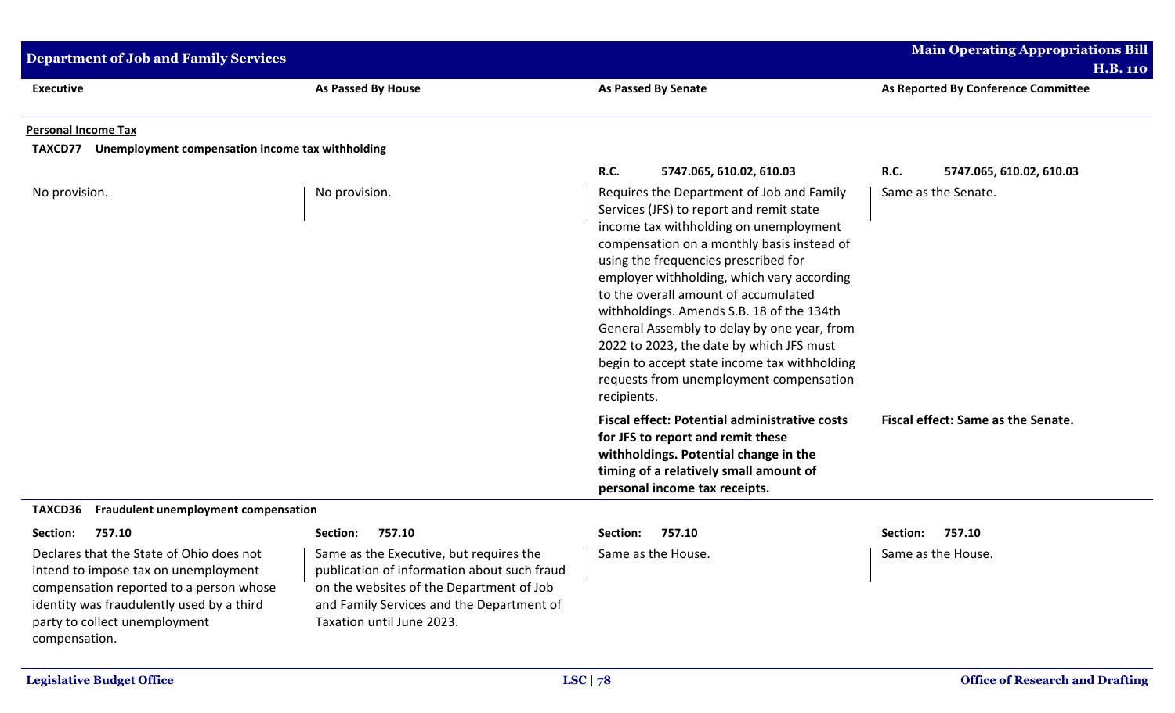| <b>Department of Job and Family Services</b>                                                                                                                                                                               |                                                                                                                                                                                                              |                                                                                                                                                                                                                                                                                                                                                                                                                                                                                                                                                               | <b>Main Operating Appropriations Bill</b> |
|----------------------------------------------------------------------------------------------------------------------------------------------------------------------------------------------------------------------------|--------------------------------------------------------------------------------------------------------------------------------------------------------------------------------------------------------------|---------------------------------------------------------------------------------------------------------------------------------------------------------------------------------------------------------------------------------------------------------------------------------------------------------------------------------------------------------------------------------------------------------------------------------------------------------------------------------------------------------------------------------------------------------------|-------------------------------------------|
|                                                                                                                                                                                                                            |                                                                                                                                                                                                              |                                                                                                                                                                                                                                                                                                                                                                                                                                                                                                                                                               | <b>H.B. 110</b>                           |
| <b>Executive</b>                                                                                                                                                                                                           | As Passed By House                                                                                                                                                                                           | <b>As Passed By Senate</b>                                                                                                                                                                                                                                                                                                                                                                                                                                                                                                                                    | As Reported By Conference Committee       |
| <b>Personal Income Tax</b>                                                                                                                                                                                                 |                                                                                                                                                                                                              |                                                                                                                                                                                                                                                                                                                                                                                                                                                                                                                                                               |                                           |
| <b>TAXCD77</b><br>Unemployment compensation income tax withholding                                                                                                                                                         |                                                                                                                                                                                                              |                                                                                                                                                                                                                                                                                                                                                                                                                                                                                                                                                               |                                           |
|                                                                                                                                                                                                                            |                                                                                                                                                                                                              | R.C.<br>5747.065, 610.02, 610.03                                                                                                                                                                                                                                                                                                                                                                                                                                                                                                                              | <b>R.C.</b><br>5747.065, 610.02, 610.03   |
| No provision.                                                                                                                                                                                                              | No provision.                                                                                                                                                                                                | Requires the Department of Job and Family<br>Services (JFS) to report and remit state<br>income tax withholding on unemployment<br>compensation on a monthly basis instead of<br>using the frequencies prescribed for<br>employer withholding, which vary according<br>to the overall amount of accumulated<br>withholdings. Amends S.B. 18 of the 134th<br>General Assembly to delay by one year, from<br>2022 to 2023, the date by which JFS must<br>begin to accept state income tax withholding<br>requests from unemployment compensation<br>recipients. | Same as the Senate.                       |
|                                                                                                                                                                                                                            |                                                                                                                                                                                                              | <b>Fiscal effect: Potential administrative costs</b><br>for JFS to report and remit these<br>withholdings. Potential change in the<br>timing of a relatively small amount of<br>personal income tax receipts.                                                                                                                                                                                                                                                                                                                                                 | Fiscal effect: Same as the Senate.        |
| Fraudulent unemployment compensation<br>TAXCD36                                                                                                                                                                            |                                                                                                                                                                                                              |                                                                                                                                                                                                                                                                                                                                                                                                                                                                                                                                                               |                                           |
| Section:<br>757.10                                                                                                                                                                                                         | 757.10<br>Section:                                                                                                                                                                                           | 757.10<br>Section:                                                                                                                                                                                                                                                                                                                                                                                                                                                                                                                                            | 757.10<br>Section:                        |
| Declares that the State of Ohio does not<br>intend to impose tax on unemployment<br>compensation reported to a person whose<br>identity was fraudulently used by a third<br>party to collect unemployment<br>compensation. | Same as the Executive, but requires the<br>publication of information about such fraud<br>on the websites of the Department of Job<br>and Family Services and the Department of<br>Taxation until June 2023. | Same as the House.                                                                                                                                                                                                                                                                                                                                                                                                                                                                                                                                            | Same as the House.                        |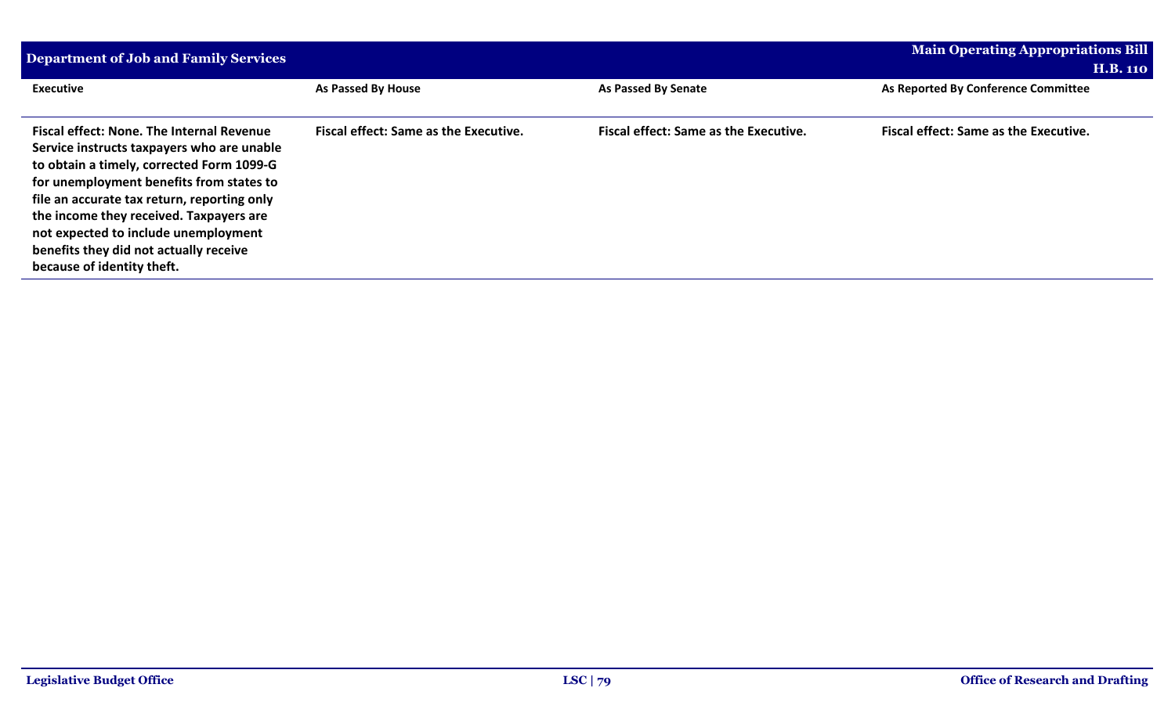| <b>Department of Job and Family Services</b>     |                                              |                                              | <b>Main Operating Appropriations Bill</b>    |
|--------------------------------------------------|----------------------------------------------|----------------------------------------------|----------------------------------------------|
|                                                  |                                              |                                              | <b>H.B. 110</b>                              |
| <b>Executive</b>                                 | As Passed By House                           | As Passed By Senate                          | As Reported By Conference Committee          |
|                                                  |                                              |                                              |                                              |
| <b>Fiscal effect: None. The Internal Revenue</b> | <b>Fiscal effect: Same as the Executive.</b> | <b>Fiscal effect: Same as the Executive.</b> | <b>Fiscal effect: Same as the Executive.</b> |
| Service instructs taxpayers who are unable       |                                              |                                              |                                              |
| to obtain a timely, corrected Form 1099-G        |                                              |                                              |                                              |
| for unemployment benefits from states to         |                                              |                                              |                                              |
| file an accurate tax return, reporting only      |                                              |                                              |                                              |
| the income they received. Taxpayers are          |                                              |                                              |                                              |
| not expected to include unemployment             |                                              |                                              |                                              |
| benefits they did not actually receive           |                                              |                                              |                                              |
| because of identity theft.                       |                                              |                                              |                                              |
|                                                  |                                              |                                              |                                              |